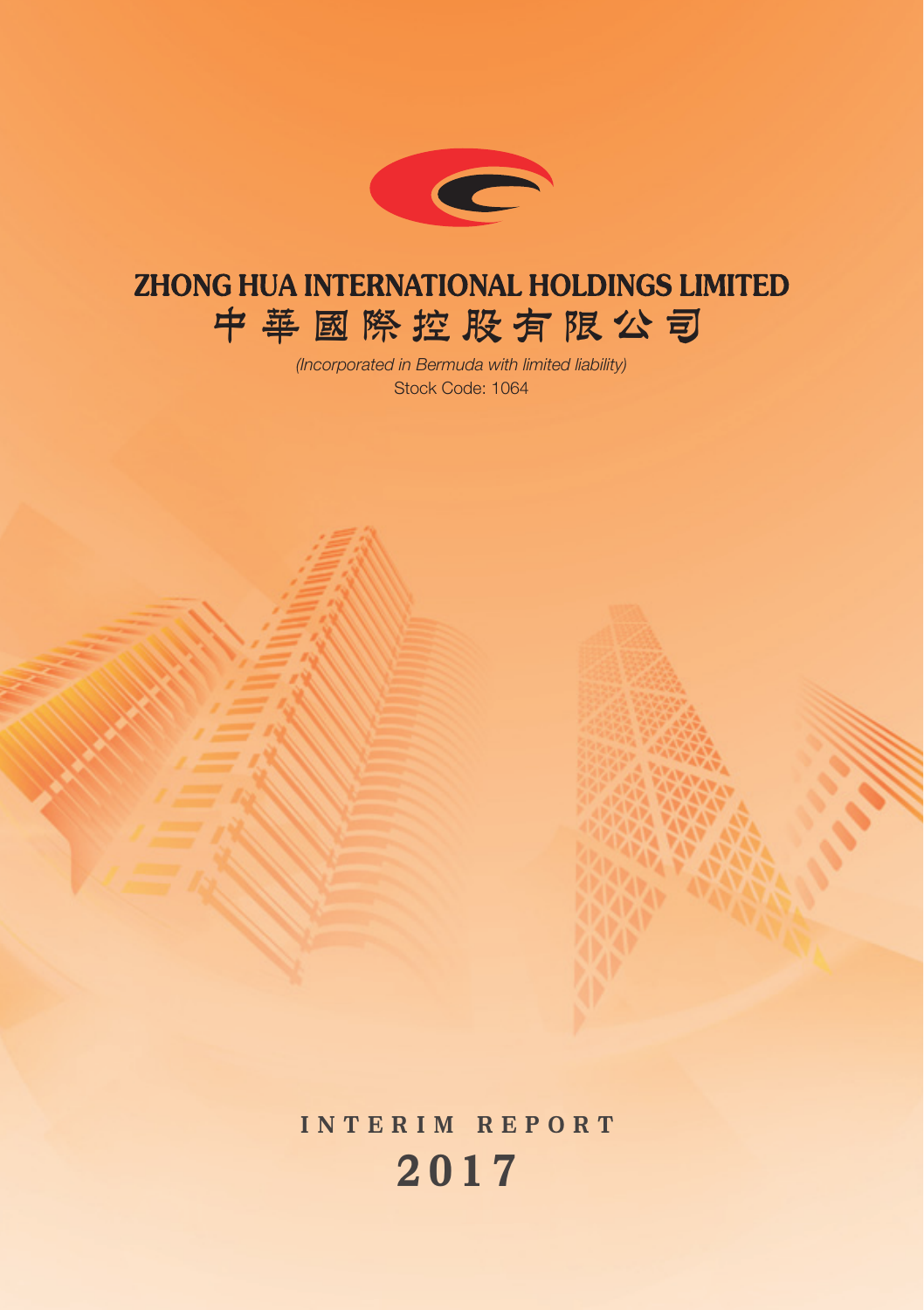

# **ZHONG HUA INTERNATIONAL HOLDINGS LIMITED 中華國際控股有限公司**

*(Incorporated in Bermuda with limited liability)* Stock Code: 1064

INTERIM REPORT 2 0 1 7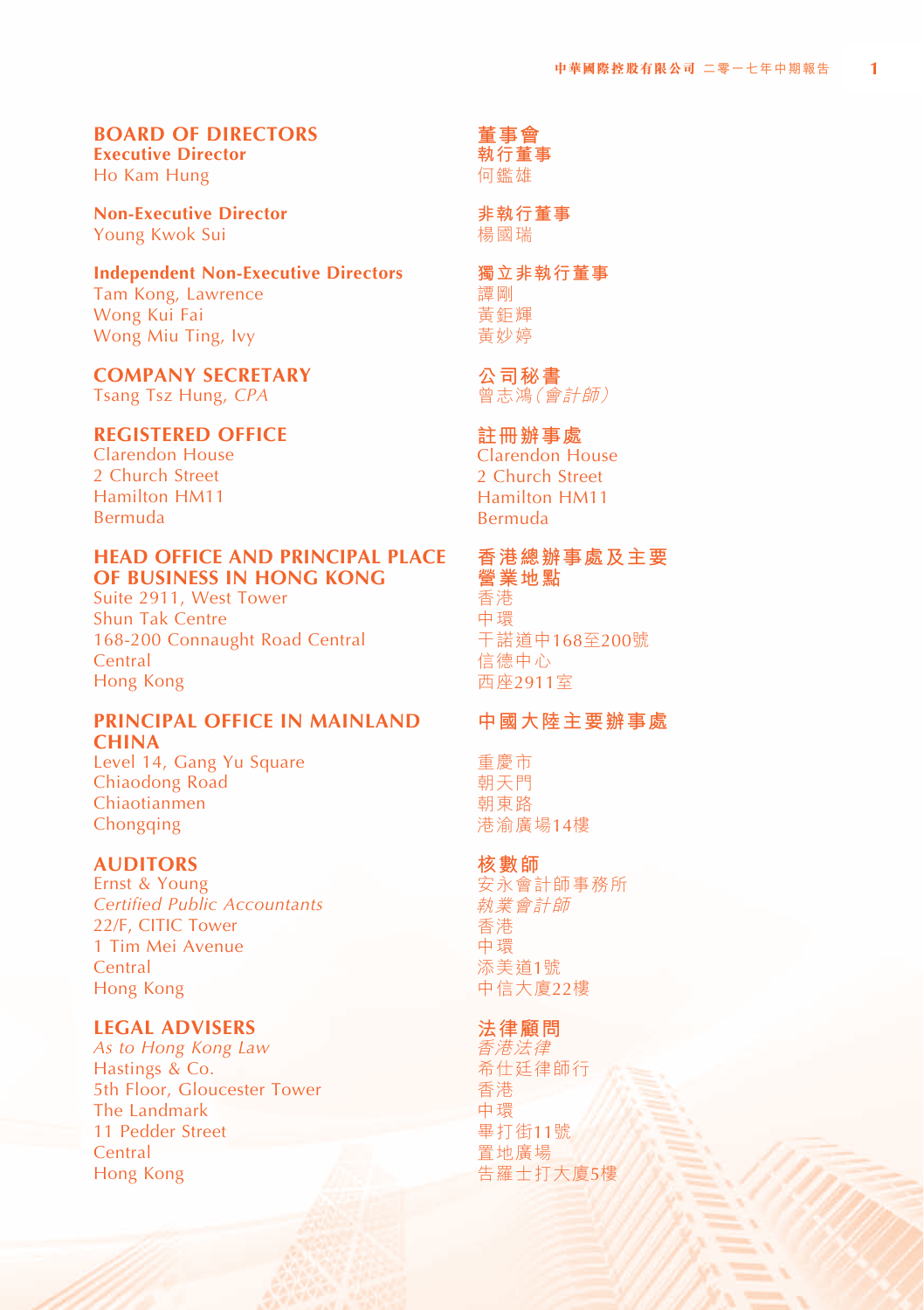#### **BOARD OF DIRECTORS Executive Director**

Ho Kam Hung

**Non-Executive Director** Young Kwok Sui

#### **Independent Non-Executive Directors** Tam Kong, Lawrence

Wong Kui Fai Wong Miu Ting, Ivy

#### **COMPANY SECRETARY**

Tsang Tsz Hung, *CPA*

# **REGISTERED OFFICE**

Clarendon House 2 Church Street Hamilton HM11 Bermuda

#### **HEAD OFFICE AND PRINCIPAL PLACE OF BUSINESS IN HONG KONG**

Suite 2911, West Tower Shun Tak Centre 168-200 Connaught Road Central **Central** Hong Kong

#### **PRINCIPAL OFFICE IN MAINLAND CHINA**

Level 14, Gang Yu Square Chiaodong Road Chiaotianmen Chongqing

#### **AUDITORS**

Ernst & Young *Certified Public Accountants* 22/F, CITIC Tower 1 Tim Mei Avenue **Central** Hong Kong

## **LEGAL ADVISERS**

*As to Hong Kong Law* Hastings & Co. 5th Floor, Gloucester Tower The Landmark 11 Pedder Street **Central** Hong Kong

**董事會 執行董事** 何鑑雄

**非執行董事** 楊國瑞

#### **獨立非執行董事** 譚剛 黃鉅輝 黃妙婷

#### **公司秘書**

曾志鴻(會計師)

# **註冊辦事處**

Clarendon House 2 Church Street Hamilton HM11 Bermuda

# **香港總辦事處及主要 營業地點**

香港 中環 干諾道中168至200號 信德中心 西座2911室

# **中國大陸主要辦事處**

重慶市 朝天門 朝東路 港渝廣場14樓

#### **核數師**

安永會計師事務所 執業會計師 香港 中環 添美道1號 中信大廈22樓

# **法律顧問**

香港法律 希仕廷律師行 香港 中環 畢打街11號 置地廣場 告羅士打大廈5樓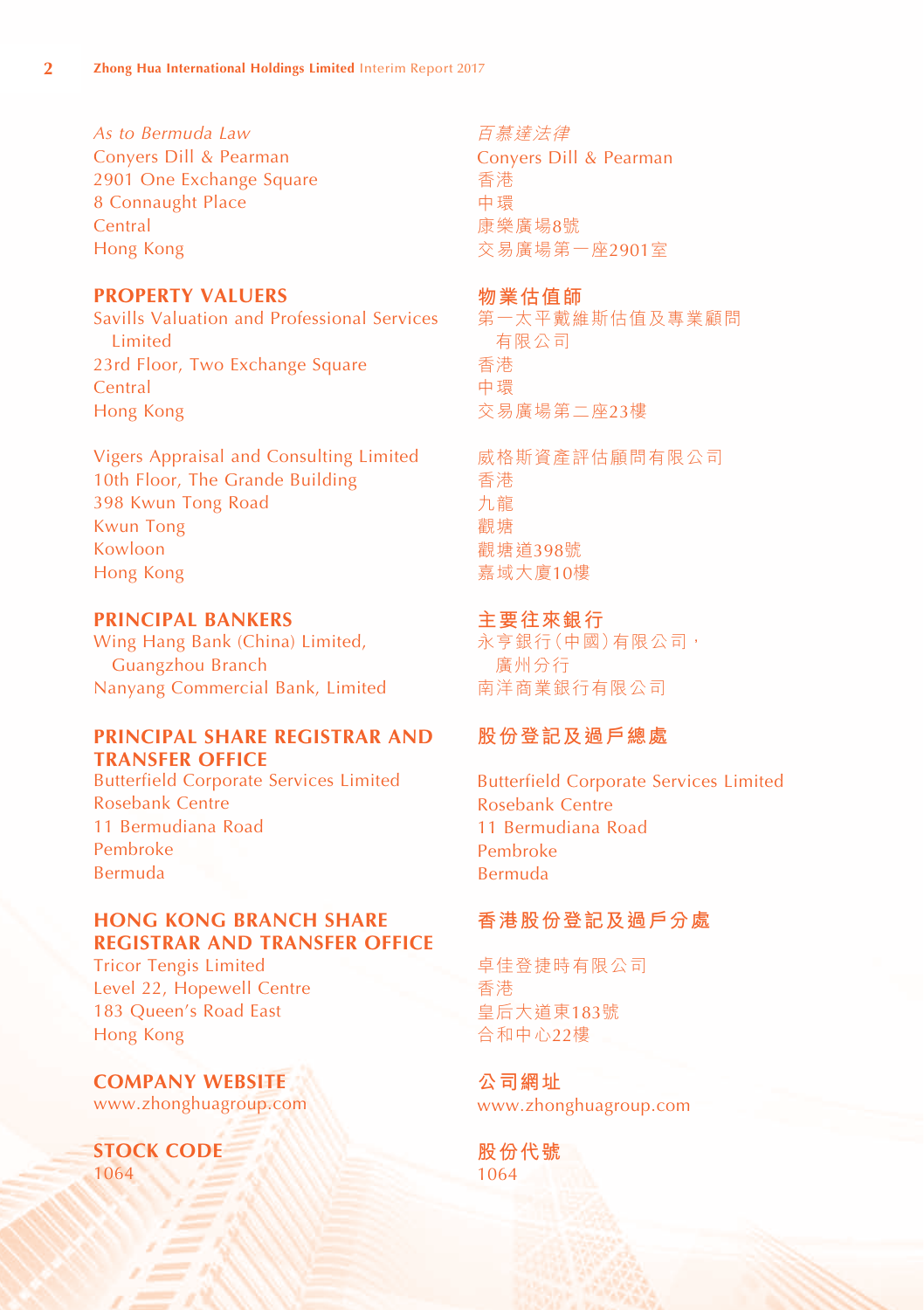*As to Bermuda Law* Conyers Dill & Pearman 2901 One Exchange Square 8 Connaught Place **Central** Hong Kong

#### **PROPERTY VALUERS**

Savills Valuation and Professional Services Limited 23rd Floor, Two Exchange Square **Central** Hong Kong

Vigers Appraisal and Consulting Limited 10th Floor, The Grande Building 398 Kwun Tong Road Kwun Tong Kowloon Hong Kong

#### **PRINCIPAL BANKERS**

Wing Hang Bank (China) Limited, Guangzhou Branch Nanyang Commercial Bank, Limited

#### **PRINCIPAL SHARE REGISTRAR AND TRANSFER OFFICE**

Butterfield Corporate Services Limited Rosebank Centre 11 Bermudiana Road Pembroke Bermuda

#### **HONG KONG BRANCH SHARE REGISTRAR AND TRANSFER OFFICE**

Tricor Tengis Limited Level 22, Hopewell Centre 183 Queen's Road East Hong Kong

**COMPANY WEBSITE** www.zhonghuagroup.com

**STOCK CODE** 1064

百慕達法律

Conyers Dill & Pearman 香港 中環 康樂廣場8號 交易廣場第一座2901室

#### **物業估值師**

第一太平戴維斯估值及專業顧問 有限公司 香港 中環 交易廣場第二座23樓

威格斯資產評估顅問有限公司 香港 九龍 觀塘 觀塘道398號 嘉域大廈10樓

# **主要往來銀行**

永亨銀行(中國)有限公司, 廣州分行 南洋商業銀行有限公司

# **股份登記及過戶總處**

Butterfield Corporate Services Limited Rosebank Centre 11 Bermudiana Road Pembroke Bermuda

# **香港股份登記及過戶分處**

卓佳登捷時有限公司 香港 皇后大道東183號 合和中心22樓

**公司網址** www.zhonghuagroup.com

**股份代號** 1064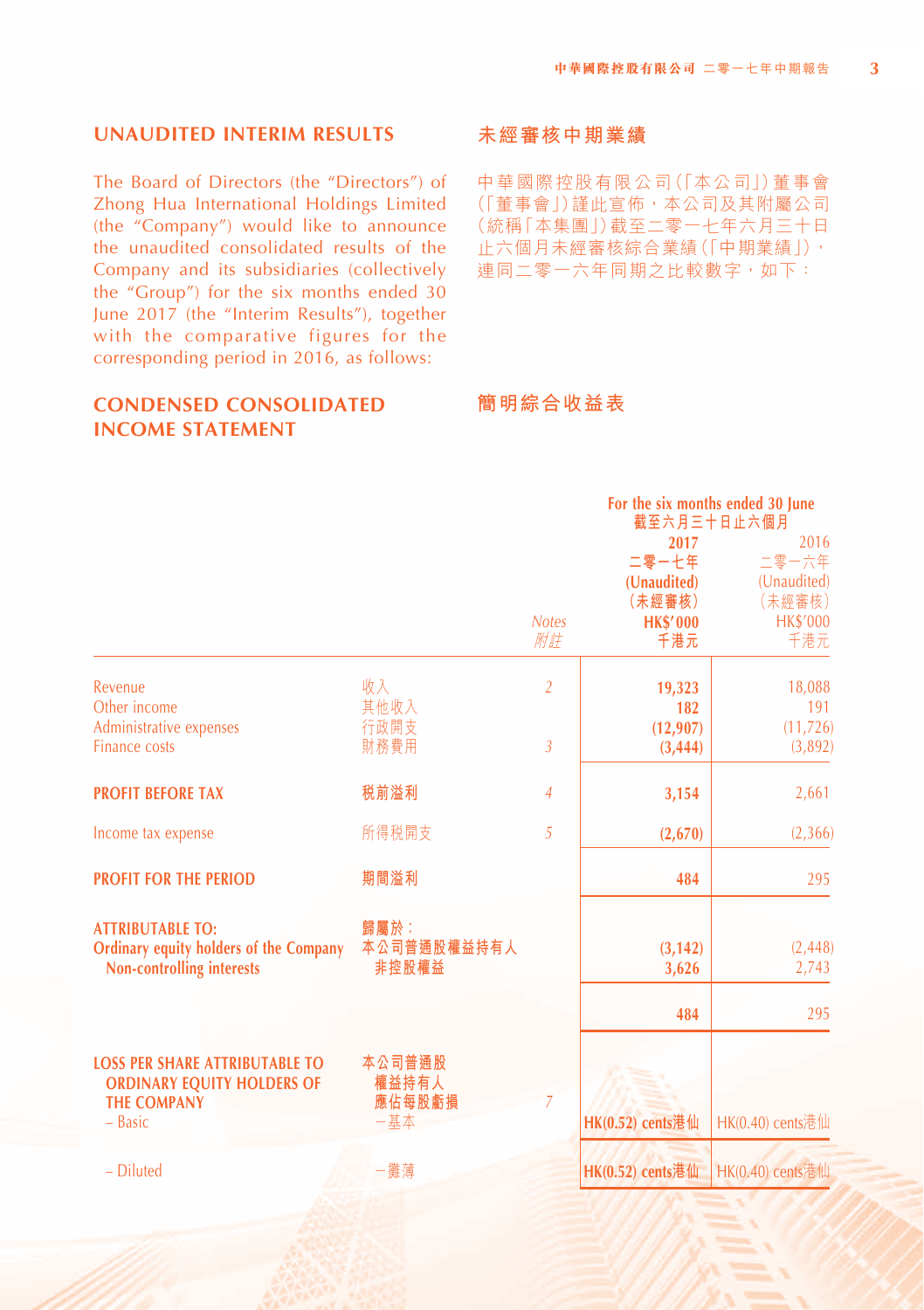#### **UNAUDITED INTERIM RESULTS**

The Board of Directors (the "Directors") of Zhong Hua International Holdings Limited (the "Company") would like to announce the unaudited consolidated results of the Company and its subsidiaries (collectively the "Group") for the six months ended 30 June 2017 (the "Interim Results"), together with the comparative figures for the corresponding period in 2016, as follows:

#### **CONDENSED CONSOLIDATED INCOME STATEMENT**

#### **未經審核中期業績**

中華國際控股有限公司(「本公司」)董事會 (「董事會」)謹此宣佈,本公司及其附屬公司 (統稱「本集團」)截至二零一七年六月三十日 止六個月未經審核綜合業績(「中期業績」), 連同二零一六年同期之比較數字,如下:

# **簡明綜合收益表**

|                                                                                                               |                                  |                |                                                           | For the six months ended 30 June<br>截至六月三十日止六個月           |
|---------------------------------------------------------------------------------------------------------------|----------------------------------|----------------|-----------------------------------------------------------|-----------------------------------------------------------|
|                                                                                                               |                                  | <b>Notes</b>   | 2017<br>二零一七年<br>(Unaudited)<br>(未經審核)<br><b>HK\$'000</b> | 2016<br>二零一六年<br>(Unaudited)<br>(未經審核)<br><b>HK\$'000</b> |
|                                                                                                               |                                  | 附註             | 千港元                                                       | 千港元                                                       |
| Revenue<br>Other income                                                                                       | 收入<br>其他收入                       | $\overline{2}$ | 19,323<br>182                                             | 18,088<br>191                                             |
| Administrative expenses<br><b>Finance costs</b>                                                               | 行政開支<br>財務費用                     | $\overline{3}$ | (12, 907)<br>(3, 444)                                     | (11, 726)<br>(3,892)                                      |
| <b>PROFIT BEFORE TAX</b>                                                                                      | 税前溢利                             | $\overline{4}$ | 3,154                                                     | 2,661                                                     |
| Income tax expense                                                                                            | 所得税開支                            | 5              | (2,670)                                                   | (2,366)                                                   |
| <b>PROFIT FOR THE PERIOD</b>                                                                                  | 期間溢利                             |                | 484                                                       | 295                                                       |
| <b>ATTRIBUTABLE TO:</b><br><b>Ordinary equity holders of the Company</b><br><b>Non-controlling interests</b>  | 歸屬於:<br>本公司普通股權益持有人<br>非控股權益     |                | (3, 142)<br>3,626                                         | (2, 448)<br>2,743                                         |
|                                                                                                               |                                  |                | 484                                                       | 295                                                       |
| <b>LOSS PER SHARE ATTRIBUTABLE TO</b><br><b>ORDINARY EQUITY HOLDERS OF</b><br><b>THE COMPANY</b><br>$-$ Basic | 本公司普通股<br>權益持有人<br>應佔每股虧損<br>一基本 | $\overline{7}$ | HK(0.52) cents港仙                                          | HK(0.40) cents港仙                                          |
| - Diluted                                                                                                     | 一攤蓮                              |                | HK(0.52) cents港仙                                          | HK(0.40) cents港仙                                          |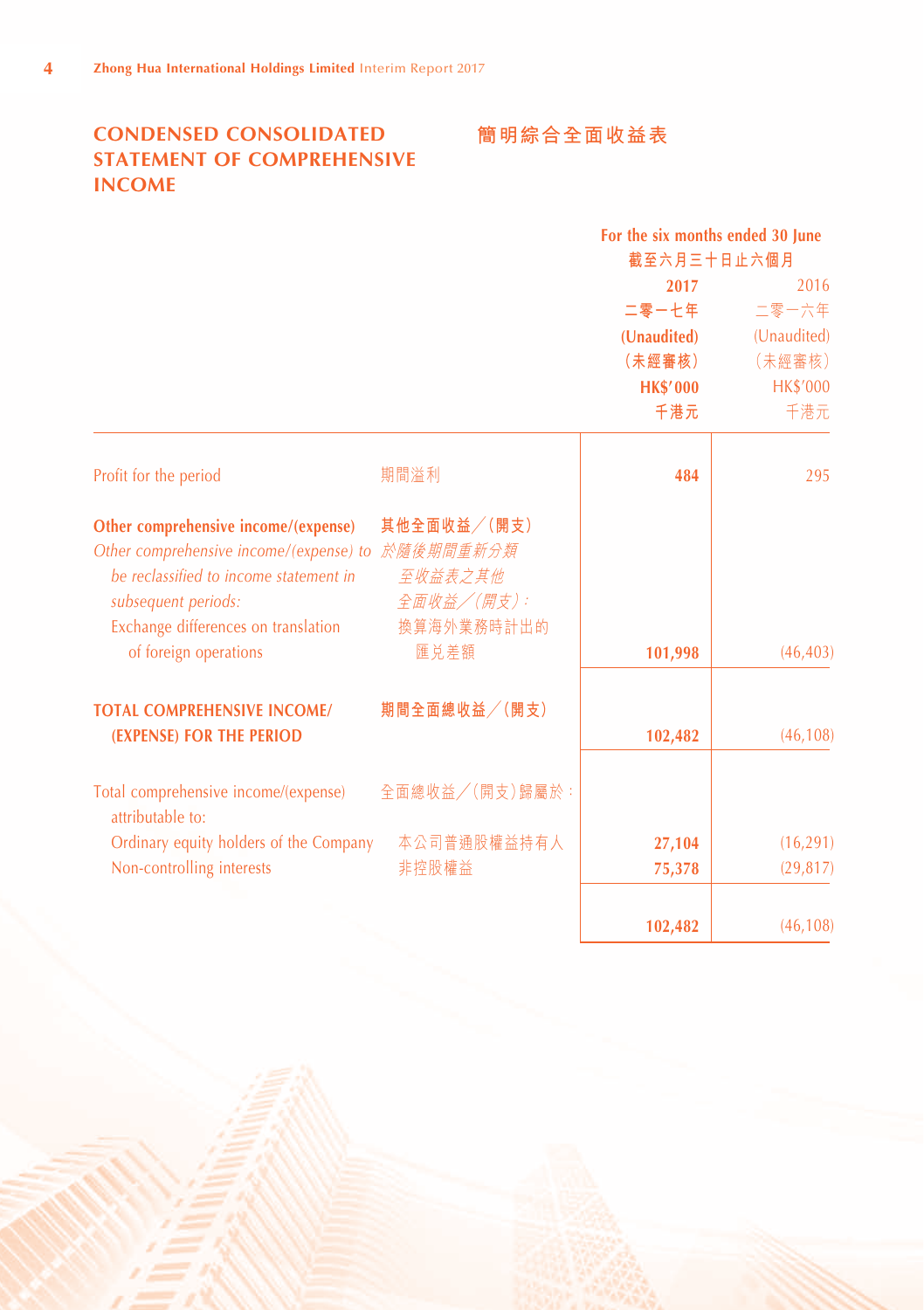# **CONDENSED CONSOLIDATED STATEMENT OF COMPREHENSIVE INCOME**

# **簡明綜合全面收益表**

|                                                          |                | For the six months ended 30 June<br>截至六月三十日止六個月 |                 |
|----------------------------------------------------------|----------------|-------------------------------------------------|-----------------|
|                                                          |                | 2017                                            | 2016            |
|                                                          |                | 二零一七年                                           | 二零一六年           |
|                                                          |                | (Unaudited)                                     | (Unaudited)     |
|                                                          |                | (未經審核)                                          | (未經審核)          |
|                                                          |                | <b>HK\$'000</b>                                 | <b>HK\$'000</b> |
|                                                          |                | 千港元                                             | 千港元             |
| Profit for the period                                    | 期間溢利           | 484                                             | 295             |
| Other comprehensive income/(expense)                     | 其他全面收益/(開支)    |                                                 |                 |
| Other comprehensive income/(expense) to                  | 於隨後期間重新分類      |                                                 |                 |
| be reclassified to income statement in                   | 至收益表之其他        |                                                 |                 |
| subsequent periods:                                      | 全面收益/(開支):     |                                                 |                 |
| Exchange differences on translation                      | 換算海外業務時計出的     |                                                 |                 |
| of foreign operations                                    | 匯兑差額           | 101,998                                         | (46, 403)       |
| <b>TOTAL COMPREHENSIVE INCOME/</b>                       | 期間全面總收益/(開支)   |                                                 |                 |
| (EXPENSE) FOR THE PERIOD                                 |                | 102,482                                         | (46, 108)       |
| Total comprehensive income/(expense)<br>attributable to: | 全面總收益/(開支)歸屬於: |                                                 |                 |
| Ordinary equity holders of the Company                   | 本公司普通股權益持有人    | 27,104                                          | (16, 291)       |
| Non-controlling interests                                | 非控股權益          | 75,378                                          | (29, 817)       |
|                                                          |                | 102,482                                         | (46, 108)       |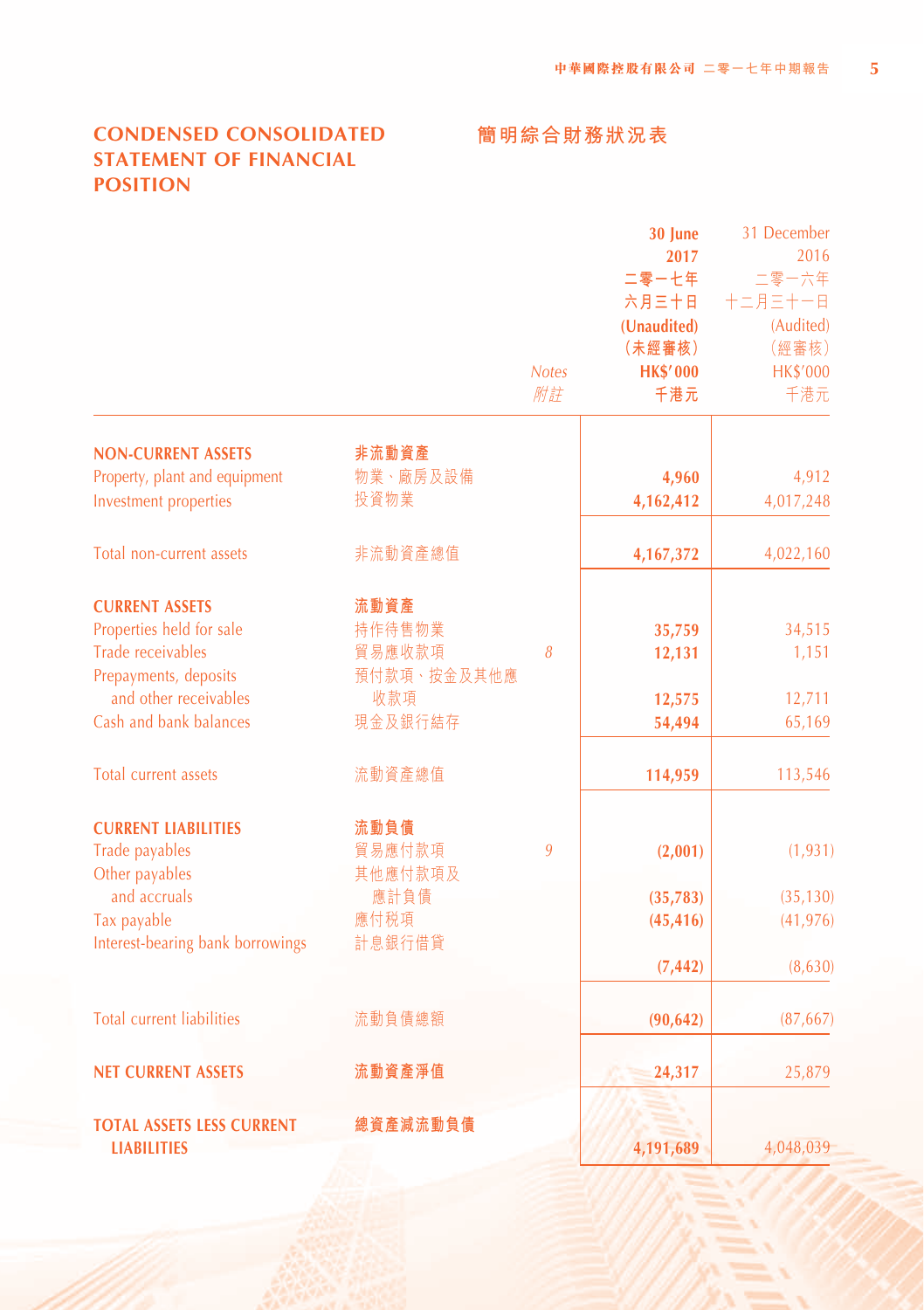# **CONDENSED CONSOLIDATED STATEMENT OF FINANCIAL POSITION**

# **30 June** 31 December **2017** 2016<br>- 七年 二零一六年 **二零一七年** 二零一六年 **六月三十日** 十二月三十一日 **(Unaudited)** (Audited) **(未經審核)** (經審核) *Notes* **HK\$' 000** HK\$'000 附註 **千港元** 千港元 **NON-CURRENT ASSETS 非流動資產** Property, plant and equipment **物業、廠房及設備 4,960** 4,912 Investment properties 投資物業 **4,162,412** 4,017,248

預付款項、按金及其他應

其他應付款項及

**總資產減流動負債**

Total non-current assets 非流動資產總值 **4,167,372** 4,022,160

#### **CURRENT ASSETS 流動資產**

Properties held for sale 持作待售物業 **35,759** 34,515 Trade receivables 貿易應收款項 *8* **12.131** 1 1,151 Prepayments, deposits and other receivables Cash and bank balances 現金及銀行結存 **54,494** 65,169

Total current assets **113,546** 流動資產總值 **114,959 113,546** 

#### **CURRENT LIABILITIES 流動負債** Trade payables 貿易應付款項 *9* **(2,001)** (1,931)

Other payables and accruals Tax payable 應付稅項 **(45,416)** (41,976) Interest-bearing bank borrowings 計息銀行借貸

# Total current liabilities 流動負債總額 **(90,642)** (87,667)

**NET CURRENT ASSETS 流動資產淨值 24,317** 25,879

# **TOTAL ASSETS LESS CURRENT**

**LIABILITIES**

**(7,442)** (8,630)

- 
- **4,191,689** 4,048,039

# **簡明綜合財務狀況表**

收款項 **12,575** 12,711

應計負債 **(35,783)** (35,130)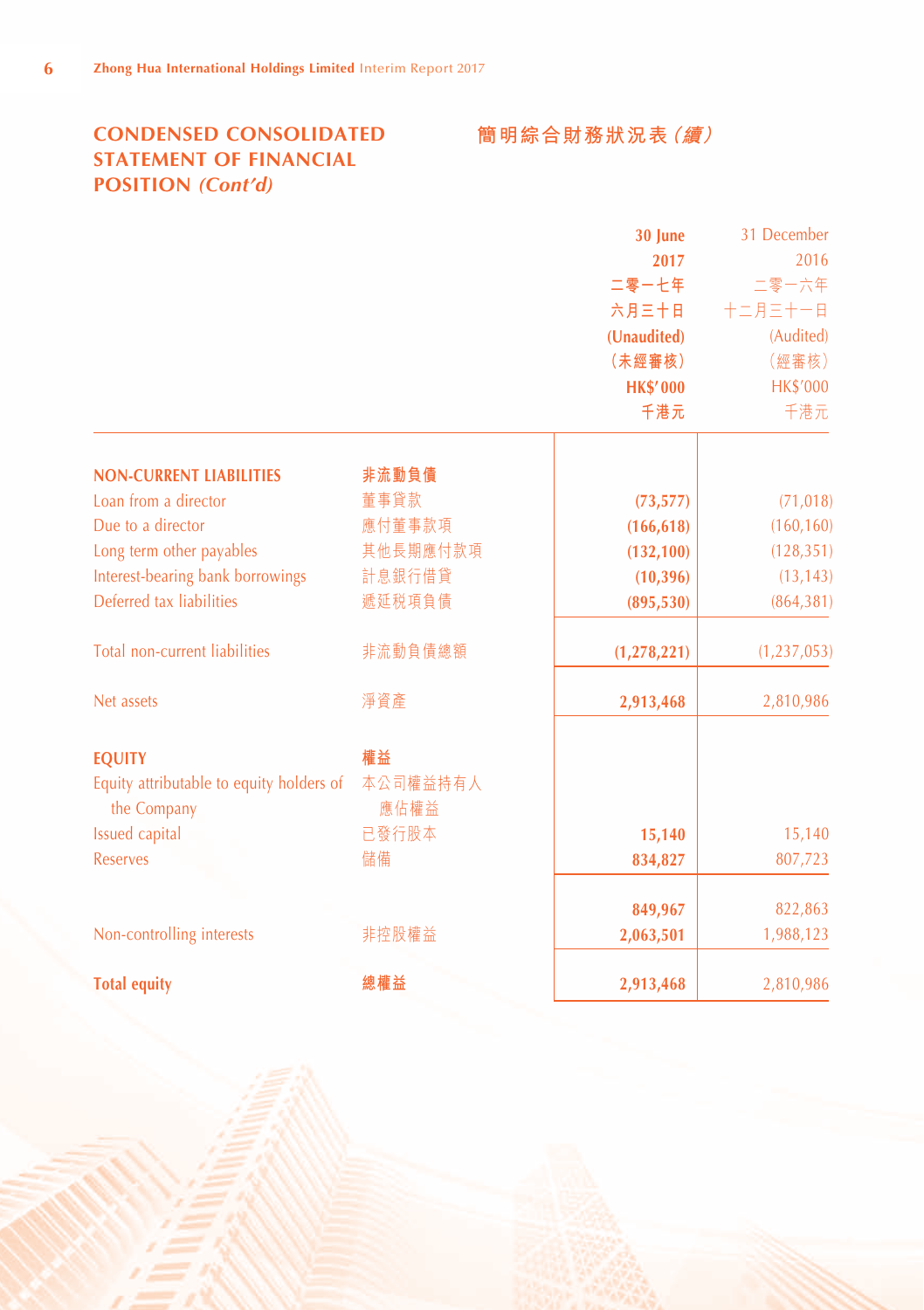# **CONDENSED CONSOLIDATED STATEMENT OF FINANCIAL POSITION** *(Cont'd)*

**簡明綜合財務狀況表(續)**

|                                          |          | 30 June         | 31 December   |
|------------------------------------------|----------|-----------------|---------------|
|                                          |          | 2017            | 2016          |
|                                          |          | 二零一七年           | 二零一六年         |
|                                          |          | 六月三十日           | 十二月三十一日       |
|                                          |          | (Unaudited)     | (Audited)     |
|                                          |          | (未經審核)          | (經審核)         |
|                                          |          | <b>HK\$'000</b> | HK\$'000      |
|                                          |          | 千港元             | 千港元           |
| <b>NON-CURRENT LIABILITIES</b>           | 非流動負債    |                 |               |
| Loan from a director                     | 董事貸款     | (73, 577)       | (71, 018)     |
| Due to a director                        | 應付董事款項   | (166, 618)      | (160, 160)    |
| Long term other payables                 | 其他長期應付款項 | (132, 100)      | (128, 351)    |
| Interest-bearing bank borrowings         | 計息銀行借貸   | (10, 396)       | (13, 143)     |
| Deferred tax liabilities                 | 遞延税項負債   | (895, 530)      | (864, 381)    |
| Total non-current liabilities            | 非流動負債總額  | (1, 278, 221)   | (1, 237, 053) |
| Net assets                               | 淨資產      | 2,913,468       | 2,810,986     |
| <b>EQUITY</b>                            | 權益       |                 |               |
| Equity attributable to equity holders of | 本公司權益持有人 |                 |               |
| the Company                              | 應佔權益     |                 |               |
| Issued capital                           | 已發行股本    | 15,140          | 15,140        |
| <b>Reserves</b>                          | 儲備       | 834,827         | 807,723       |
|                                          |          | 849,967         | 822,863       |
| Non-controlling interests                | 非控股權益    | 2,063,501       | 1,988,123     |
| <b>Total equity</b>                      | 總權益      | 2,913,468       | 2,810,986     |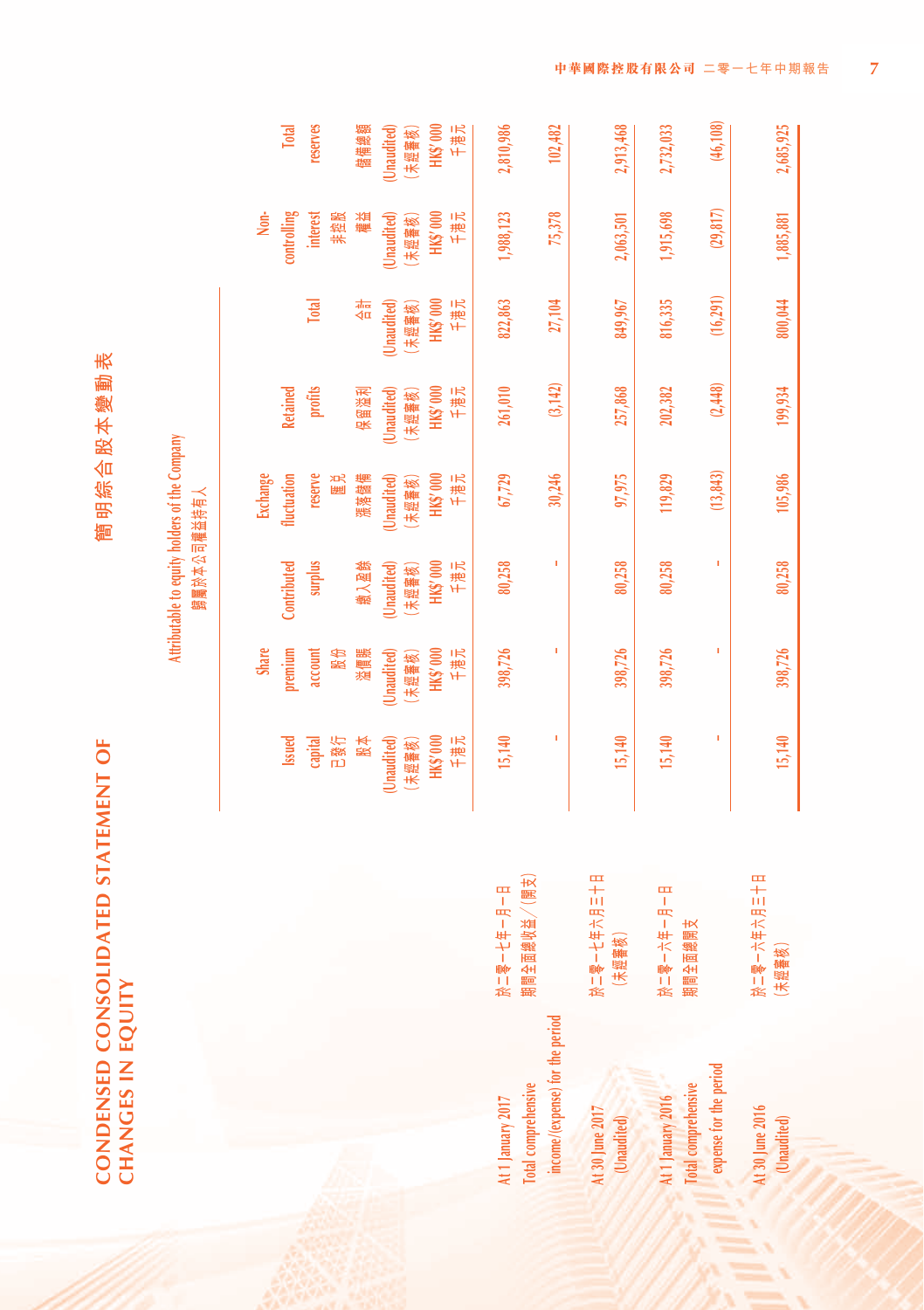| ŧ      |
|--------|
|        |
| N      |
| ļ      |
|        |
|        |
|        |
| ᇤ<br>ш |
| ł<br>r |
|        |
|        |
|        |

**CONDENSED CONSOLIDATED STATEMENT OF** 

CONDENSED CONSOLIDATED STATEMENT OF

**CHANGES IN EQUITY**

CHANGES IN EQUITY

Attributable to equity holders of the Company **Attributable to equity holders of the Company** 歸屬於本公司權益持有人 **歸屬於本公司權益持有人**

|                                                        |                                       |             | <b>Share</b> |             | Exchange    |                 |              | $\frac{1}{2}$   |              |
|--------------------------------------------------------|---------------------------------------|-------------|--------------|-------------|-------------|-----------------|--------------|-----------------|--------------|
|                                                        |                                       | Issued      | premium      | Contributed | fluctuation | <b>Retained</b> |              | controlling     | <b>Total</b> |
|                                                        |                                       | capital     | account      | surplus     | reserve     | profits         | <b>Total</b> | <b>interest</b> | reserves     |
|                                                        |                                       | 已發行         | 股份           |             | 医通          |                 |              | 非控股             |              |
|                                                        |                                       | 股本          | 溢價賬          | 缴入盈餘        | 漲落儲備        | 保留溢利            | 有合           | 橘油              | 儲備總額         |
|                                                        |                                       | (Unaudited) | Unaudited    | Unaudited)  | Unaudited)  | (Unaudited)     | Unaudited    | Unaudited)      | Unaudited    |
|                                                        |                                       | (未經審核)      | (未經審核)       | (未經審核)      | (未經審核)      | (未經審核)          | (未經審核)       | (未經審核)          | (未經審核)       |
|                                                        |                                       | HK\$'000    | HK\$'000     | HK\$'000    | HK\$'000    | HK\$'000        | HK\$'000     | HK\$'000        | HK\$'000     |
|                                                        |                                       | 千港元         | 千港元          | 千港元         | 千港元         | 千港元             | 千港元          | 千港元             | 千港元          |
| 4t 1 January 2017                                      | 於二零一七年一月一日                            | 15,140      | 398,726      | 80,258      | 67,729      | 261,010         | 822,863      | 1,988,123       | 2,810,986    |
| income/(expense) for the period<br>Total comprehensive | 期間全面總收益/(開支                           | I           | I            | Ì           | 30,246      | (3, 142)        | 27,104       | 75,378          | 102,482      |
| 4t 30 June 2017<br>(Unaudited)                         | 日十三年六年十一年 1名<br>(未經審核)                | 15,140      | 398,726      | 80,258      | 97,975      | 257,868         | 849,967      | 2,063,501       | 2,913,468    |
| 4t 1 January 2016                                      | 田 - 田 - 中 - 木 - 駒 - 尨                 | 15,140      | 398,726      | 80,258      | 119,829     | 202,382         | 816,335      | 1,915,698       | 2,732,033    |
| expense for the period<br>Total comprehensive          | 期間全面總開支                               |             | I            | ï           | (13, 843)   | (2, 448)        | (16,291)     | (29, 817)       | (46, 108)    |
| At 30 June 2016<br>(Unaudited)                         | <b>ロ十川 EK ⇒ ⇒ ⇒ ⇒ ⇒ ⇒ ⇒</b><br>(未經審核) | 15,140      | 398,726      | 80,258      | 105,986     | 199,934         | 800,044      | 1,885,881       | 2,685,925    |

At 30 June 2016 **At 30 June 2016 (Unaudited)**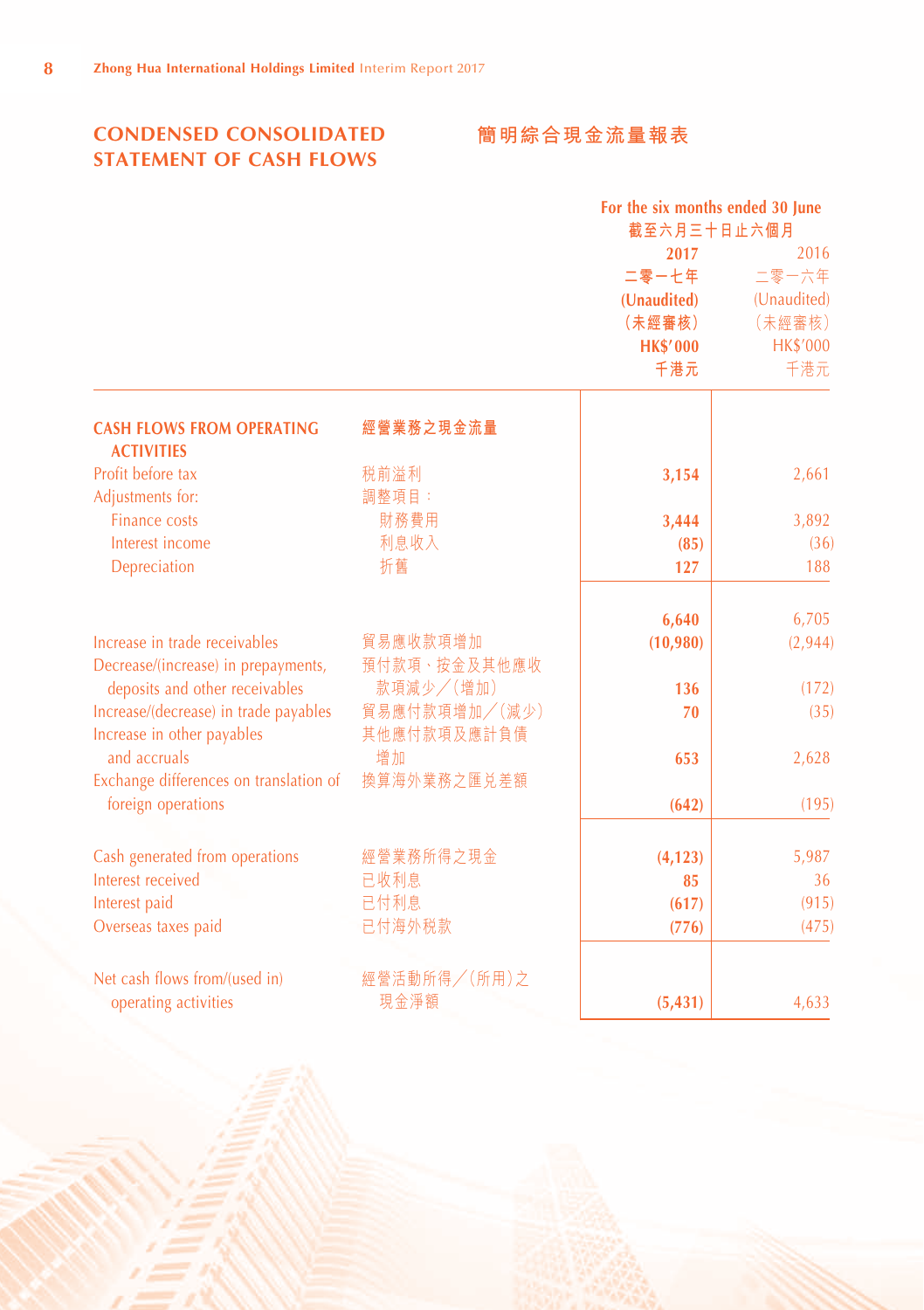# **CONDENSED CONSOLIDATED STATEMENT OF CASH FLOWS**

# **簡明綜合現金流量報表**

|                                                                     |                              | For the six months ended 30 June<br>截至六月三十日止六個月 |                 |
|---------------------------------------------------------------------|------------------------------|-------------------------------------------------|-----------------|
|                                                                     |                              | 2017                                            | 2016            |
|                                                                     |                              | 二零一七年                                           | 二零一六年           |
|                                                                     |                              | (Unaudited)                                     | (Unaudited)     |
|                                                                     |                              | (未經審核)                                          | (未經審核)          |
|                                                                     |                              | <b>HK\$'000</b>                                 | <b>HK\$'000</b> |
|                                                                     |                              | 千港元                                             | 千港元             |
| <b>CASH FLOWS FROM OPERATING</b><br><b>ACTIVITIES</b>               | 經營業務之現金流量                    |                                                 |                 |
| Profit before tax                                                   | 税前溢利                         | 3,154                                           | 2,661           |
| Adjustments for:                                                    | 調整項目:                        |                                                 |                 |
| <b>Finance costs</b>                                                | 財務費用                         | 3,444                                           | 3,892           |
| Interest income                                                     | 利息收入                         | (85)                                            | (36)            |
| Depreciation                                                        | 折舊                           | 127                                             | 188             |
|                                                                     |                              | 6,640                                           | 6,705           |
| Increase in trade receivables                                       | 貿易應收款項增加                     | (10,980)                                        | (2,944)         |
| Decrease/(increase) in prepayments,                                 | 預付款項、按金及其他應收                 |                                                 |                 |
| deposits and other receivables                                      | 款項減少/(增加)                    | 136                                             | (172)           |
| Increase/(decrease) in trade payables<br>Increase in other payables | 貿易應付款項增加/(減少)<br>其他應付款項及應計負債 | 70                                              | (35)            |
| and accruals                                                        | 增加                           |                                                 |                 |
| Exchange differences on translation of                              | 換算海外業務之匯兑差額                  | 653                                             | 2,628           |
| foreign operations                                                  |                              | (642)                                           | (195)           |
| Cash generated from operations                                      | 經營業務所得之現金                    | (4, 123)                                        | 5,987           |
| Interest received                                                   | 已收利息                         | 85                                              | 36              |
| Interest paid                                                       | 已付利息                         | (617)                                           | (915)           |
| Overseas taxes paid                                                 | 已付海外税款                       | (776)                                           | (475)           |
| Net cash flows from/(used in)                                       | 經營活動所得/(所用)之                 |                                                 |                 |
| operating activities                                                | 現金淨額                         | (5, 431)                                        | 4,633           |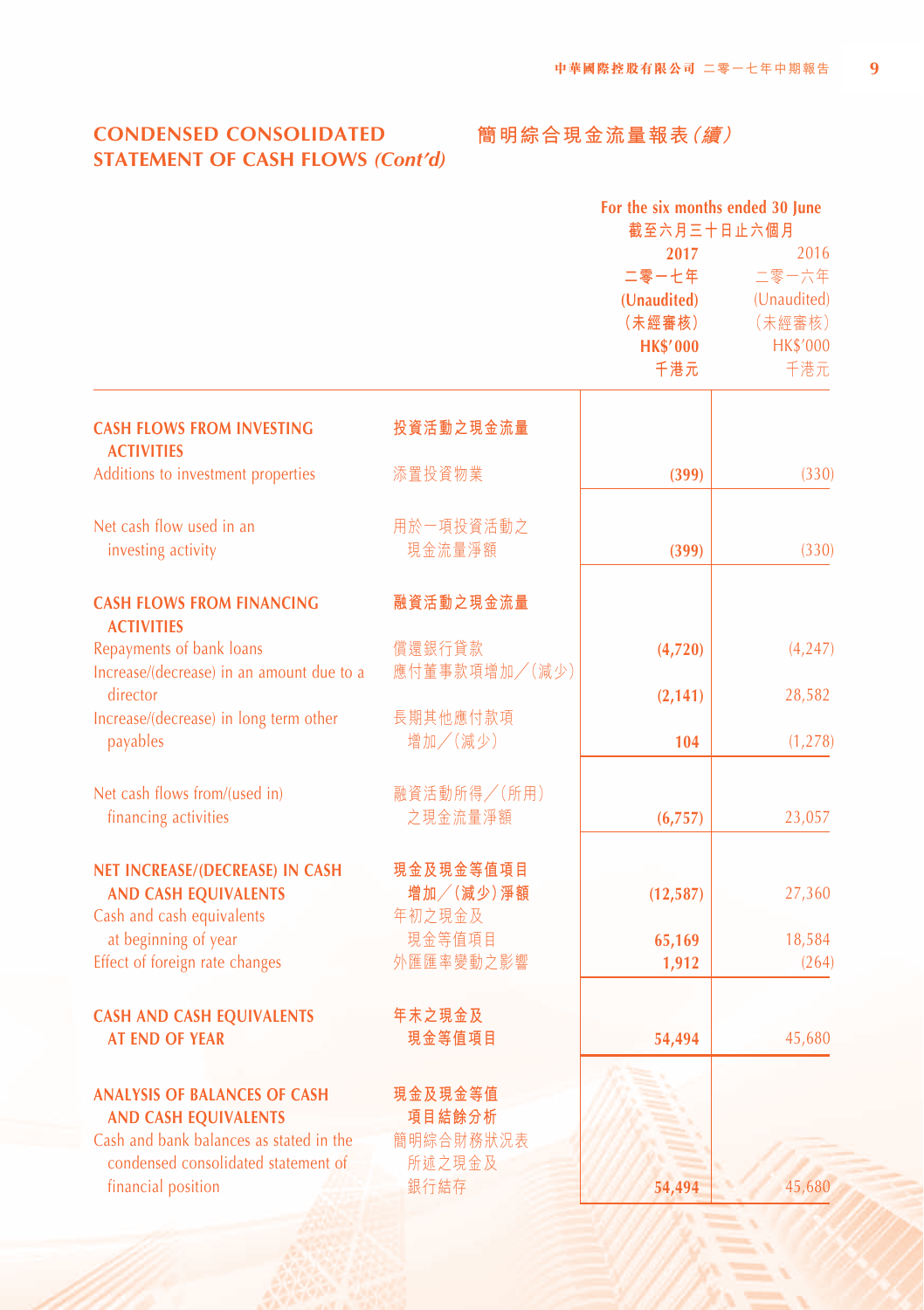#### **CONDENSED CONSOLIDATED 簡明綜合現金流量報表(續)STATEMENT OF CASH FLOWS** *(Cont'd)*

|                                                       |               | For the six months ended 30 June |                 |
|-------------------------------------------------------|---------------|----------------------------------|-----------------|
|                                                       |               | 截至六月三十日止六個月                      |                 |
|                                                       |               | 2017                             | 2016            |
|                                                       |               | 二零一七年                            | 二零一六年           |
|                                                       |               | (Unaudited)                      | (Unaudited)     |
|                                                       |               | (未經審核)                           | (未經審核)          |
|                                                       |               | <b>HK\$'000</b>                  | <b>HK\$'000</b> |
|                                                       |               | 千港元                              | 千港元             |
| <b>CASH FLOWS FROM INVESTING</b><br><b>ACTIVITIES</b> | 投資活動之現金流量     |                                  |                 |
| Additions to investment properties                    | 添置投資物業        | (399)                            | (330)           |
| Net cash flow used in an                              | 用於一項投資活動之     |                                  |                 |
|                                                       | 現金流量淨額        |                                  | (330)           |
| investing activity                                    |               | (399)                            |                 |
| <b>CASH FLOWS FROM FINANCING</b><br><b>ACTIVITIES</b> | 融資活動之現金流量     |                                  |                 |
| Repayments of bank loans                              | 償還銀行貸款        | (4,720)                          | (4,247)         |
| Increase/(decrease) in an amount due to a             | 應付董事款項增加/(減少) |                                  |                 |
| director                                              |               | (2, 141)                         | 28,582          |
| Increase/(decrease) in long term other                | 長期其他應付款項      |                                  |                 |
| payables                                              | 增加/(減少)       | 104                              | (1, 278)        |
| Net cash flows from/(used in)                         | 融資活動所得/(所用)   |                                  |                 |
| financing activities                                  | 之現金流量淨額       | (6,757)                          | 23,057          |
| NET INCREASE/(DECREASE) IN CASH                       | 現金及現金等值項目     |                                  |                 |
| <b>AND CASH EQUIVALENTS</b>                           | 增加/(減少)淨額     | (12, 587)                        | 27,360          |
| Cash and cash equivalents                             | 年初之現金及        |                                  |                 |
| at beginning of year                                  | 現金等值項目        | 65,169                           | 18,584          |
| Effect of foreign rate changes                        | 外匯匯率變動之影響     |                                  | (264)           |
|                                                       |               | 1,912                            |                 |
| <b>CASH AND CASH EQUIVALENTS</b>                      | 年末之現金及        |                                  |                 |
| <b>AT END OF YEAR</b>                                 | 現金等值項目        | 54,494                           | 45,680          |
| <b>ANALYSIS OF BALANCES OF CASH</b>                   | 現金及現金等值       |                                  |                 |
| <b>AND CASH EQUIVALENTS</b>                           | 項目結餘分析        |                                  |                 |
| Cash and bank balances as stated in the               | 簡明綜合財務狀況表     |                                  |                 |
| condensed consolidated statement of                   | 所述之現金及        |                                  |                 |
| financial position                                    | 銀行結存          | 54,494                           | 45,680          |
|                                                       |               |                                  |                 |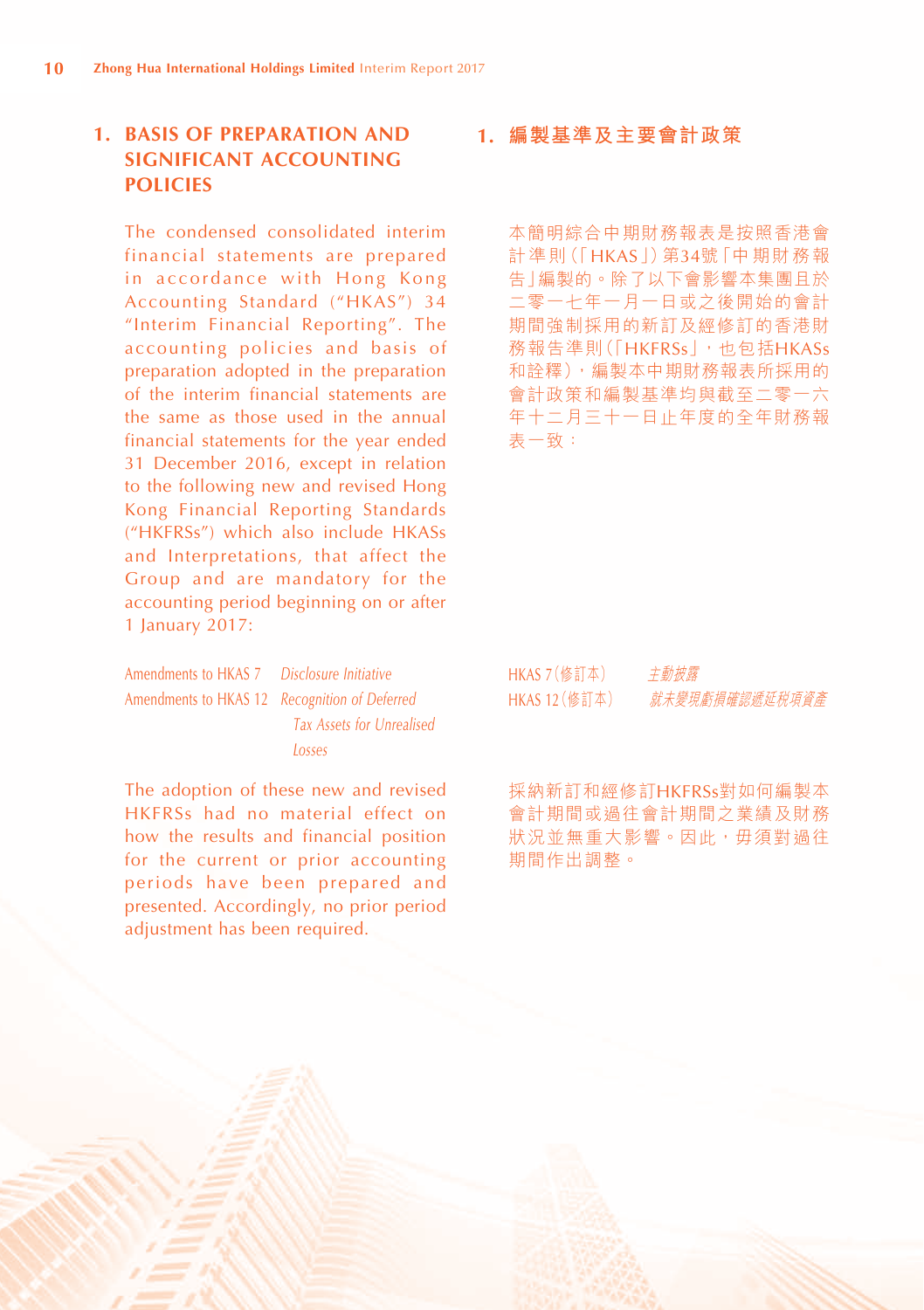# **1. BASIS OF PREPARATION AND SIGNIFICANT ACCOUNTING POLICIES**

The condensed consolidated interim financial statements are prepared in accordance with Hong Kong Accounting Standard ("HKAS") 34 "Interim Financial Reporting". The accounting policies and basis of preparation adopted in the preparation of the interim financial statements are the same as those used in the annual financial statements for the year ended 31 December 2016, except in relation to the following new and revised Hong Kong Financial Reporting Standards ("HKFRSs") which also include HKASs and Interpretations, that affect the Group and are mandatory for the accounting period beginning on or after 1 January 2017:

| Amendments to HKAS 7 Disclosure Initiative    |                                  |
|-----------------------------------------------|----------------------------------|
| Amendments to HKAS 12 Recognition of Deferred |                                  |
|                                               | <b>Tax Assets for Unrealised</b> |
|                                               | Losses                           |

The adoption of these new and revised HKFRSs had no material effect on how the results and financial position for the current or prior accounting periods have been prepared and presented. Accordingly, no prior period adjustment has been required.

**1. 編製基準及主要會計政策**

本簡明綜合中期財務報表是按照香港會 計準則(「HKAS」)第34號「中期財務報 告」編製的。除了以下會影響本集團且於 二零一七年一月一日或之後開始的會計 期間強制採用的新訂及經修訂的香港財 務報告準則(「HKFRSs」,也包括HKASs 和詮釋),編製本中期財務報表所採用的 會計政策和編製基準均與截至二零一六 年十二月三十一日止年度的全年財務報 表一致:

| HKAS 7(修訂本)   | 主動披露           |
|---------------|----------------|
| HKAS 12 (修訂本) | 就未變現虧損確認遞延税項資產 |

採納新訂和經修訂HKFRSs對如何編製本 會計期間或過往會計期間之業績及財務 狀況並無重大影響。因此,毋須對過往 期間作出調整。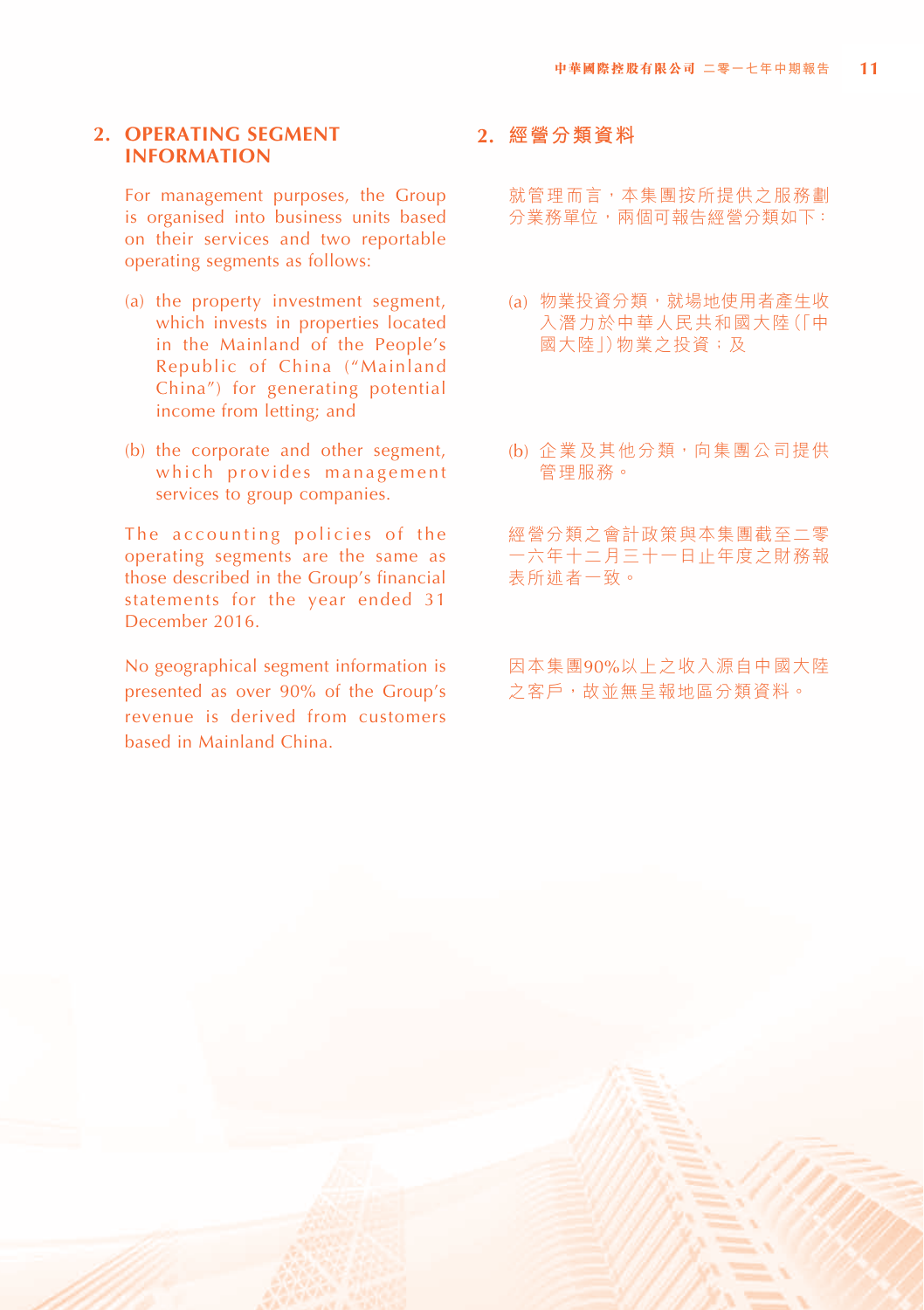#### **2. OPERATING SEGMENT INFORMATION**

For management purposes, the Group is organised into business units based on their services and two reportable operating segments as follows:

- (a) the property investment segment, which invests in properties located in the Mainland of the People's Republic of China ("Mainland China") for generating potential income from letting; and
- (b) the corporate and other segment, which provides management services to group companies.

The accounting policies of the operating segments are the same as those described in the Group's financial statements for the year ended 31 December 2016.

No geographical segment information is presented as over 90% of the Group's revenue is derived from customers based in Mainland China.

#### **2. 經營分類資料**

就管理而言,本集團按所提供之服務劃 分業務單位,兩個可報告經營分類如下:

- (a) 物業投資分類,就場地使用者產生收 入潛力於中華人民共和國大陸(「中 國大陸1)物業之投資;及
- (b) 企業及其他分類, 向集團公司提供 管理服務。

經營分類之會計政策與本集團截至二零 一六年十二月三十一日止年度之財務報 表所述者一致。

因本集團90%以上之收入源自中國大陸 之客戶,故並無呈報地區分類資料。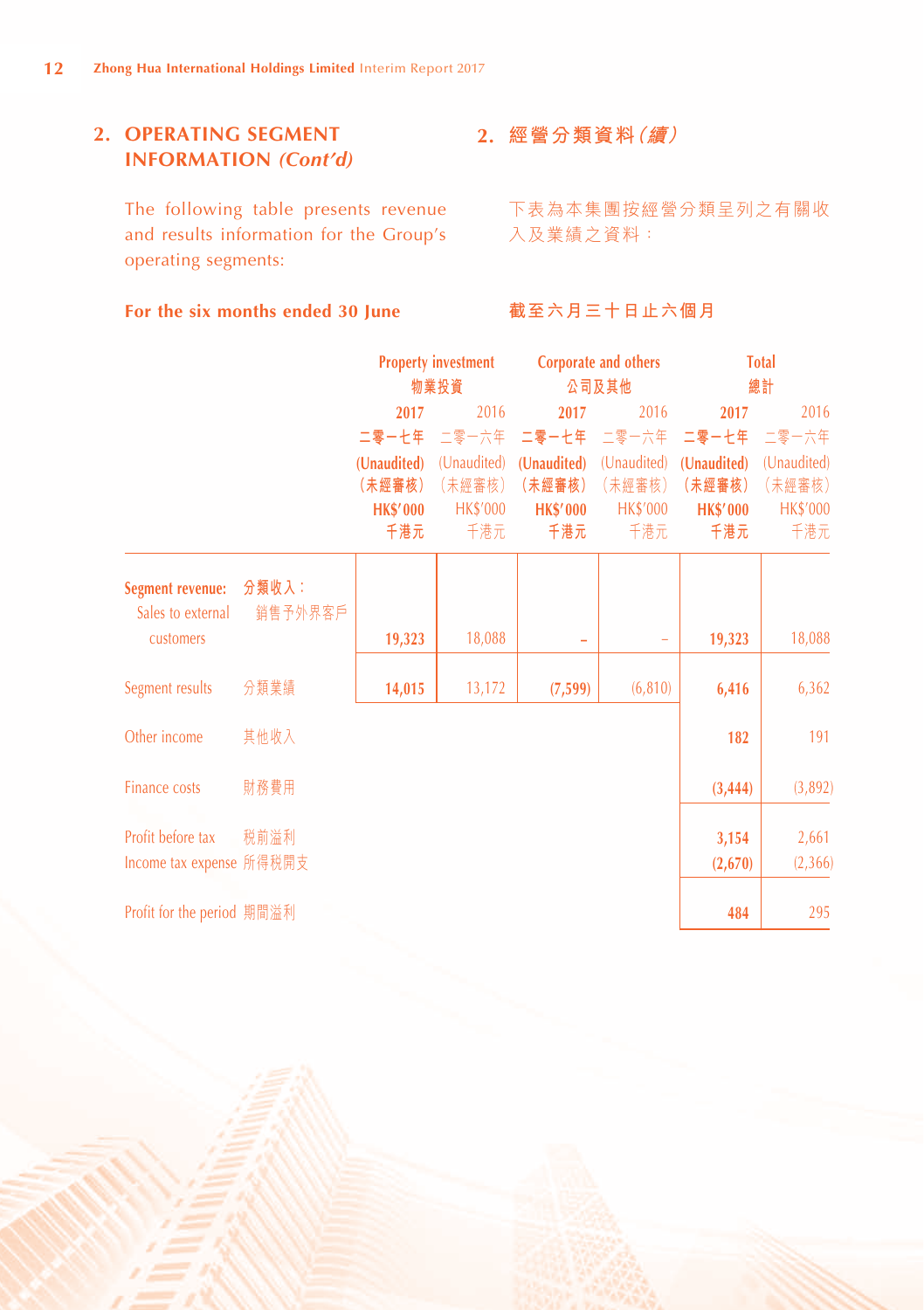# **2. OPERATING SEGMENT INFORMATION** *(Cont'd)*

The following table presents revenue and results information for the Group's operating segments:

#### **For the six months ended 30 June**

# **2. 經營分類資料(續)**

下表為本集團按經營分類呈列之有關收 入及業績之資料:

#### **截至六月三十日止六個月**

|                                       |                  |                 | <b>Property investment</b> |                          | Corporate and others |                 | <b>Total</b>    |
|---------------------------------------|------------------|-----------------|----------------------------|--------------------------|----------------------|-----------------|-----------------|
|                                       |                  |                 | 物業投資                       |                          | 公司及其他                |                 | 總計              |
|                                       |                  | 2017            | 2016                       | 2017                     | 2016                 | 2017            | 2016            |
|                                       |                  | 二零一七年           | 二零一六年                      | 二零一七年 二零一六年              |                      | 二零一七年           | 二零一六年           |
|                                       |                  | (Unaudited)     | (Unaudited)                | (Unaudited)              | (Unaudited)          | (Unaudited)     | (Unaudited)     |
|                                       |                  | (未經審核)          | (未經審核)                     | (未經審核)                   | (未經審核)               | (未經審核)          | (未經審核)          |
|                                       |                  | <b>HK\$'000</b> | <b>HK\$'000</b>            | <b>HK\$'000</b>          | <b>HK\$'000</b>      | <b>HK\$'000</b> | <b>HK\$'000</b> |
|                                       |                  | 千港元             | 千港元                        | 千港元                      | 千港元                  | 千港元             | 千港元             |
| Segment revenue:<br>Sales to external | 分類收入:<br>銷售予外界客戶 |                 |                            |                          |                      |                 |                 |
| customers                             |                  | 19,323          | 18,088                     | $\overline{\phantom{0}}$ |                      | 19,323          | 18,088          |
| Segment results                       | 分類業績             | 14,015          | 13,172                     | (7, 599)                 | (6, 810)             | 6,416           | 6,362           |
| Other income                          | 其他收入             |                 |                            |                          |                      | 182             | 191             |
| <b>Finance costs</b>                  | 財務費用             |                 |                            |                          |                      | (3, 444)        | (3,892)         |
| Profit before tax                     | 税前溢利             |                 |                            |                          |                      | 3,154           | 2,661           |
| Income tax expense 所得税開支              |                  |                 |                            |                          |                      | (2,670)         | (2,366)         |
| Profit for the period 期間溢利            |                  |                 |                            |                          |                      | 484             | 295             |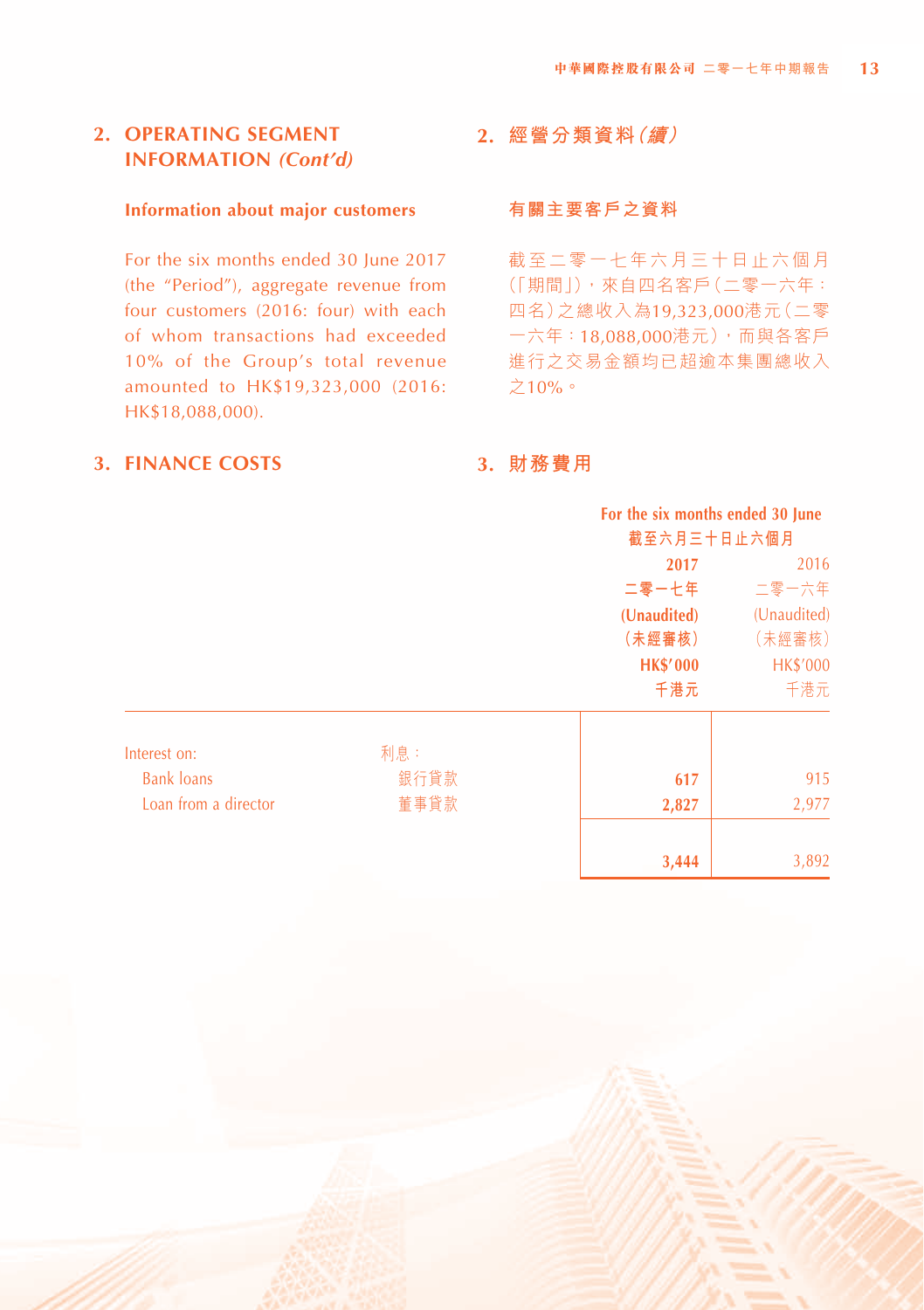# **2. OPERATING SEGMENT INFORMATION** *(Cont'd)*

#### **Information about major customers**

For the six months ended 30 June 2017 (the "Period"), aggregate revenue from four customers (2016: four) with each of whom transactions had exceeded 10% of the Group's total revenue amounted to HK\$19,323,000 (2016: HK\$18,088,000).

#### **3. FINANCE COSTS**

# **2. 經營分類資料(續)**

#### **有關主要客戶之資料**

截至二零一七年六月三十日止六個月 (「期間」),來自四名客戶(二零一六年: 四名)之總收入為19,323,000港元(二零 一六年:18,088,000港元),而與各客戶 進行之交易金額均已超逾本集團總收入 之10%。

# **3. 財務費用**

|                      |      | For the six months ended 30 June |                 |
|----------------------|------|----------------------------------|-----------------|
|                      |      | 截至六月三十日止六個月                      |                 |
|                      |      | 2017                             | 2016            |
|                      |      | 二零一七年                            | 二零一六年           |
|                      |      | (Unaudited)                      | (Unaudited)     |
|                      |      | (未經審核)                           | (未經審核)          |
|                      |      | <b>HK\$'000</b>                  | <b>HK\$'000</b> |
|                      |      | 千港元                              | 千港元             |
| Interest on:         | 利息:  |                                  |                 |
| <b>Bank loans</b>    | 銀行貸款 | 617                              | 915             |
| Loan from a director | 董事貸款 | 2,827                            | 2,977           |
|                      |      | 3,444                            | 3,892           |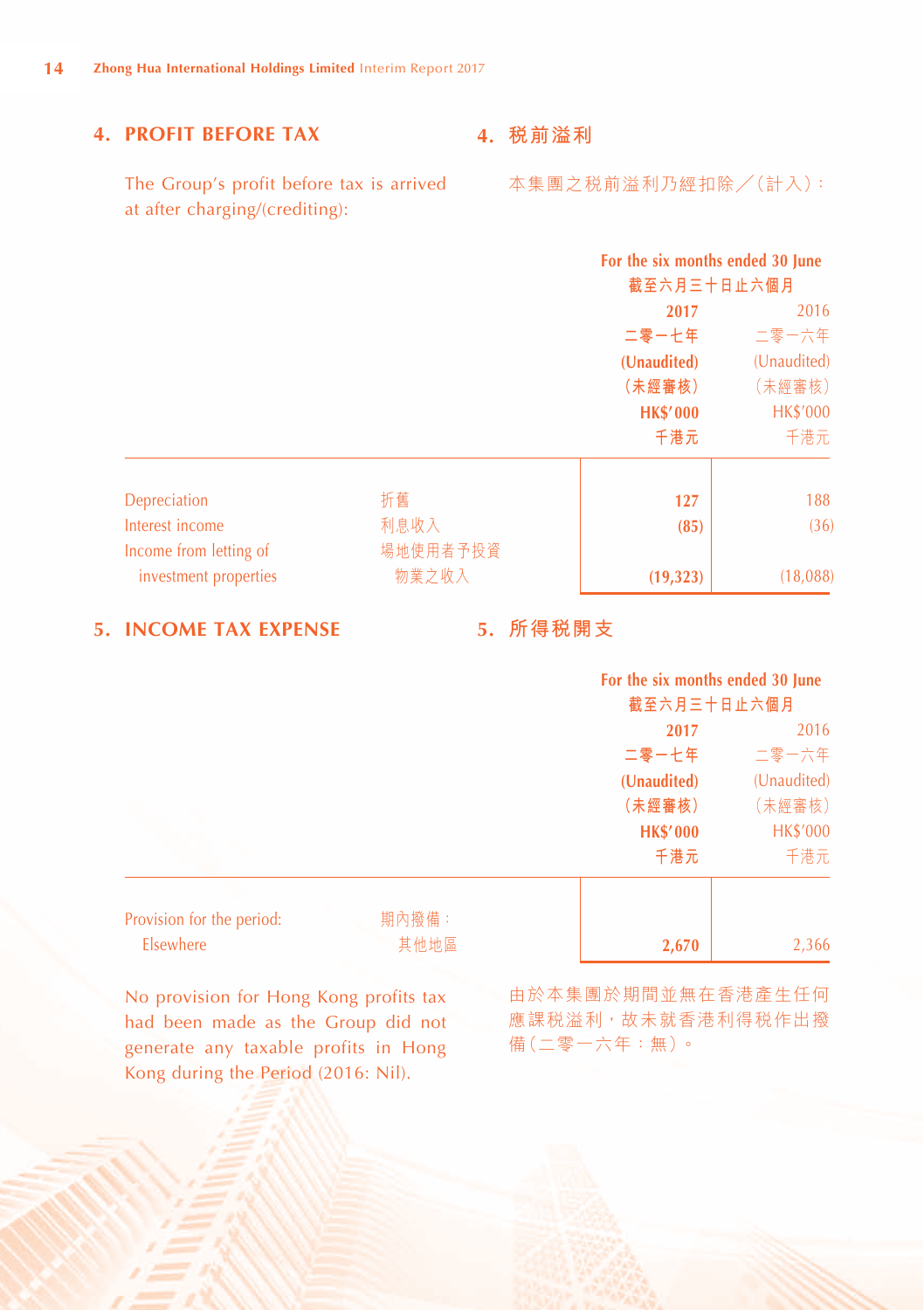# **4. PROFIT BEFORE TAX**

**4. 稅前溢利**

The Group's profit before tax is arrived at after charging/(crediting):

|                        |          | For the six months ended 30 June<br>截至六月三十日止六個月 |                 |
|------------------------|----------|-------------------------------------------------|-----------------|
|                        |          | 2017                                            | 2016            |
|                        |          | 二零一七年                                           | 二零一六年           |
|                        |          | (Unaudited)                                     | (Unaudited)     |
|                        |          | (未經審核)                                          | (未經審核)          |
|                        |          | <b>HK\$'000</b>                                 | <b>HK\$'000</b> |
|                        |          | 千港元                                             | 千港元             |
| Depreciation           | 折舊       | 127                                             | 188             |
| Interest income        | 利息收入     | (85)                                            | (36)            |
| Income from letting of | 場地使用者予投資 |                                                 |                 |
| investment properties  | 物業之收入    | (19, 323)                                       | (18,088)        |

**5. INCOME TAX EXPENSE**

# **5. 所得稅開支**

#### **For the six months ended 30 June 截至六月三十日止六個月**

|                                    | 俄王ハガニT日止ハ仙月     |                 |  |
|------------------------------------|-----------------|-----------------|--|
|                                    | 2017            | 2016            |  |
|                                    | 二零一七年           | 二零一六年           |  |
|                                    | (Unaudited)     | (Unaudited)     |  |
|                                    | (未經審核)          | (未經審核)          |  |
|                                    | <b>HK\$'000</b> | <b>HK\$'000</b> |  |
|                                    | 千港元             | 千港元             |  |
|                                    |                 |                 |  |
| 期內撥備:<br>Provision for the period: |                 |                 |  |

| Provision for the period: | 期内撥備: |       |       |
|---------------------------|-------|-------|-------|
| <b>Elsewhere</b>          | 其他地區  | 2.670 | 2,366 |

No provision for Hong Kong profits tax had been made as the Group did not generate any taxable profits in Hong Kong during the Period (2016: Nil).

由於本集團於期間並無在香港產生任何 應課税溢利,故未就香港利得税作出撥 備(二零一六年:無)。

本集團之稅前溢利乃經扣除╱(計入):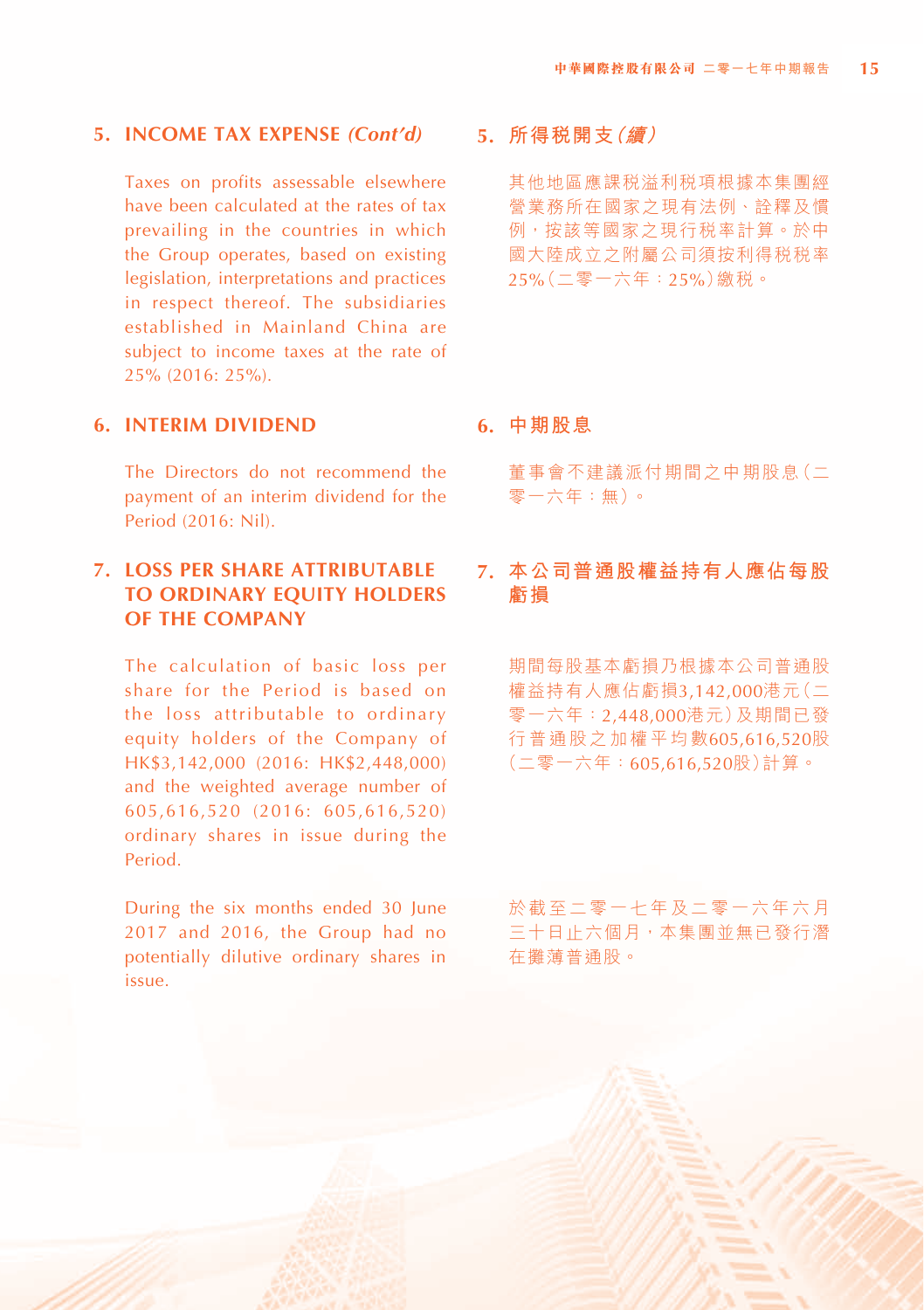#### **5. INCOME TAX EXPENSE** *(Cont'd)*

Taxes on profits assessable elsewhere have been calculated at the rates of tax prevailing in the countries in which the Group operates, based on existing legislation, interpretations and practices in respect thereof. The subsidiaries established in Mainland China are subject to income taxes at the rate of 25% (2016: 25%).

#### **6. INTERIM DIVIDEND**

The Directors do not recommend the payment of an interim dividend for the Period (2016: Nil).

# **7. LOSS PER SHARE ATTRIBUTABLE TO ORDINARY EQUITY HOLDERS OF THE COMPANY**

The calculation of basic loss per share for the Period is based on the loss attributable to ordinary equity holders of the Company of HK\$3,142,000 (2016: HK\$2,448,000) and the weighted average number of 605,616,520 (2016: 605,616,520) ordinary shares in issue during the Period.

During the six months ended 30 June 2017 and 2016, the Group had no potentially dilutive ordinary shares in issue.

# **5. 所得稅開支(續)**

其他地區應課稅溢利稅項根據本集團經 營業務所在國家之現有法例、詮釋及慣 例,按該等國家之現行稅率計算。於中 國大陸成立之附屬公司須按利得稅稅率 25%(二零一六年:25%)繳稅。

#### **6. 中期股息**

董事會不建議派付期間之中期股息(二 零一六年:無)。

# **7. 本公司普通股權益持有人應佔每股 虧損**

期間每股基本虧損乃根據本公司普通股 權益持有人應佔虧損3,142,000港元(二 零一六年:2,448,000港元)及期間已發 行普通股之加權平均數605,616,520股 (二零一六年:605,616,520股)計算。

於截至二零一七年及二零一六年六月 三十日止六個月,本集團並無已發行潛 在攤薄普通股。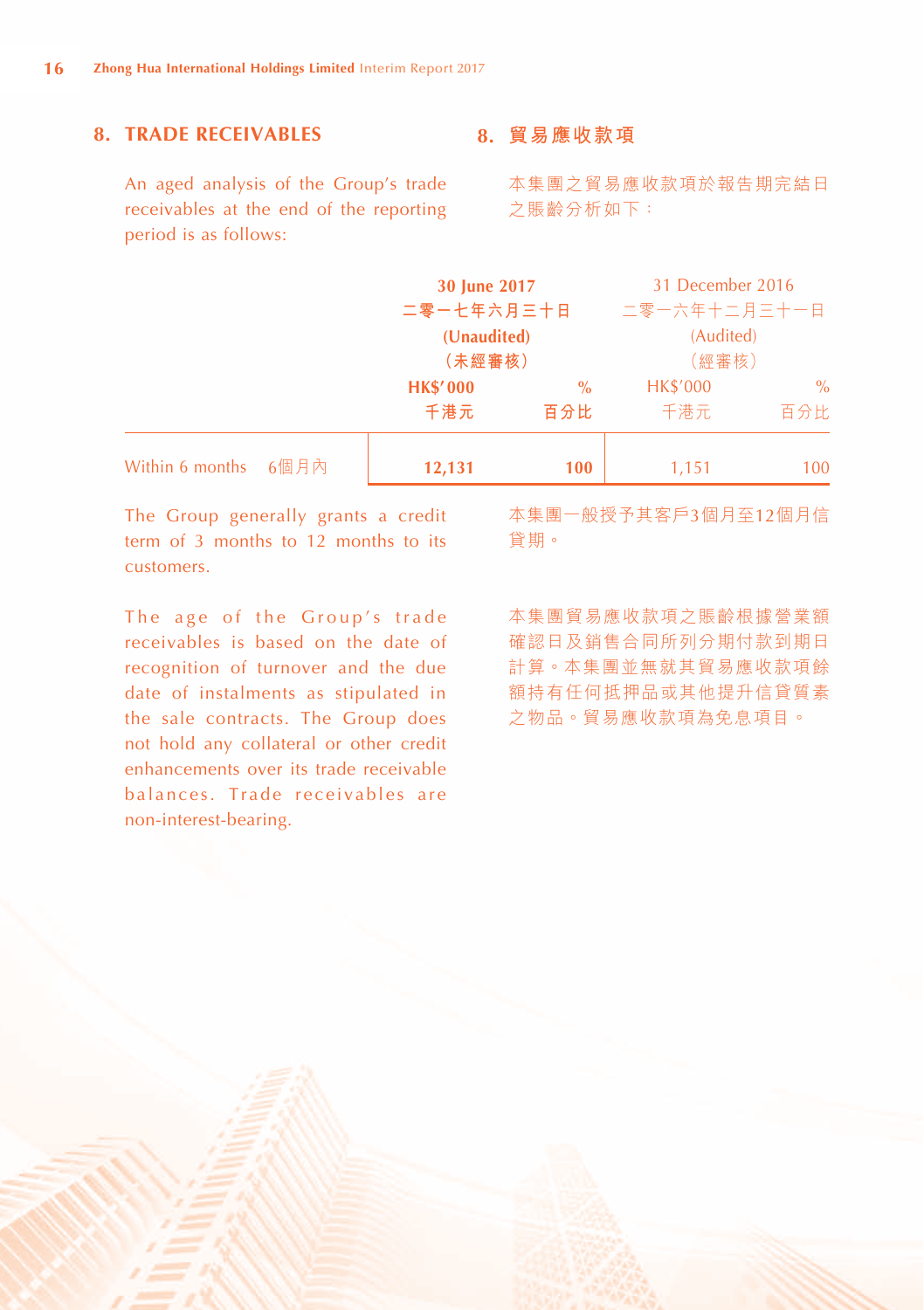# **8. TRADE RECEIVABLES**

An aged analysis of the Group's trade receivables at the end of the reporting period is as follows:

#### **8. 貿易應收款項**

本集團之貿易應收款項於報告期完結日 之賬齡分析如下:

|                 |      | 30 June 2017    |               | 31 December 2016 |       |
|-----------------|------|-----------------|---------------|------------------|-------|
|                 |      | 二零一七年六月三十日      |               | 二零一六年十二月三十一日     |       |
|                 |      | (Unaudited)     |               | (Audited)        |       |
|                 |      |                 | (未經審核)        |                  | (經審核) |
|                 |      | <b>HK\$'000</b> | $\frac{0}{0}$ |                  | $\%$  |
|                 |      | 千港元             | 百分比           | 千港元              | 百分比   |
| Within 6 months | 6個月內 | 12,131          | 100           | 1,151            | 100   |

The Group generally grants a credit term of 3 months to 12 months to its customers.

The age of the Group's trade receivables is based on the date of recognition of turnover and the due date of instalments as stipulated in the sale contracts. The Group does not hold any collateral or other credit enhancements over its trade receivable balances. Trade receivables are non-interest-bearing.

本集團一般授予其客戶3個月至12個月信 貸期。

本集團貿易應收款項之賬齡根據營業額 確認日及銷售合同所列分期付款到期日 計算。本集團並無就其貿易應收款項餘 額持有任何抵押品或其他提升信貸質素 之物品。貿易應收款項為免息項目。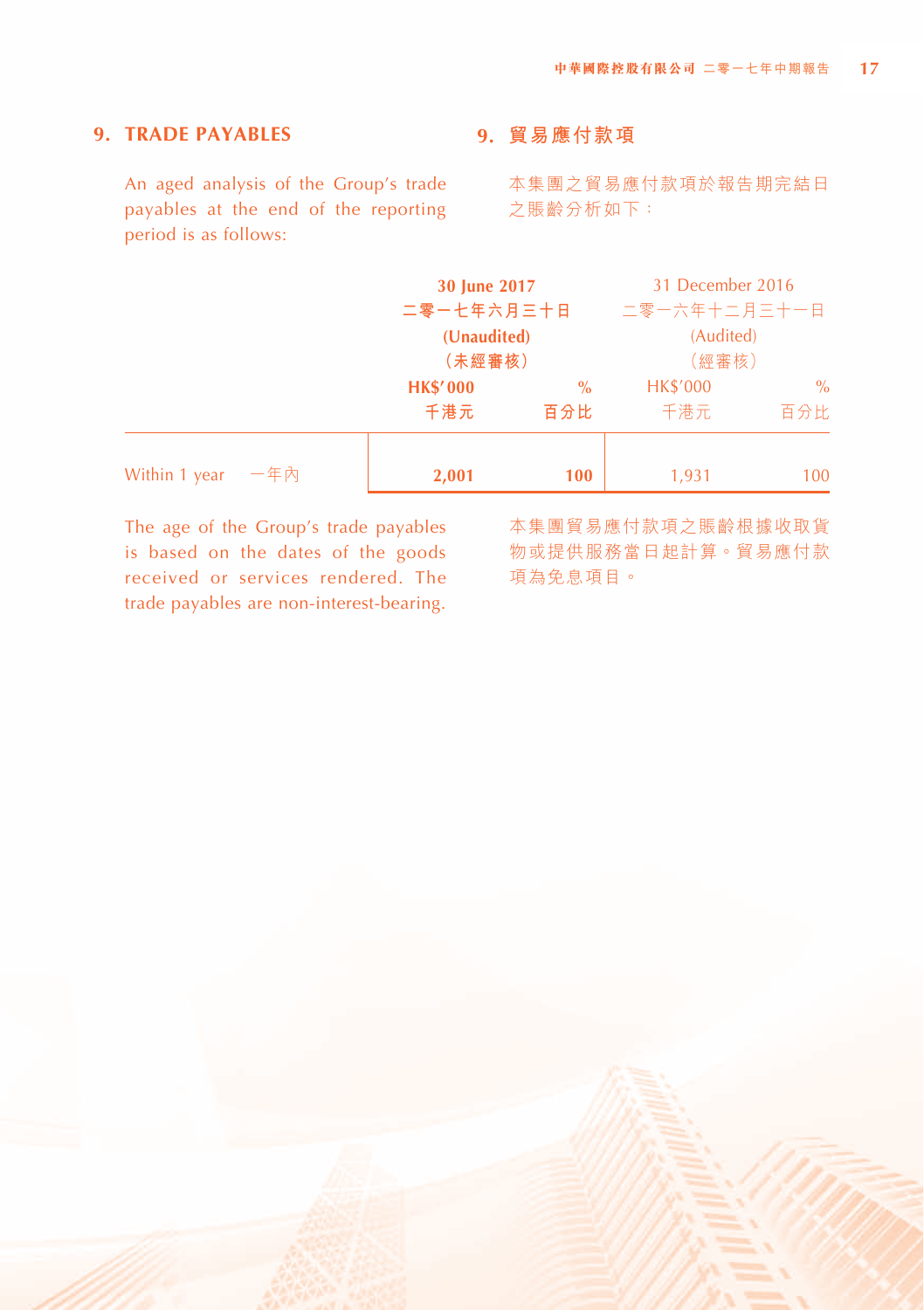# **9. TRADE PAYABLES**

An aged analysis of the Group's trade payables at the end of the reporting period is as follows:

# **9. 貿易應付款項**

本集團之貿易應付款項於報告期完結日 之賬齡分析如下:

|                      | 30 June 2017                     |     | 31 December 2016 |      |  |
|----------------------|----------------------------------|-----|------------------|------|--|
|                      | 二零一七年六月三十日                       |     | 二零一六年十二月三十一日     |      |  |
|                      | (Unaudited)                      |     | (Audited)        |      |  |
|                      | (未經審核)                           |     | (經審核)            |      |  |
|                      | <b>HK\$'000</b><br>$\frac{0}{0}$ |     | <b>HK\$'000</b>  | $\%$ |  |
|                      | 千港元                              | 百分比 | 千港元              | 百分比  |  |
|                      |                                  |     |                  |      |  |
| Within 1 year $-$ 年內 | 2,001                            | 100 | 1,931            | 100  |  |

The age of the Group's trade payables is based on the dates of the goods received or services rendered. The trade payables are non-interest-bearing. 本集團貿易應付款項之賬齡根據收取貨 物或提供服務當日起計算。貿易應付款 項為免息項目。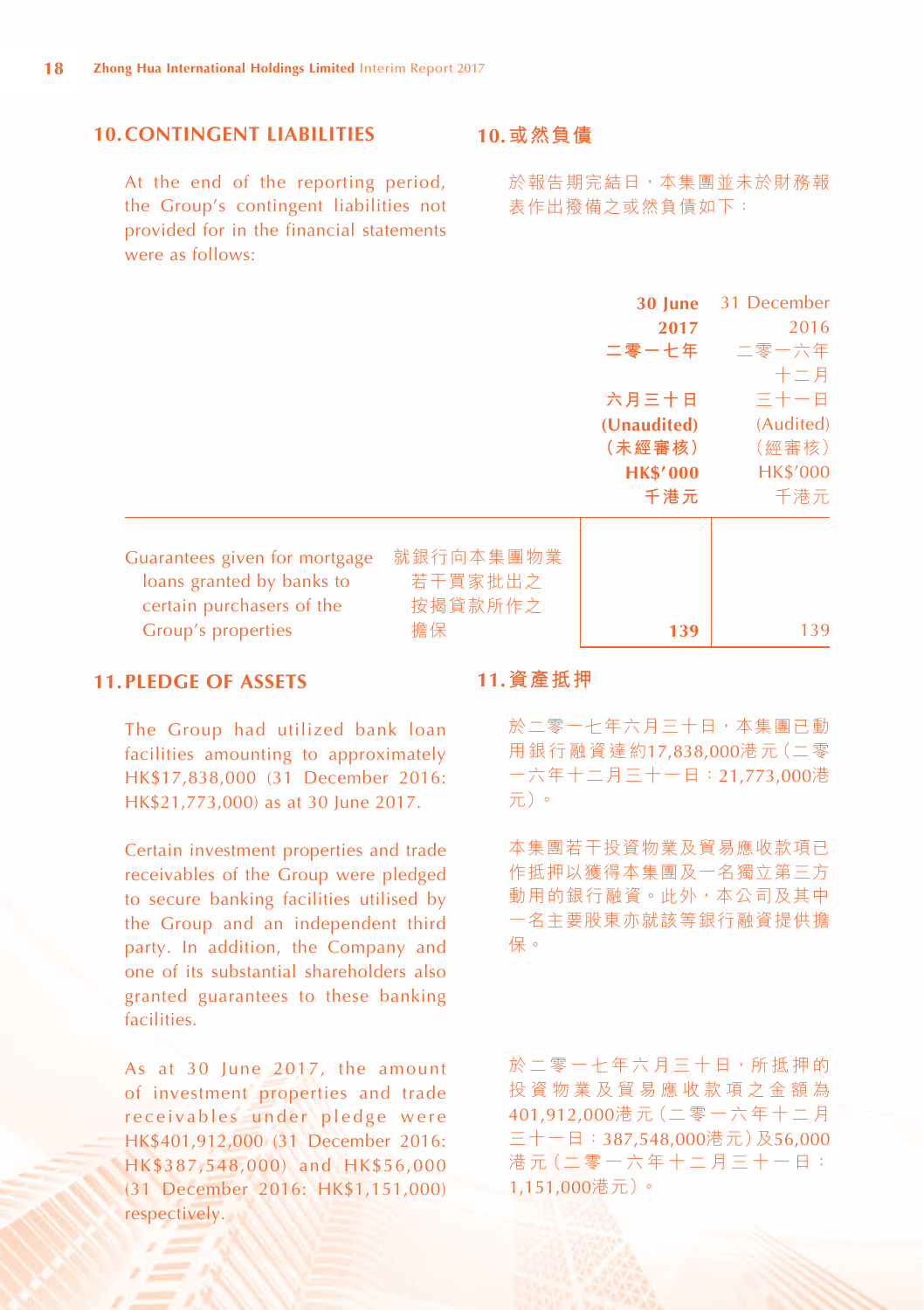# **10.CONTINGENT LIABILITIES**

At the end of the reporting period, the Group's contingent liabilities not provided for in the financial statements were as follows:

# **10.或然負債**

於報告期完結日,本集團並未於財務報 表作出撥備之或然負債如下:

|                               |           | 30 June         | 31 December     |
|-------------------------------|-----------|-----------------|-----------------|
|                               |           | 2017            | 2016            |
|                               |           | 二零一七年           | 二零一六年           |
|                               |           |                 | 十二月             |
|                               |           | 六月三十日           | 三十一日            |
|                               |           | (Unaudited)     | (Audited)       |
|                               |           | (未經審核)          | (經審核)           |
|                               |           | <b>HK\$'000</b> | <b>HK\$'000</b> |
|                               |           | 千港元             | 千港元             |
|                               |           |                 |                 |
| Guarantees given for mortgage | 就銀行向本集團物業 |                 |                 |
| loans granted by banks to     | 若干買家批出之   |                 |                 |
| certain purchasers of the     | 按揭貸款所作之   |                 |                 |
| Group's properties            | 擔保        | 139             | 139             |

# **11.PLEDGE OF ASSETS**

The Group had utilized bank loan facilities amounting to approximately HK\$17,838,000 (31 December 2016: HK\$21,773,000) as at 30 June 2017.

Certain investment properties and trade receivables of the Group were pledged to secure banking facilities utilised by the Group and an independent third party. In addition, the Company and one of its substantial shareholders also granted guarantees to these banking facilities.

As at 30 June 2017, the amount of investment properties and trade receivables under pledge were HK\$401,912,000 (31 December 2016: HK\$387,548,000) and HK\$56,000 (31 December 2016: HK\$1,151,000) respectively.

#### **11.資產抵押**

於二零一七年六月三十日,本集團已動 用銀行融資達約17,838,000港元(二零 一六年十二月三十一日:21,773,000港 元)。

本集團若干投資物業及貿易應收款項已 作抵押以獲得本集團及一名獨立第三方 動用的銀行融資。此外,本公司及其中 一名主要股東亦就該等銀行融資提供擔 保。

於二零一七年六月三十日,所抵押的 投資物業及貿易應收款項之金額為 401,912,000港 元(二 零 一 六 年 十 二 月 三十一日:387,548,000港元)及56,000 港元 (二零一六年十二月三十一日: 1,151,000港元)。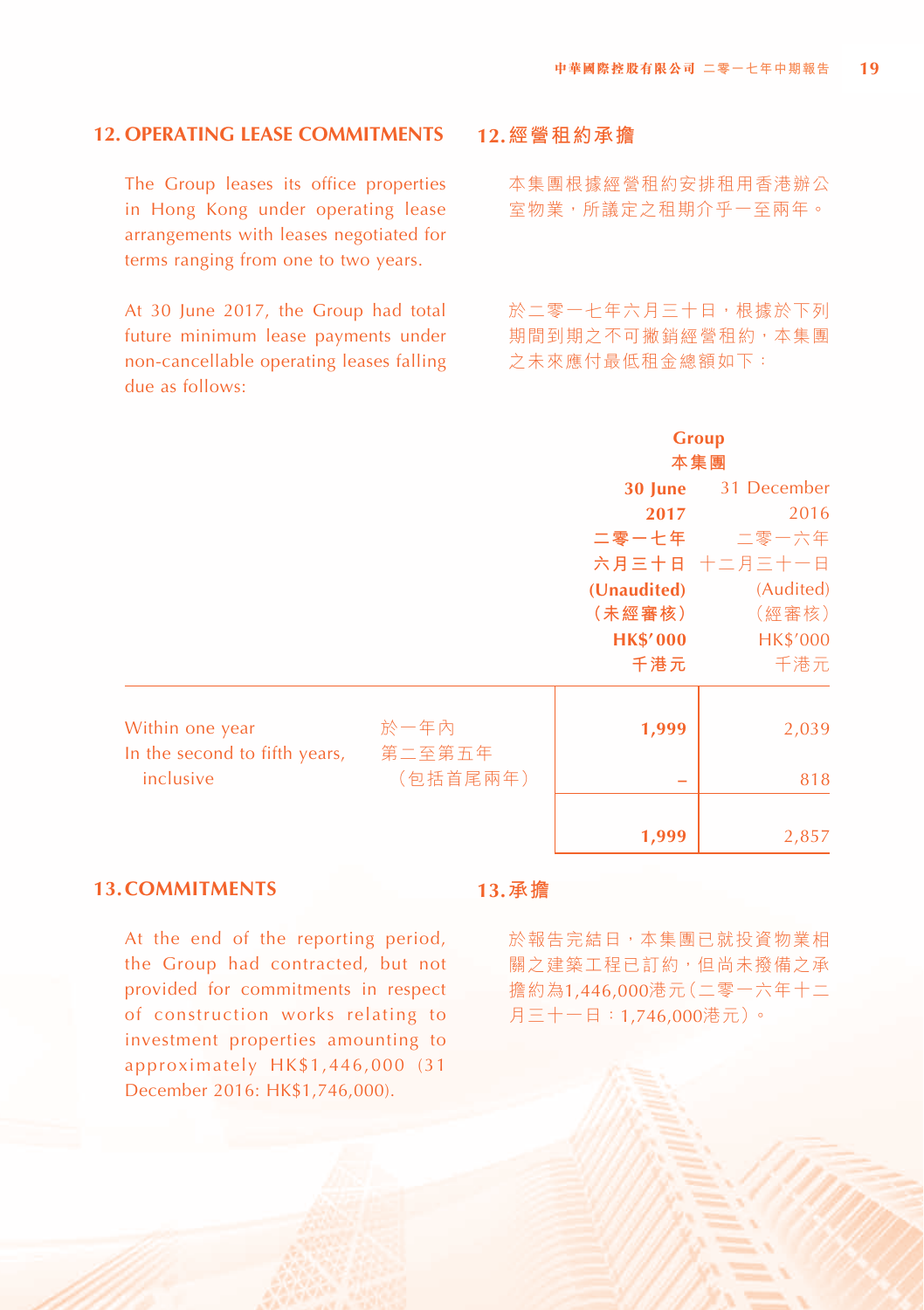# **12. OPERATING LEASE COMMITMENTS**

The Group leases its office properties in Hong Kong under operating lease arrangements with leases negotiated for terms ranging from one to two years.

At 30 June 2017, the Group had total future minimum lease payments under non-cancellable operating leases falling due as follows:

#### **12.經營租約承擔**

本集團根據經營租約安排租用香港辦公 室物業,所議定之租期介乎一至兩年。

於二零一七年六月三十日,根據於下列 期間到期之不可撇銷經營租約,本集團 之未來應付最低租金總額如下:

|                                                  |                |                 | <b>Group</b>        |
|--------------------------------------------------|----------------|-----------------|---------------------|
|                                                  |                |                 | 本集團                 |
|                                                  |                |                 | 30 June 31 December |
|                                                  |                | 2017            | 2016                |
|                                                  |                |                 | 二零一七年  二零一六年        |
|                                                  |                |                 | 六月三十日 十二月三十一日       |
|                                                  |                | (Unaudited)     | (Audited)           |
|                                                  |                | (未經審核)          | (經審核)               |
|                                                  |                | <b>HK\$'000</b> | <b>HK\$'000</b>     |
|                                                  |                | 千港元             | 千港元                 |
| Within one year<br>In the second to fifth years, | 於一年內<br>第二至第五年 | 1,999           | 2,039               |
| inclusive                                        | (包括首尾兩年)       |                 | 818                 |
|                                                  |                | 1,999           | 2,857               |

#### **13.COMMITMENTS**

At the end of the reporting period, the Group had contracted, but not provided for commitments in respect of construction works relating to investment properties amounting to approximately HK\$1,446,000 (31 December 2016: HK\$1,746,000).

# **13.承擔**

於報告完結日,本集團已就投資物業相 關之建築工程已訂約,但尚未撥備之承 擔約為1,446,000港元(二零一六年十二 月三十一日:1,746,000港元)。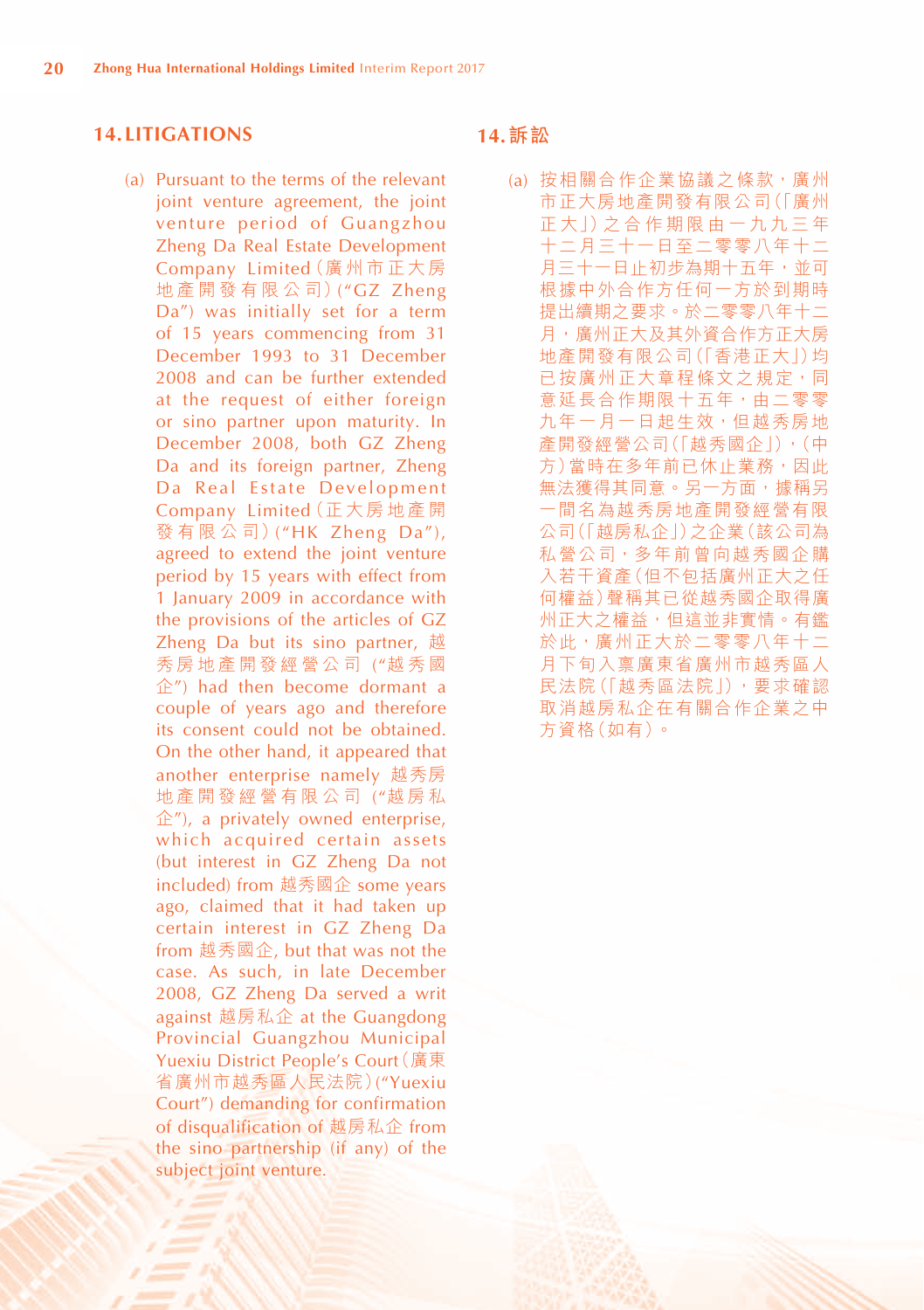#### **14. LITIGATIONS**

(a) Pursuant to the terms of the relevant joint venture agreement, the joint venture period of Guangzhou Zheng Da Real Estate Development Company Limited(廣 州 市 正 大 房 地 產 開 發 有 限 公 司)("GZ Zheng Da") was initially set for a term of 15 years commencing from 31 December 1993 to 31 December 2008 and can be further extended at the request of either foreign or sino partner upon maturity. In December 2008, both GZ Zheng Da and its foreign partner, Zheng Da Real Estate Development Company Limited(正 大 房 地 產 開 發 有 限 公 司 ) ("HK Zheng Da"), agreed to extend the joint venture period by 15 years with effect from 1 January 2009 in accordance with the provisions of the articles of GZ Zheng Da but its sino partner, 越 秀房地產開發經營公司 ("越秀國 企") had then become dormant a couple of years ago and therefore its consent could not be obtained. On the other hand, it appeared that another enterprise namely 越秀房 地產開發經營有限公司 ("越房私  $\hat{E}$ "), a privately owned enterprise, which acquired certain assets (but interest in GZ Zheng Da not included) from 越秀國企 some years ago, claimed that it had taken up certain interest in GZ Zheng Da from 越秀國企, but that was not the case. As such, in late December 2008, GZ Zheng Da served a writ against 越房私企 at the Guangdong Provincial Guangzhou Municipal Yuexiu District People's Court(廣東 省廣州市越秀區人民法院)("Yuexiu Court") demanding for confirmation of disqualification of 越房私企 from the sino partnership (if any) of the subject joint venture.

#### **14.訴訟**

(a) 按相關合作企業協議之條款,廣州 市正大房地產開發有限公司(「廣州 正 大」)之 合 作 期 限 由 一 九 九 三 年 十二月三十一日至二零零八年十二 月三十一日止初步為期十五年,並可 根據中外合作方任何一方於到期時 提出續期之要求。於二零零八年十二 月,廣州正大及其外資合作方正大房 地產開發有限公司(「香港正大」)均 已按廣州正大章程條文之規定,同 意延長合作期限十五年,由二零零 九年一月一日起生效, 但越秀房地 產開發經營公司(「越秀國企」),(中 方)當時在多年前已休止業務,因此 無法獲得其同意。另一方面,據稱另 一間名為越秀房地產開發經營有限 公司(「越房私企」)之企業(該公司為 私營公司,多年前曾向越秀國企購 入若干資產(但不包括廣州正大之任 何權益)聲稱其已從越秀國企取得廣 州正大之權益,但這並非實情。有鑑 於此,廣州正大於二零零八年十二 月下旬入禀廣東省廣州市越秀區人 民法院(「越秀區法院」),要求確認 取消越房私企在有關合作企業之中 方資格(如有)。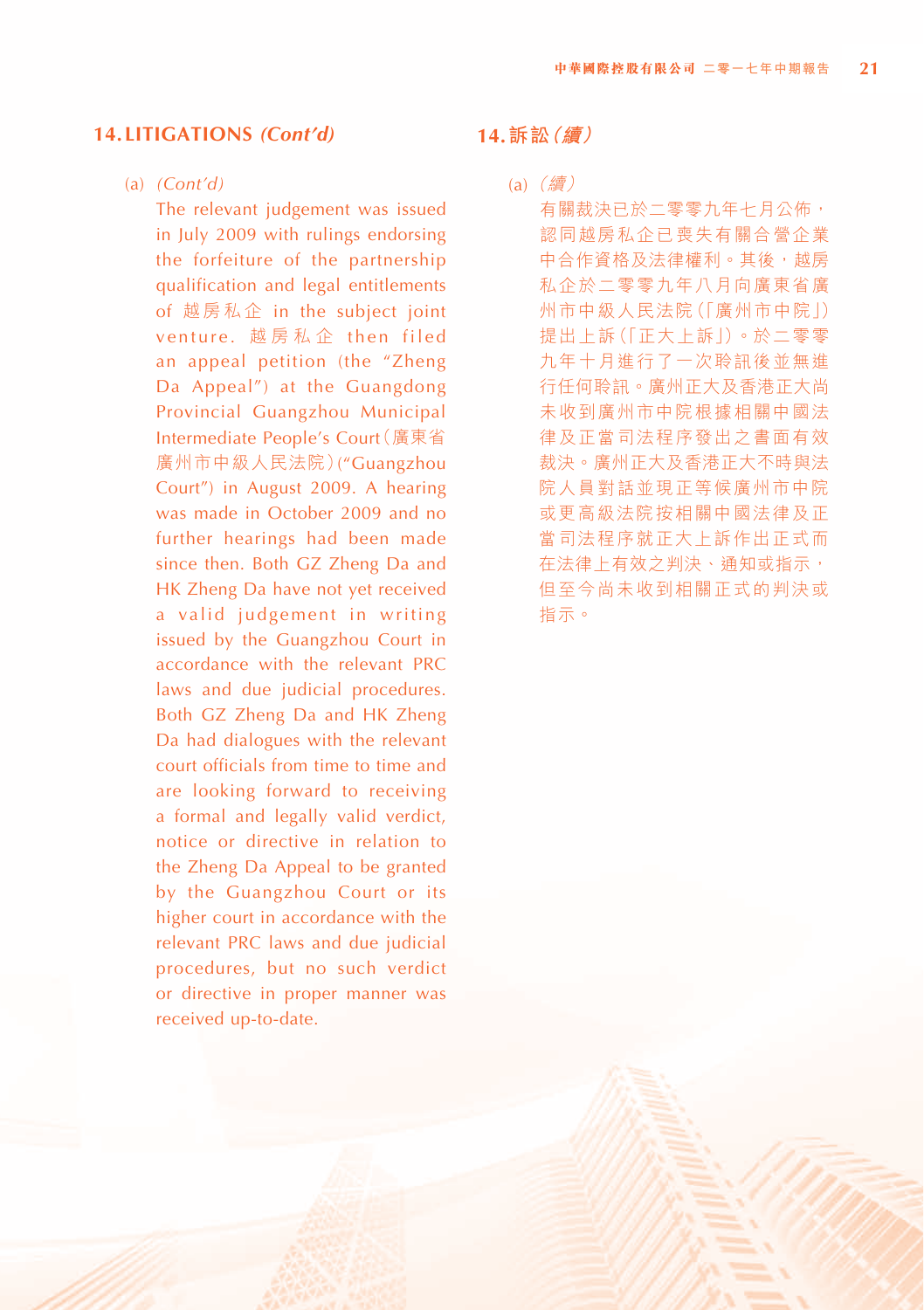#### (a) *(Cont'd)*

The relevant judgement was issued in July 2009 with rulings endorsing the forfeiture of the partnership qualification and legal entitlements of 越房私企 in the subject joint venture. 越房私企 then filed an appeal petition (the "Zheng Da Appeal") at the Guangdong Provincial Guangzhou Municipal Intermediate People's Court(廣東省 廣州市中級人民法院)("Guangzhou Court") in August 2009. A hearing was made in October 2009 and no further hearings had been made since then. Both GZ Zheng Da and HK Zheng Da have not yet received a valid judgement in writing issued by the Guangzhou Court in accordance with the relevant PRC laws and due judicial procedures. Both GZ Zheng Da and HK Zheng Da had dialogues with the relevant court officials from time to time and are looking forward to receiving a formal and legally valid verdict, notice or directive in relation to the Zheng Da Appeal to be granted by the Guangzhou Court or its higher court in accordance with the relevant PRC laws and due judicial procedures, but no such verdict or directive in proper manner was received up-to-date.

#### **14.訴訟(續)**

(a)  $(\frac{\pi}{6})$ 有關裁決已於二零零九年七月公佈, 認同越房私企已喪失有關合營企業 中合作資格及法律權利。其後,越房 私企於二零零九年八月向廣東省廣 州市中級人民法院(「廣州市中院」) 提出上訴(「正大上訴」)。於二零零 九年十月進行了一次聆訊後並無進 行任何聆訊。廣州正大及香港正大尚 未收到廣州市中院根據相關中國法 律及正當司法程序發出之書面有效 裁決。廣州正大及香港正大不時與法 院人員對話並現正等候廣州市中院 或更高級法院按相關中國法律及正 當司法程序就正大上訴作出正式而 在法律上有效之判決、通知或指示, 但至今尚未收到相關正式的判決或 指示。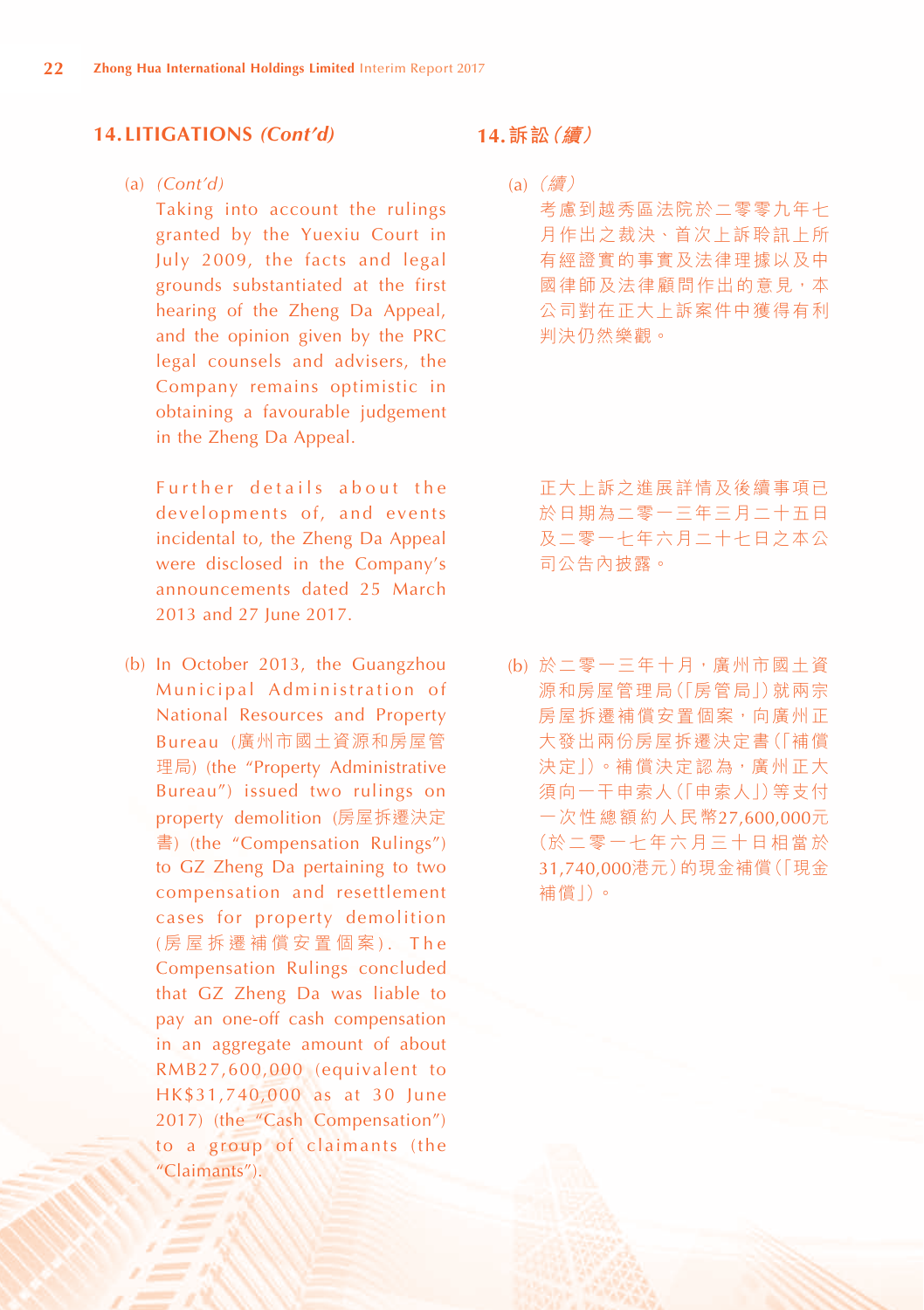#### (a) *(Cont'd)*

Taking into account the rulings granted by the Yuexiu Court in July 2009, the facts and legal grounds substantiated at the first hearing of the Zheng Da Appeal, and the opinion given by the PRC legal counsels and advisers, the Company remains optimistic in obtaining a favourable judgement in the Zheng Da Appeal.

Further details about the developments of, and events incidental to, the Zheng Da Appeal were disclosed in the Company's announcements dated 25 March 2013 and 27 June 2017.

(b) In October 2013, the Guangzhou Municipal Administration of National Resources and Property Bureau (廣州市國土資源和房屋管 理局) (the "Property Administrative Bureau") issued two rulings on property demolition (房屋拆遷決定 書) (the "Compensation Rulings") to GZ Zheng Da pertaining to two compensation and resettlement cases for property demolition (房屋拆遷補償安置個案). The Compensation Rulings concluded that GZ Zheng Da was liable to pay an one-off cash compensation in an aggregate amount of about RMB27,600,000 (equivalent to HK\$31,740,000 as at 30 June 2017) (the "Cash Compensation") to a group of claimants (the "Claimants").

# **14.訴訟(續)**

(a)  $(\frac{\pi}{6})$ 考慮到越秀區法院於二零零九年七 月作出之裁決、首次上訴聆訊上所 有經證實的事實及法律理據以及中 國律師及法律顧問作出的意見,本 公司對在正大上訴案件中獲得有利 判決仍然樂觀。

正大上訴之進展詳情及後續事項已 於日期為二零一三年三月二十五日 及二零一七年六月二十七日之本公 司公告內披露。

(b) 於二零一三年十月,廣州市國土資 源和房屋管理局(「房管局」)就兩宗 房屋拆遷補償安置個案,向廣州正 大發出兩份房屋拆遷決定書(「補償 決定」)。補償決定認為,廣州正大 須向一干申索人(「申索人」)等支付 一次性總額約人民幣27,600,000元 (於二零一七年六月三十日相當於 31,740,000港元)的現金補償(「現金 補償」)。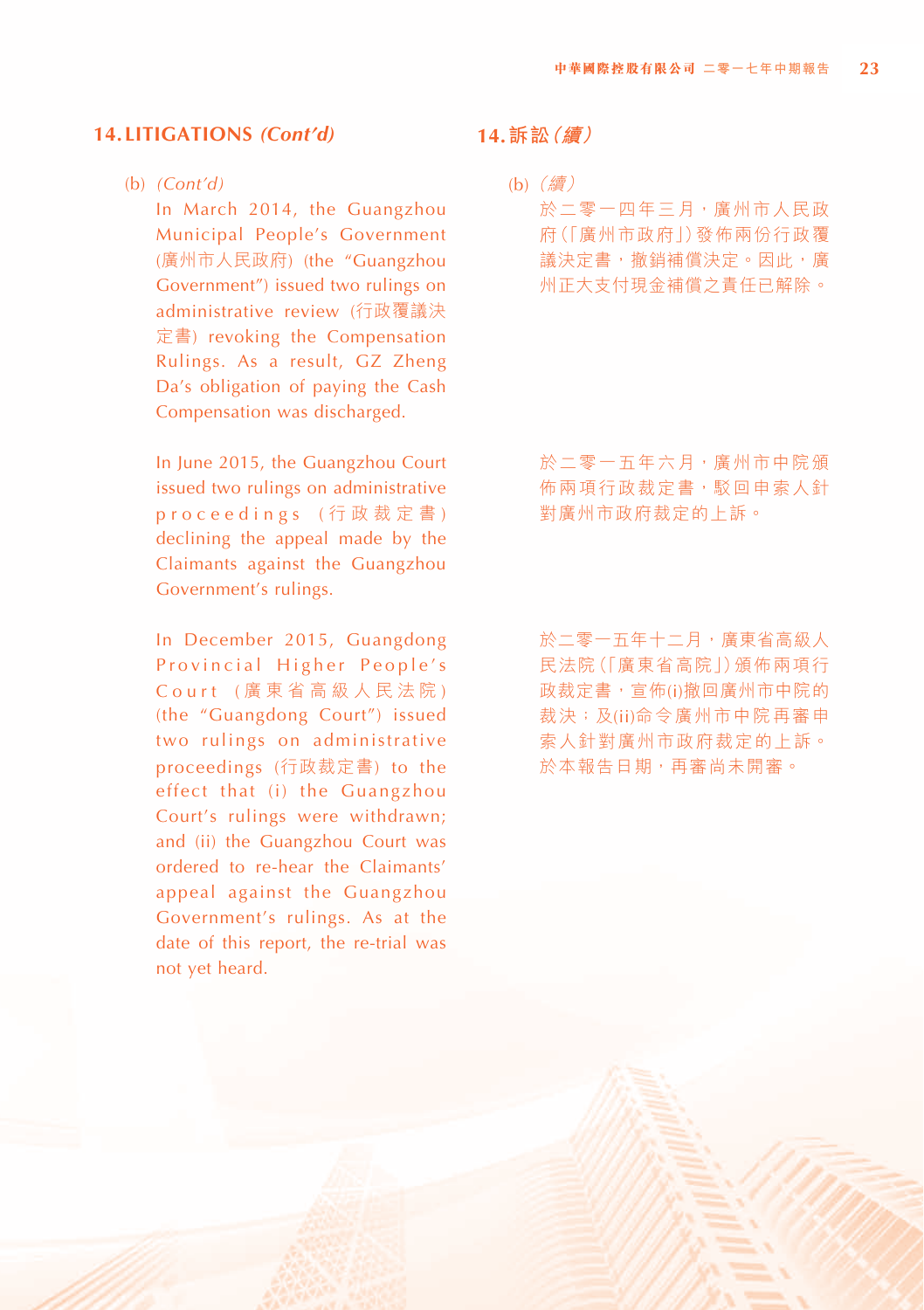#### (b) *(Cont'd)*

In March 2014, the Guangzhou Municipal People's Government (廣州市人民政府) (the "Guangzhou Government") issued two rulings on administrative review (行政覆議決 定書) revoking the Compensation Rulings. As a result, GZ Zheng Da's obligation of paying the Cash Compensation was discharged.

In June 2015, the Guangzhou Court issued two rulings on administrative proceedings ( 行 政 裁 定 書 ) declining the appeal made by the Claimants against the Guangzhou Government's rulings.

In December 2015, Guangdong Provincial Higher People's Court ( 廣 東 省 高 級 人 民 法 院 ) (the "Guangdong Court") issued two rulings on administrative proceedings (行政裁定書) to the effect that (i) the Guangzhou Court's rulings were withdrawn; and (ii) the Guangzhou Court was ordered to re-hear the Claimants' appeal against the Guangzhou Government's rulings. As at the date of this report, the re-trial was not yet heard.

# **14.訴訟(續)**

(b)(續) 於二零一四年三月,廣州市人民政 府(「廣州市政府」)發佈兩份行政覆 議決定書,撤銷補償決定。因此,廣 州正大支付現金補償之責任已解除。

於二零一五年六月,廣州市中院頒 佈兩項行政裁定書,駁回申索人針 對廣州市政府裁定的上訴。

於二零一五年十二月,廣東省高級人 民法院(「廣東省高院」)頒佈兩項行 政裁定書,宣佈(i)撤回廣州市中院的 裁決;及(ii)命令廣州市中院再審申 索人針對廣州市政府裁定的上訴。 於本報告日期,再審尚未開審。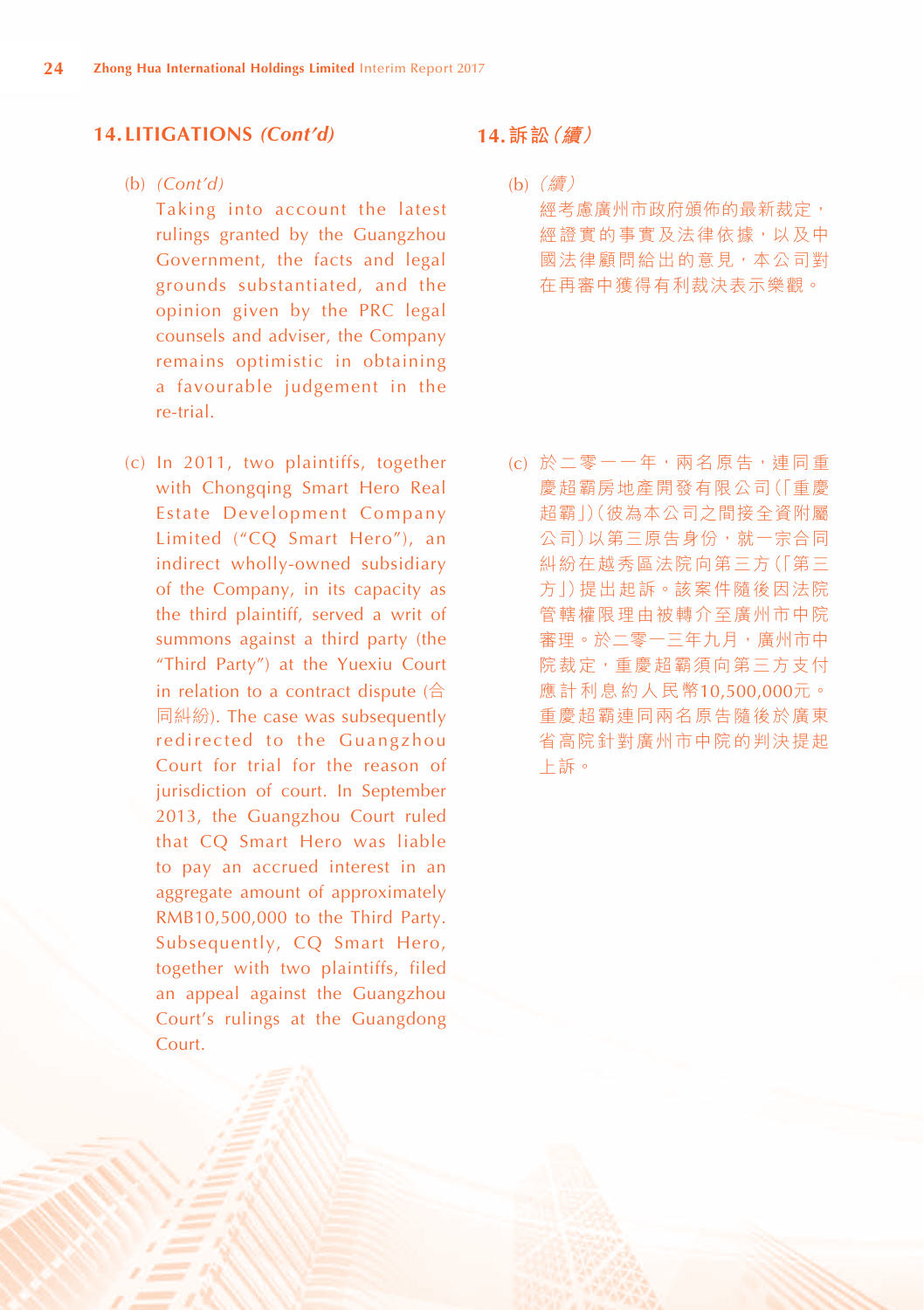#### (b) *(Cont'd)*

Taking into account the latest rulings granted by the Guangzhou Government, the facts and legal grounds substantiated, and the opinion given by the PRC legal counsels and adviser, the Company remains optimistic in obtaining a favourable judgement in the re-trial.

(c) In 2011, two plaintiffs, together with Chongqing Smart Hero Real Estate Development Company Limited ("CQ Smart Hero"), an indirect wholly-owned subsidiary of the Company, in its capacity as the third plaintiff, served a writ of summons against a third party (the "Third Party") at the Yuexiu Court in relation to a contract dispute (合 同糾紛). The case was subsequently redirected to the Guangzhou Court for trial for the reason of jurisdiction of court. In September 2013, the Guangzhou Court ruled that CQ Smart Hero was liable to pay an accrued interest in an aggregate amount of approximately RMB10,500,000 to the Third Party. Subsequently, CQ Smart Hero, together with two plaintiffs, filed an appeal against the Guangzhou Court's rulings at the Guangdong Court.

## **14.訴訟(續)**

(b)(續) 經考慮廣州市政府頒佈的最新裁定, 經證實的事實及法律依據,以及中 國法律顧問給出的意見,本公司對 在再審中獲得有利裁決表示樂觀。

(c) 於二零一一年,兩名原告,連同重 慶超霸房地產開發有限公司(「重慶 超霸」)(彼為本公司之間接全資附屬 公司)以第三原告身份,就一宗合同 糾紛在越秀區法院向第三方(「第三 方」)提出起訴。該案件隨後因法院 管轄權限理由被轉介至廣州市中院 審理。於二零一三年九月,廣州市中 院裁定,重慶超霸須向第三方支付 應計利息約人民幣10,500,000元。 重慶超霸連同兩名原告隨後於廣東 省高院針對廣州市中院的判決提起 上訴。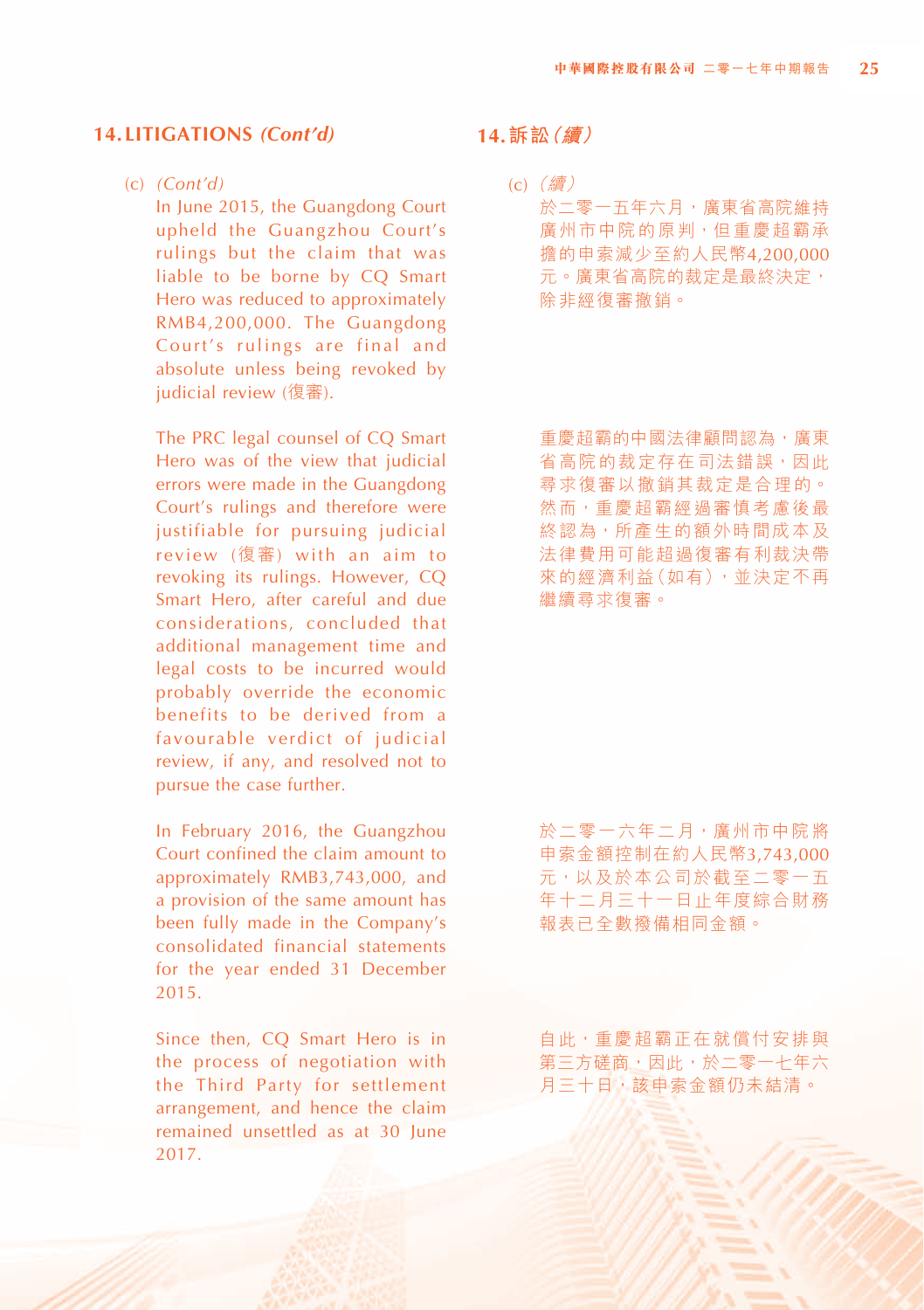#### (c) *(Cont'd)*

In June 2015, the Guangdong Court upheld the Guangzhou Court's rulings but the claim that was liable to be borne by CQ Smart Hero was reduced to approximately RMB4,200,000. The Guangdong Court's rulings are final and absolute unless being revoked by judicial review (復審).

The PRC legal counsel of CQ Smart Hero was of the view that judicial errors were made in the Guangdong Court's rulings and therefore were justifiable for pursuing judicial review (復審) with an aim to revoking its rulings. However, CQ Smart Hero, after careful and due considerations, concluded that additional management time and legal costs to be incurred would probably override the economic benefits to be derived from a favourable verdict of judicial review, if any, and resolved not to pursue the case further.

In February 2016, the Guangzhou Court confined the claim amount to approximately RMB3,743,000, and a provision of the same amount has been fully made in the Company's consolidated financial statements for the year ended 31 December 2015.

Since then, CQ Smart Hero is in the process of negotiation with the Third Party for settlement arrangement, and hence the claim remained unsettled as at 30 June 2017.

## **14.訴訟(續)**

(c)(續) 於二零一五年六月,廣東省高院維持 廣州市中院的原判,但重慶超霸承 擔的申索減少至約人民幣4,200,000 元。廣東省高院的裁定是最終決定, 除非經復審撤銷。

重慶超霸的中國法律顧問認為,廣東 省高院的裁定存在司法錯誤,因此 尋求復審以撤銷其裁定是合理的。 然而,重慶超霸經過審慎考慮後最 終認為,所產生的額外時間成本及 法律費用可能超過復審有利裁決帶 來的經濟利益(如有),並決定不再 繼續尋求復審。

於二零一六年二月,廣州市中院將 申索金額控制在約人民幣3,743,000 元,以及於本公司於截至二零一五 年十二月三十一日止年度綜合財務 報表已全數撥備相同金額。

自此,重慶超霸正在就償付安排與 第三方磋商,因此,於二零一七年六 月三十日,該申索金額仍未結清。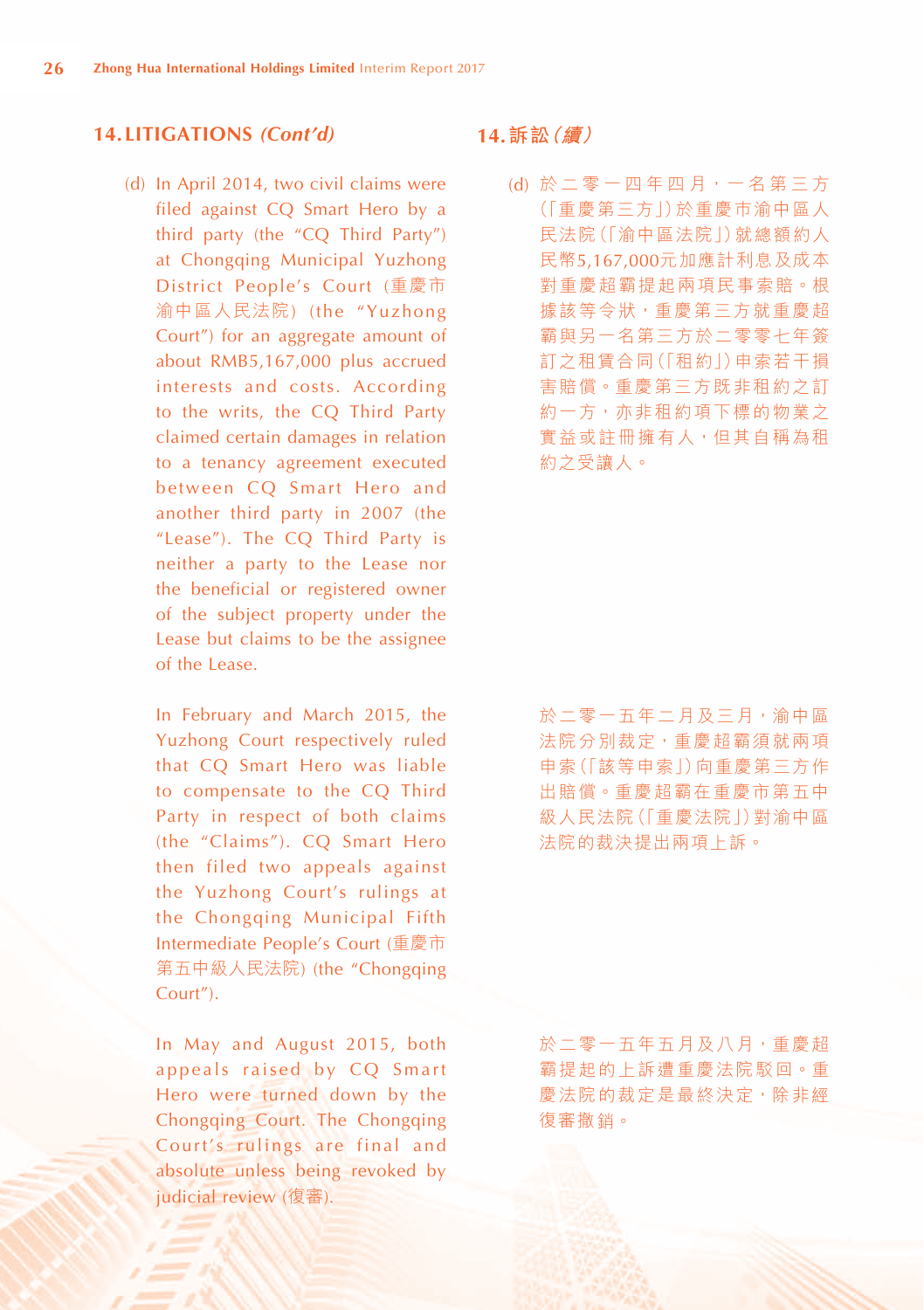(d) In April 2014, two civil claims were filed against CQ Smart Hero by a third party (the "CQ Third Party") at Chongqing Municipal Yuzhong District People's Court (重慶市 渝中區人民法院) (the "Yuzhong Court") for an aggregate amount of about RMB5,167,000 plus accrued interests and costs. According to the writs, the CQ Third Party claimed certain damages in relation to a tenancy agreement executed between CQ Smart Hero and another third party in 2007 (the "Lease"). The CQ Third Party is neither a party to the Lease nor the beneficial or registered owner of the subject property under the Lease but claims to be the assignee of the Lease.

In February and March 2015, the Yuzhong Court respectively ruled that CQ Smart Hero was liable to compensate to the CQ Third Party in respect of both claims (the "Claims"). CQ Smart Hero then filed two appeals against the Yuzhong Court's rulings at the Chongqing Municipal Fifth Intermediate People's Court (重慶市 第五中級人民法院) (the "Chongqing Court").

In May and August 2015, both appeals raised by CQ Smart Hero were turned down by the Chongqing Court. The Chongqing Court's rulings are final and absolute unless being revoked by judicial review (復審).

## **14.訴訟(續)**

(d) 於 二 零 一 四 年 四 月,一 名 第 三 方 (「重慶第三方」)於重慶巿渝中區人 民法院(「渝中區法院」)就總額約人 民幣5,167,000元加應計利息及成本 對重慶超霸提起兩項民事索賠。根 據該等令狀,重慶第三方就重慶超 霸與另一名第三方於二零零七年簽 訂之租賃合同(「租約」)申索若干損 害賠償。重慶第三方既非租約之訂 約一方,亦非租約項下標的物業之 實益或註冊擁有人,但其自稱為租 約之受讓人。

於二零一五年二月及三月,渝中區 法院分別裁定,重慶超霸須就兩項 申索(「該等申索」)向重慶第三方作 出賠償。重慶超霸在重慶市第五中 級人民法院(「重慶法院」)對渝中區 法院的裁決提出兩項上訴。

於二零一五年五月及八月,重慶超 霸提起的上訴遭重慶法院駁回。重 慶法院的裁定是最終決定,除非經 復審撤銷。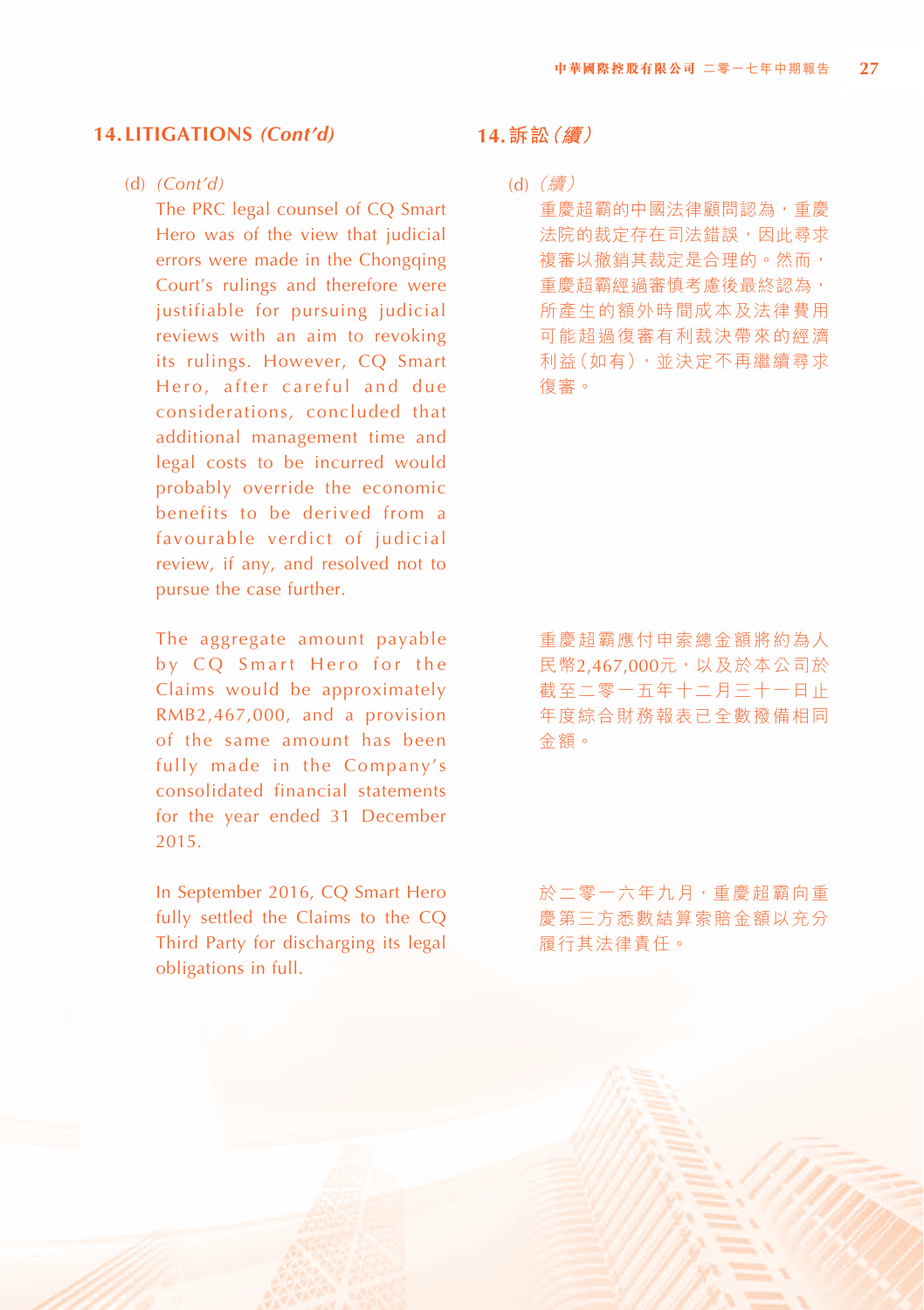#### (d) *(Cont'd)*

The PRC legal counsel of CQ Smart Hero was of the view that judicial errors were made in the Chongqing Court's rulings and therefore were justifiable for pursuing judicial reviews with an aim to revoking its rulings. However, CQ Smart Hero, after careful and due considerations, concluded that additional management time and legal costs to be incurred would probably override the economic benefits to be derived from a favourable verdict of judicial review, if any, and resolved not to pursue the case further.

The aggregate amount payable by CQ Smart Hero for the Claims would be approximately RMB2,467,000, and a provision of the same amount has been fully made in the Company's consolidated financial statements for the year ended 31 December 2015.

In September 2016, CQ Smart Hero fully settled the Claims to the CQ Third Party for discharging its legal obligations in full.

# **14.訴訟(續)**

(d)(續) 重慶超霸的中國法律顧問認為,重慶 法院的裁定存在司法錯誤,因此尋求 複審以撤銷其裁定是合理的。然而, **重慶超霸經過審慎考慮後最終認為,** 所產生的額外時間成本及法律費用 可能超過復審有利裁決帶來的經濟 利益(如有),並決定不再繼續尋求 復審。

重慶超霸應付申索總金額將約為人 民幣2,467,000元,以及於本公司於 截至二零一五年十二月三十一日止 年度綜合財務報表已全數撥備相同 金額。

於二零一六年九月,重慶超霸向重 慶第三方悉數結算索賠金額以充分 履行其法律責任。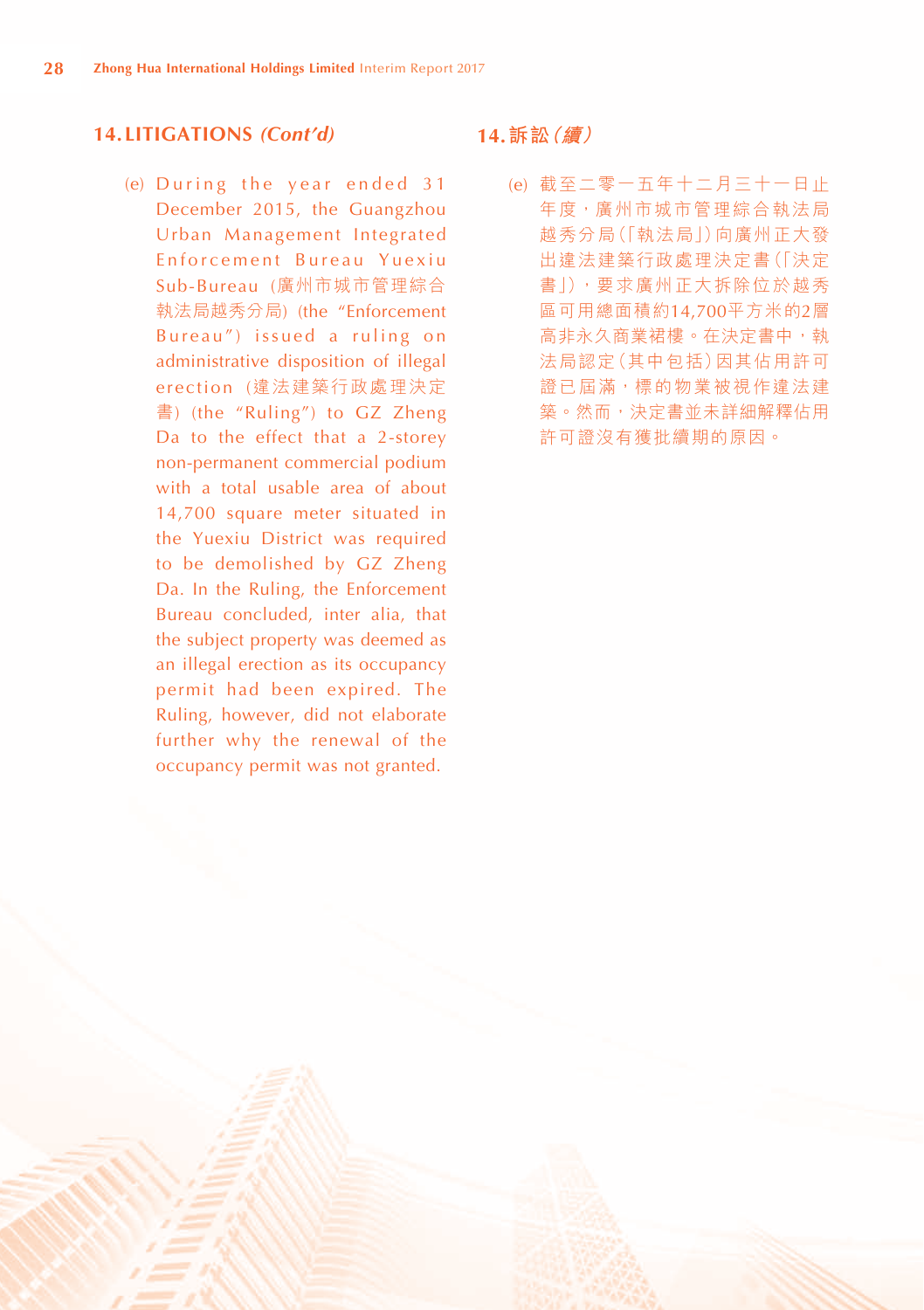(e) During the year ended  $31$ December 2015, the Guangzhou Urban Management Integrated Enforcement Bureau Yuexiu Sub-Bureau (廣州市城市管理綜合 執法局越秀分局) (the "Enforcement Bureau") issued a ruling on administrative disposition of illegal erection (違法建築行政處理決定 書) (the "Ruling") to GZ Zheng Da to the effect that a 2-storey non-permanent commercial podium with a total usable area of about 14,700 square meter situated in the Yuexiu District was required to be demolished by GZ Zheng Da. In the Ruling, the Enforcement Bureau concluded, inter alia, that the subject property was deemed as an illegal erection as its occupancy permit had been expired. The Ruling, however, did not elaborate further why the renewal of the occupancy permit was not granted.

#### **14.訴訟(續)**

(e) 截至二零一五年十二月三十一日止 年度,廣州市城市管理綜合執法局 越秀分局(「執法局」)向廣州正大發 出違法建築行政處理決定書(「決定 書」),要求廣州正大拆除位於越秀 區可用總面積約14,700平方米的2層 高非永久商業裙樓。在決定書中,執 法局認定(其中包括)因其佔用許可 證已屆滿,標的物業被視作違法建 築。然而,決定書並未詳細解釋佔用 許可證沒有獲批續期的原因。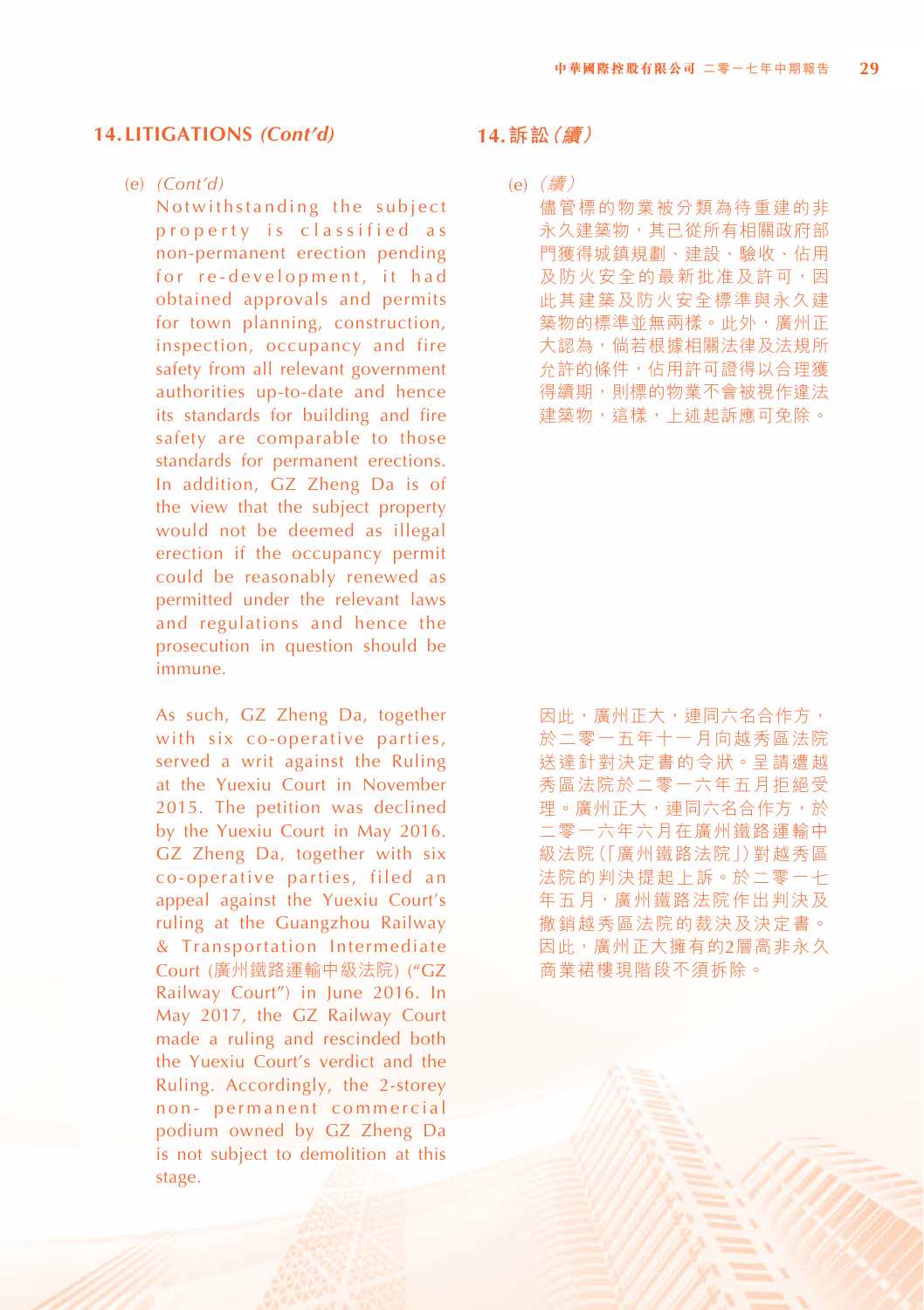#### (e) *(Cont'd)*

Notwithstanding the subject property is classified as non-permanent erection pending for re-development, it had obtained approvals and permits for town planning, construction, inspection, occupancy and fire safety from all relevant government authorities up-to-date and hence its standards for building and fire safety are comparable to those standards for permanent erections. In addition, GZ Zheng Da is of the view that the subject property would not be deemed as illegal erection if the occupancy permit could be reasonably renewed as permitted under the relevant laws and regulations and hence the prosecution in question should be immune.

As such, GZ Zheng Da, together with six co-operative parties, served a writ against the Ruling at the Yuexiu Court in November 2015. The petition was declined by the Yuexiu Court in May 2016. GZ Zheng Da, together with six co-operative parties, filed an appeal against the Yuexiu Court's ruling at the Guangzhou Railway & Transportation Intermediate Court (廣州鐵路運輸中級法院) ("GZ Railway Court") in June 2016. In May 2017, the GZ Railway Court made a ruling and rescinded both the Yuexiu Court's verdict and the Ruling. Accordingly, the 2-storey non- permanent commercial podium owned by GZ Zheng Da is not subject to demolition at this stage.

#### **14.訴訟(續)**

(e)(續) 儘管標的物業被分類為待重建的非 永久建築物,其已從所有相關政府部 門獲得城鎮規劃、建設、驗收、佔用 及防火安全的最新批准及許可, 因 此其建築及防火安全標準與永久建 築物的標準並無兩樣。此外,廣州正 大認為,倘若根據相關法律及法規所 允許的條件,佔用許可證得以合理獲 得續期,則標的物業不會被視作違法 建築物,這樣,上述起訴應可免除。

因此,庸州正大,連同六名合作方, 於二零一五年十一月向越秀區法院 送達針對決定書的令狀。呈請遭越 秀區法院於二零一六年五月拒絕受 理。廣州正大,連同六名合作方,於 二零一六年六月在廣州鐵路運輸中 級法院(「廣州鐵路法院」)對越秀區 法院的判決提起上訴。於二零一七 年五月,廣州鐵路法院作出判決及 撤銷越秀區法院的裁決及決定書。 因此,廣州正大擁有的2層高非永久 商業裙樓現階段不須拆除。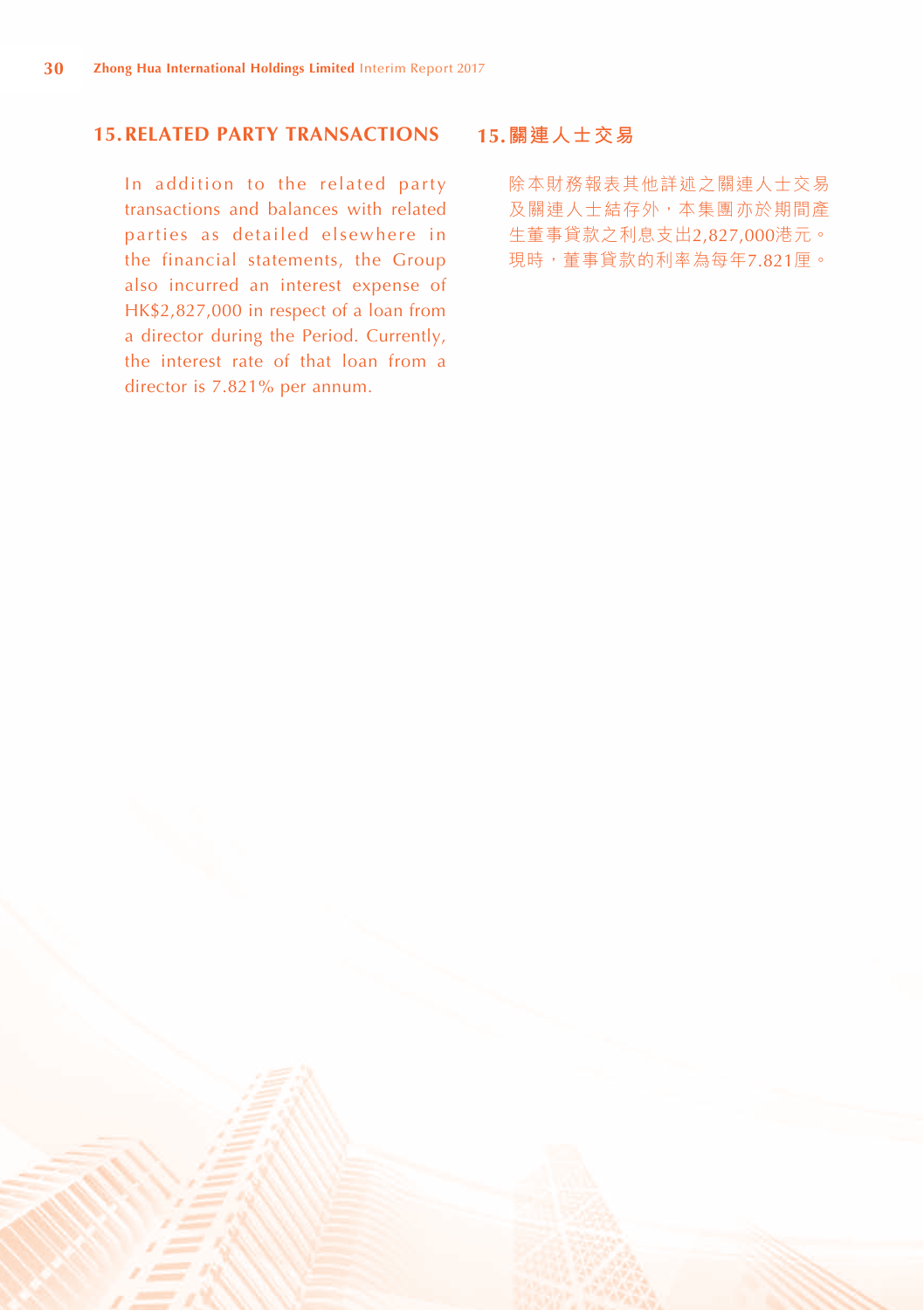# **15.RELATED PARTY TRANSACTIONS**

In addition to the related party transactions and balances with related parties as detailed elsewhere in the financial statements, the Group also incurred an interest expense of HK\$2,827,000 in respect of a loan from a director during the Period. Currently, the interest rate of that loan from a director is 7.821% per annum.

# **15.關連人士交易**

除本財務報表其他詳述之關連人士交易 及關連人士結存外,本集團亦於期間產 生董事貸款之利息支出2,827,000港元。 現時,董事貸款的利率為每年7.821厘。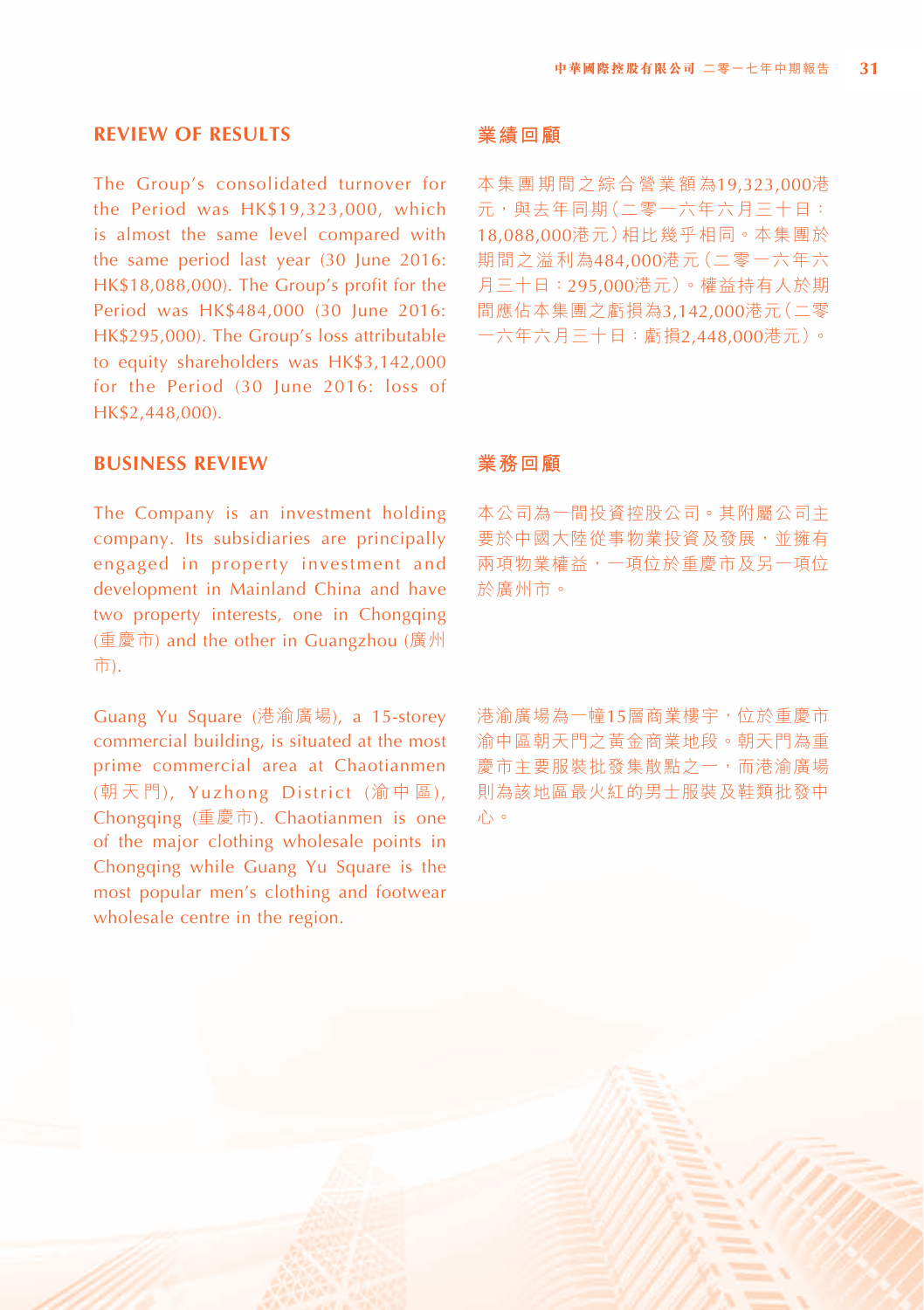#### **REVIEW OF RESULTS**

The Group's consolidated turnover for the Period was HK\$19,323,000, which is almost the same level compared with the same period last year (30 June 2016: HK\$18,088,000). The Group's profit for the Period was HK\$484,000 (30 June 2016: HK\$295,000). The Group's loss attributable to equity shareholders was HK\$3,142,000 for the Period (30 June 2016: loss of HK\$2,448,000).

#### **BUSINESS REVIEW**

The Company is an investment holding company. Its subsidiaries are principally engaged in property investment and development in Mainland China and have two property interests, one in Chongqing (重慶市) and the other in Guangzhou (廣州 市).

Guang Yu Square (港渝廣場), a 15-storey commercial building, is situated at the most prime commercial area at Chaotianmen (朝 天 門), Yuzhong District (渝 中 區), Chongqing (重慶市). Chaotianmen is one of the major clothing wholesale points in Chongqing while Guang Yu Square is the most popular men's clothing and footwear wholesale centre in the region.

#### **業績回顧**

本集團期間之綜合營業額為19,323,000港 元,與去年同期(二零一六年六月三十日: 18,088,000港元)相比幾乎相同。本集團於 期間之溢利為484,000港元(二零一六年六 月三十日:295,000港元)。權益持有人於期 間應佔本集團之虧損為3,142,000港元(二零 一六年六月三十日:虧損2,448,000港元)。

#### **業務回顧**

本公司為一間投資控股公司。其附屬公司主 要於中國大陸從事物業投資及發展,並擁有 兩項物業權益,一項位於重慶市及另一項位 於廣州市。

港渝廣場為一幢15層商業樓宇,位於重慶市 渝中區朝天門之黃金商業地段。朝天門為重 慶市主要服裝批發集散點之一,而港渝廣場 則為該地區最火紅的男士服裝及鞋類批發中 心。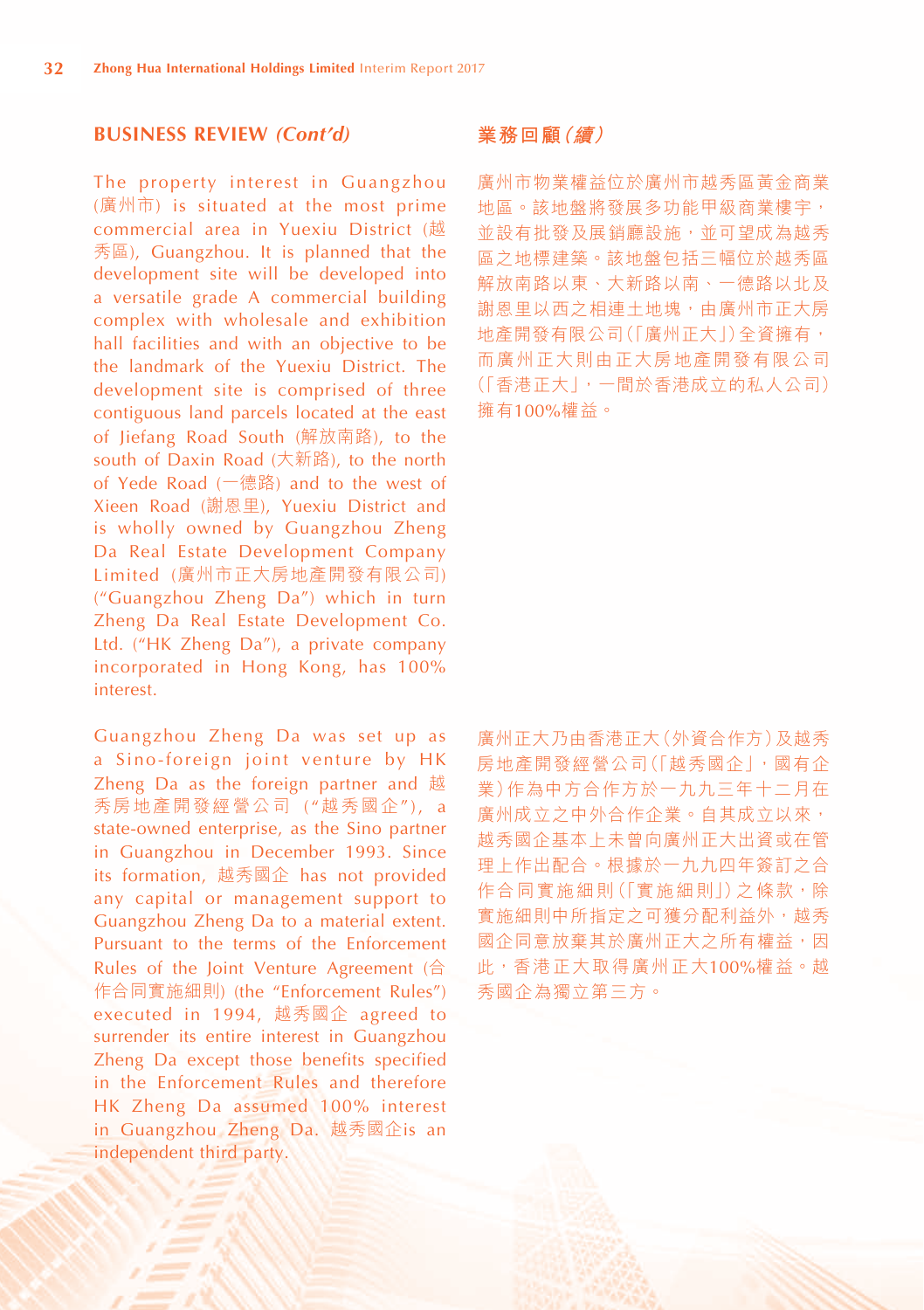#### **BUSINESS REVIEW** *(Cont'd)*

The property interest in Guangzhou (廣州市) is situated at the most prime commercial area in Yuexiu District (越 秀區), Guangzhou. It is planned that the development site will be developed into a versatile grade A commercial building complex with wholesale and exhibition hall facilities and with an objective to be the landmark of the Yuexiu District. The development site is comprised of three contiguous land parcels located at the east of Jiefang Road South (解放南路), to the south of Daxin Road (大新路), to the north of Yede Road (一德路) and to the west of Xieen Road (謝恩里), Yuexiu District and is wholly owned by Guangzhou Zheng Da Real Estate Development Company Limited (廣州市正大房地產開發有限公司) ("Guangzhou Zheng Da") which in turn Zheng Da Real Estate Development Co. Ltd. ("HK Zheng Da"), a private company incorporated in Hong Kong, has 100% interest.

Guangzhou Zheng Da was set up as a Sino-foreign joint venture by HK Zheng Da as the foreign partner and 越 秀房地產開發經營公司 ("越秀國企"), a state-owned enterprise, as the Sino partner in Guangzhou in December 1993. Since its formation, 越秀國企 has not provided any capital or management support to Guangzhou Zheng Da to a material extent. Pursuant to the terms of the Enforcement Rules of the Joint Venture Agreement (合 作合同實施細則) (the "Enforcement Rules") executed in 1994, 越秀國企 agreed to surrender its entire interest in Guangzhou Zheng Da except those benefits specified in the Enforcement Rules and therefore HK Zheng Da assumed 100% interest in Guangzhou Zheng Da. 越秀國企is an independent third party.

#### **業務回顧(續)**

廣州市物業權益位於廣州市越秀區黃金商業 地區。該地盤將發展多功能甲級商業樓宇, 並設有批發及展銷廳設施,並可望成為越秀 區之地標建築。該地盤包括三幅位於越秀區 解放南路以東、大新路以南、一德路以北及 謝恩里以西之相連土地塊,由廣州市正大房 地產開發有限公司(「廣州正大」)全資擁有, 而廣州正大則由正大房地產開發有限公司 (「香港正大」,一間於香港成立的私人公司) 擁有100%權益。

廣州正大乃由香港正大(外資合作方)及越秀 房地產開發經營公司(「越秀國企」,國有企 業)作為中方合作方於一九九三年十二月在 廣州成立之中外合作企業。自其成立以來, 越秀國企基本上未曾向廣州正大出資或在管 理上作出配合。根據於一九九四年簽訂之合 作合同實施細則(「實施細則」)之條款,除 實施細則中所指定之可獲分配利益外,越秀 國企同意放棄其於廣州正大之所有權益,因 此,香港正大取得廣州正大100%權益。越 秀國企為獨立第三方。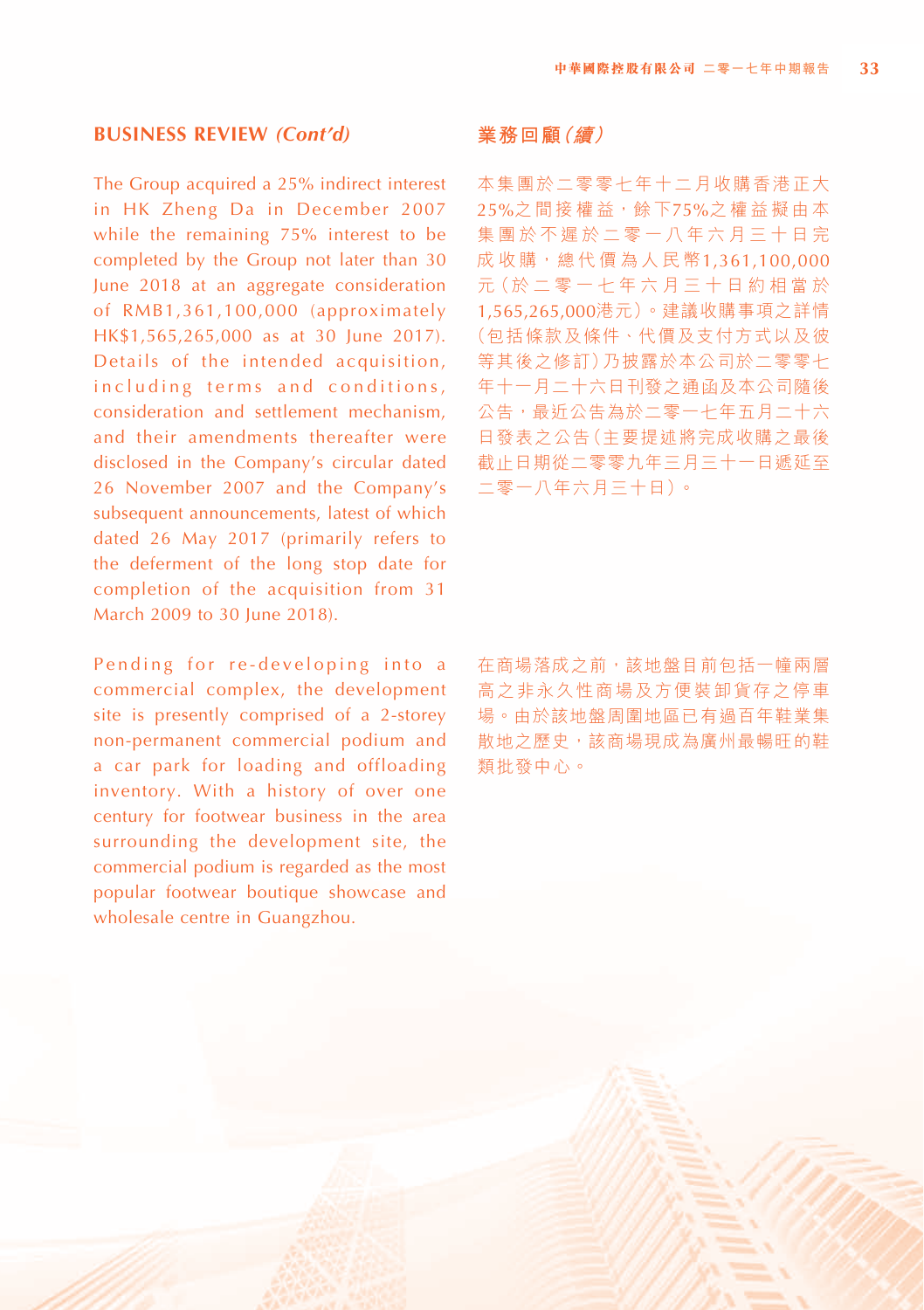#### **BUSINESS REVIEW** *(Cont'd)*

The Group acquired a 25% indirect interest in HK Zheng Da in December 2007 while the remaining 75% interest to be completed by the Group not later than 30 June 2018 at an aggregate consideration of RMB1,361,100,000 (approximately HK\$1,565,265,000 as at 30 June 2017). Details of the intended acquisition, in cluding terms and conditions, consideration and settlement mechanism, and their amendments thereafter were disclosed in the Company's circular dated 26 November 2007 and the Company's subsequent announcements, latest of which dated 26 May 2017 (primarily refers to the deferment of the long stop date for completion of the acquisition from 31 March 2009 to 30 June 2018).

Pending for re-developing into a commercial complex, the development site is presently comprised of a 2-storey non-permanent commercial podium and a car park for loading and offloading inventory. With a history of over one century for footwear business in the area surrounding the development site, the commercial podium is regarded as the most popular footwear boutique showcase and wholesale centre in Guangzhou.

#### **業務回顧(續)**

本集團於二零零七年十二月收購香港正大 25%之間接權益,餘下75%之權益擬由本 集團於不遲於二零一八年六月三十日完 成 收 購, 總 代 價 為 人 民 幣 1,361,100,000 元(於 二 零 一 七 年 六 月 三 十 日 約 相 當 於 1,565,265,000港元)。建議收購事項之詳情 (包括條款及條件、代價及支付方式以及彼 等其後之修訂)乃披露於本公司於二零零七 年十一月二十六日刊發之通函及本公司隨後 公告,最近公告為於二零一七年五月二十六 日發表之公告(主要提述將完成收購之最後 截止日期從二零零九年三月三十一日遞延至 二零一八年六月三十日)。

在商場落成之前,該地盤目前包括一幢兩層 高之非永久性商場及方便裝卸貨存之停車 場。由於該地盤周圍地區已有過百年鞋業集 散地之歷史,該商場現成為廣州最暢旺的鞋 類批發中心。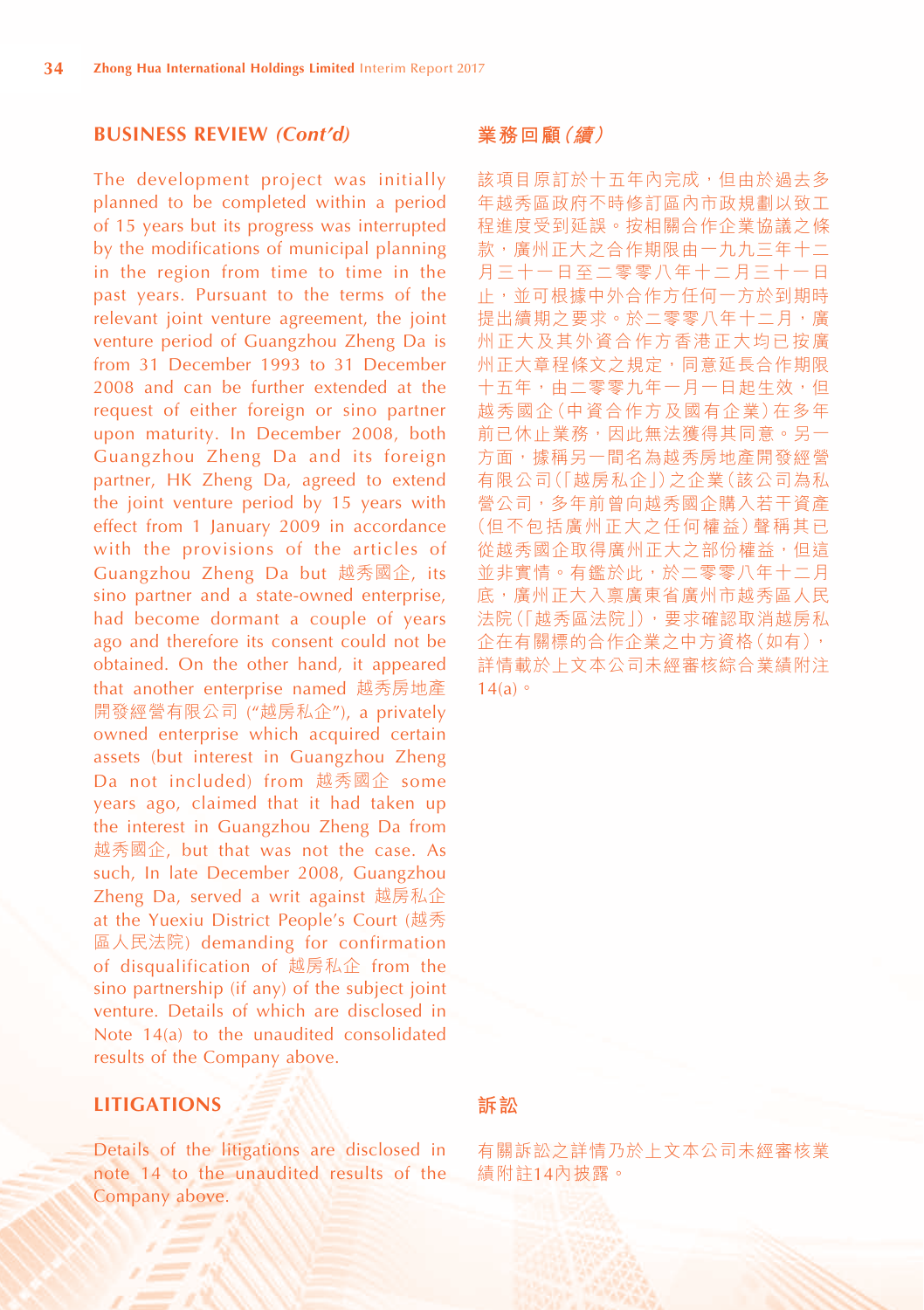#### **BUSINESS REVIEW** *(Cont'd)*

The development project was initially planned to be completed within a period of 15 years but its progress was interrupted by the modifications of municipal planning in the region from time to time in the past years. Pursuant to the terms of the relevant joint venture agreement, the joint venture period of Guangzhou Zheng Da is from 31 December 1993 to 31 December 2008 and can be further extended at the request of either foreign or sino partner upon maturity. In December 2008, both Guangzhou Zheng Da and its foreign partner, HK Zheng Da, agreed to extend the joint venture period by 15 years with effect from 1 January 2009 in accordance with the provisions of the articles of Guangzhou Zheng Da but 越秀國企, its sino partner and a state-owned enterprise, had become dormant a couple of years ago and therefore its consent could not be obtained. On the other hand, it appeared that another enterprise named 越秀房地產 開發經營有限公司 ("越房私企"), a privately owned enterprise which acquired certain assets (but interest in Guangzhou Zheng Da not included) from 越秀國企 some years ago, claimed that it had taken up the interest in Guangzhou Zheng Da from 越秀國企, but that was not the case. As such, In late December 2008, Guangzhou Zheng Da, served a writ against 越房私企 at the Yuexiu District People's Court (越秀 區人民法院) demanding for confirmation of disqualification of 越房私企 from the sino partnership (if any) of the subject joint venture. Details of which are disclosed in Note 14(a) to the unaudited consolidated results of the Company above.

#### **LITIGATIONS**

Details of the litigations are disclosed in note 14 to the unaudited results of the Company above.

#### **業務回顧(續)**

該項目原訂於十五年內完成,但由於過去多 年越秀區政府不時修訂區內市政規劃以致工 程進度受到延誤。按相關合作企業協議之條 款,廣州正大之合作期限由一九九三年十二 月三十一日至二零零八年十二月三十一日 止,並可根據中外合作方任何一方於到期時 提出續期之要求。於二零零八年十二月,廣 州正大及其外資合作方香港正大均已按廣 州正大章程條文之規定,同意延長合作期限 十五年,由二零零九年一月一日起生效,但 越秀國企(中資合作方及國有企業)在多年 前已休止業務,因此無法獲得其同意。另一 方面,據稱另一間名為越秀房地產開發經營 有限公司(「越房私企」)之企業(該公司為私 營公司,多年前曾向越秀國企購入若干資產 (但不包括廣州正大之任何權益)聲稱其已 從越秀國企取得廣州正大之部份權益,但這 並非實情。有鑑於此,於二零零八年十二月 底,廣州正大入禀廣東省廣州市越秀區人民 法院(「越秀區法院」),要求確認取消越房私 企在有關標的合作企業之中方資格(如有), 詳情載於上文本公司未經審核綜合業績附注  $14(a)$ 

#### **訴訟**

有關訴訟之詳情乃於上文本公司未經審核業 績附註14內披露。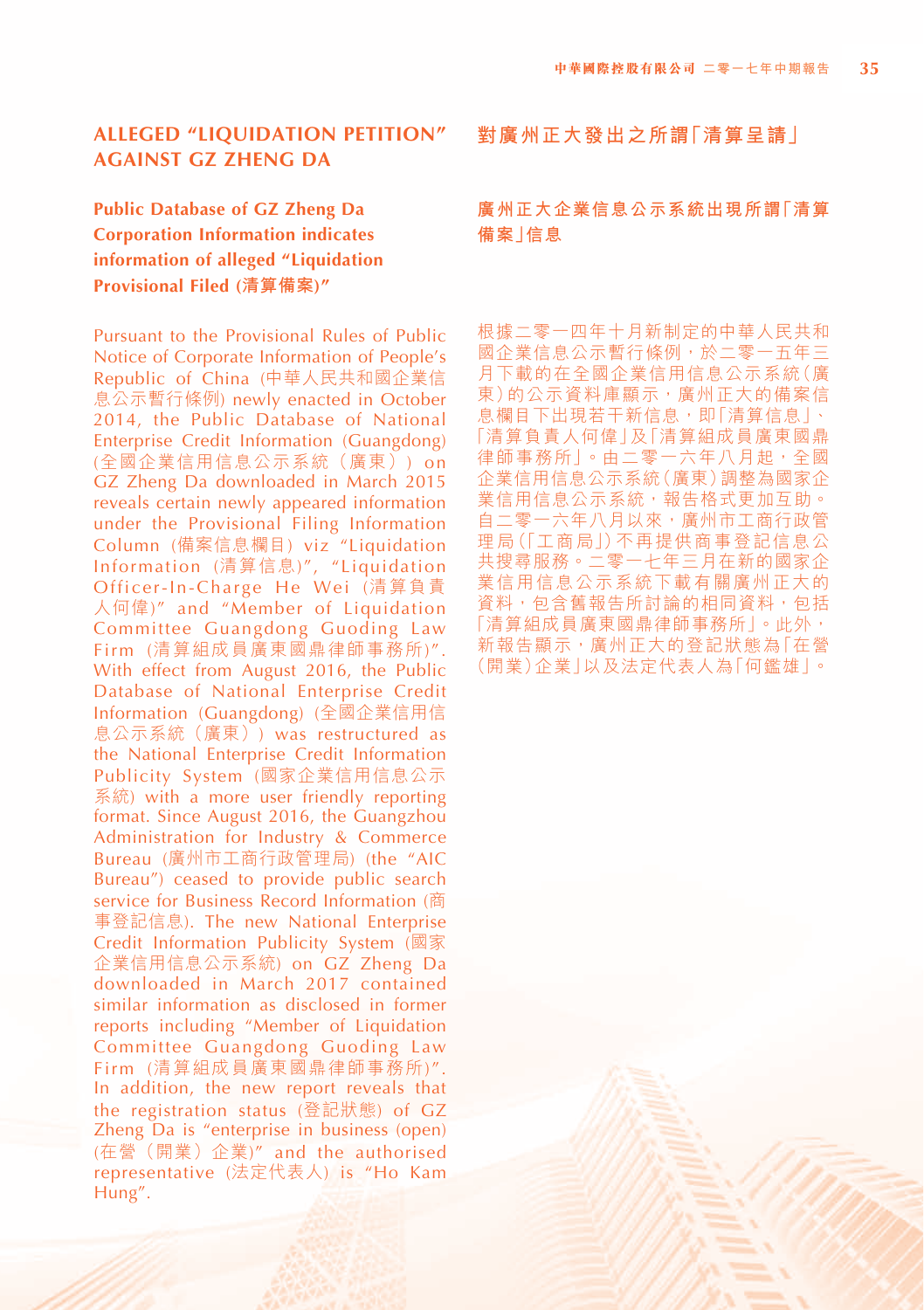# **Public Database of GZ Zheng Da Corporation Information indicates information of alleged "Liquidation Provisional Filed (清算備案)"**

Pursuant to the Provisional Rules of Public Notice of Corporate Information of People's Republic of China (中華人民共和國企業信 息公示暫行條例) newly enacted in October 2014, the Public Database of National Enterprise Credit Information (Guangdong) (全國企業信用信息公示系統(廣東)) on GZ Zheng Da downloaded in March 2015 reveals certain newly appeared information under the Provisional Filing Information Column (備案信息欄目) viz "Liquidation Information (清算信息)", "Liquidation Officer-In-Charge He Wei (清算負責 人何偉)" and "Member of Liquidation Committee Guangdong Guoding Law Firm (清算組成員廣東國鼎律師事務所)". With effect from August 2016, the Public Database of National Enterprise Credit Information (Guangdong) (全國企業信用信 息公示系統(廣東)) was restructured as the National Enterprise Credit Information Publicity System (國家企業信用信息公示 系統) with a more user friendly reporting format. Since August 2016, the Guangzhou Administration for Industry & Commerce Bureau (廣州市工商行政管理局) (the "AIC Bureau") ceased to provide public search service for Business Record Information (商 事登記信息). The new National Enterprise Credit Information Publicity System (國家 企業信用信息公示系統) on GZ Zheng Da downloaded in March 2017 contained similar information as disclosed in former reports including "Member of Liquidation Committee Guangdong Guoding Law Firm (清算組成員廣東國鼎律師事務所)". In addition, the new report reveals that the registration status (登記狀態) of GZ Zheng Da is "enterprise in business (open) (在營(開業)企業)" and the authorised representative (法定代表人) is "Ho Kam Hung".

**對廣州正大發出之所謂「清算呈請」**

#### **廣州正大企業信息公示系統出現所謂「清算 備案」信息**

根據二零一四年十月新制定的中華人民共和 國企業信息公示暫行條例,於二零一五年三 月下載的在全國企業信用信息公示系統(廣 東)的公示資料庫顯示,廣州正大的備案信 息欄目下出現若干新信息,即「清算信息」、 「清算負責人何偉」及「清算組成員廣東國鼎 律師事務所」。由二零一六年八月起,全國 企業信用信息公示系統(廣東)調整為國家企 業信用信息公示系統,報告格式更加互助。 自二零一六年八月以來,廣州市工商行政管 理局(「工商局」)不再提供商事登記信息公 共搜尋服務。二零一七年三月在新的國家企 業信用信息公示系統下載有關廣州正大的 資料,包含舊報告所討論的相同資料,包括 「清算組成員廣東國鼎律師事務所」。此外, 新報告顯示,廣州正大的登記狀態為「在營 (開業)企業」以及法定代表人為「何鑑雄」。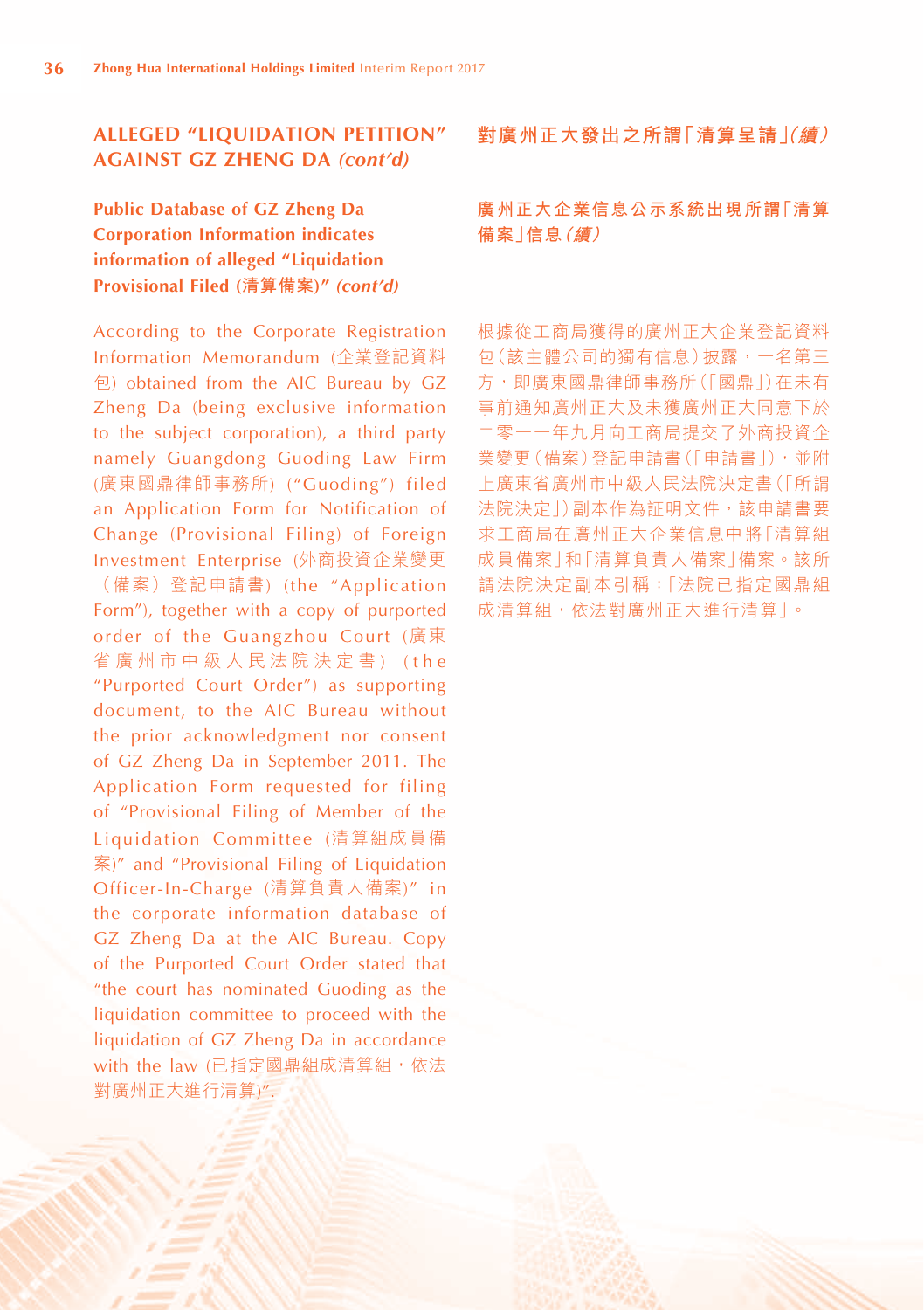**Public Database of GZ Zheng Da Corporation Information indicates information of alleged "Liquidation Provisional Filed (清算備案)"** *(cont'd)*

According to the Corporate Registration Information Memorandum (企業登記資料 包) obtained from the AIC Bureau by GZ Zheng Da (being exclusive information to the subject corporation), a third party namely Guangdong Guoding Law Firm (廣東國鼎律師事務所) ("Guoding") filed an Application Form for Notification of Change (Provisional Filing) of Foreign Investment Enterprise (外商投資企業變更 (備案)登記申請書) (the "Application Form"), together with a copy of purported order of the Guangzhou Court (廣東 省 廣 州 市 中 級 人 民 法 院 決 定 書 ) ( t h e "Purported Court Order") as supporting document, to the AIC Bureau without the prior acknowledgment nor consent of GZ Zheng Da in September 2011. The Application Form requested for filing of "Provisional Filing of Member of the Liquidation Committee (清算組成員備 案)" and "Provisional Filing of Liquidation Officer-In-Charge (清算負責人備案)" in the corporate information database of GZ Zheng Da at the AIC Bureau. Copy of the Purported Court Order stated that "the court has nominated Guoding as the liquidation committee to proceed with the liquidation of GZ Zheng Da in accordance with the law (已指定國鼎組成清算組, 依法 對廣州正大進行清算)".

#### **對廣州正大發出之所謂「清算呈請(」續)**

# **廣州正大企業信息公示系統出現所謂「清算 備案」信息(續)**

根據從工商局獲得的廣州正大企業登記資料 包(該主體公司的獨有信息)披露,一名第三 方,即廣東國鼎律師事務所(「國鼎」)在未有 事前通知廣州正大及未獲廣州正大同意下於 二零一一年九月向工商局提交了外商投資企 業變更(備案)登記申請書(「申請書」),並附 上廣東省廣州市中級人民法院決定書(「所謂 法院決定」)副本作為証明文件,該申請書要 求工商局在廣州正大企業信息中將「清算組 成員備案」和「清算負責人備案」備案。該所 謂法院決定副本引稱:「法院已指定國鼎組 成清算組,依法對廣州正大進行清算」。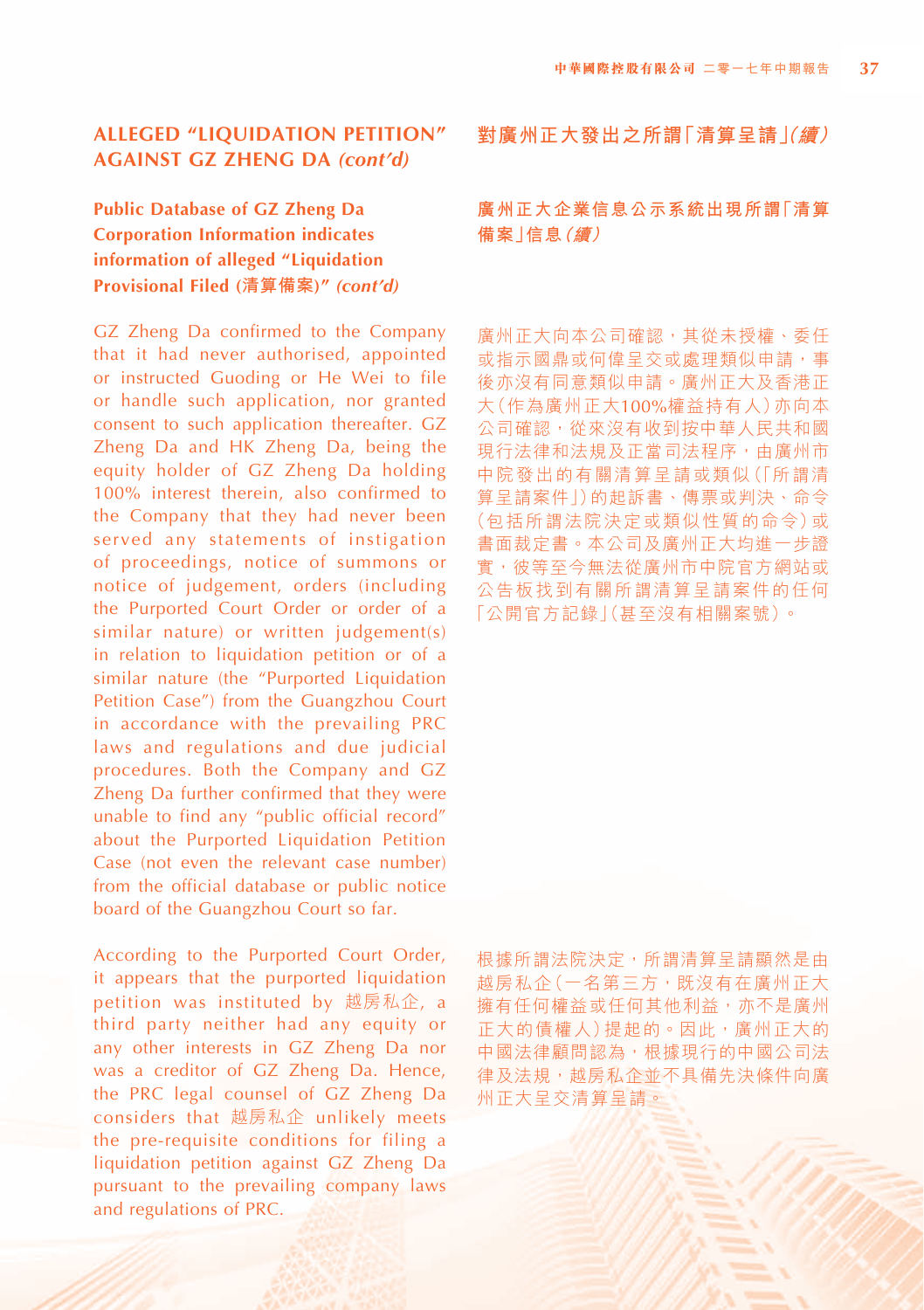# **Public Database of GZ Zheng Da Corporation Information indicates information of alleged "Liquidation Provisional Filed (清算備案)"** *(cont'd)*

GZ Zheng Da confirmed to the Company that it had never authorised, appointed or instructed Guoding or He Wei to file or handle such application, nor granted consent to such application thereafter. GZ Zheng Da and HK Zheng Da, being the equity holder of GZ Zheng Da holding 100% interest therein, also confirmed to the Company that they had never been served any statements of instigation of proceedings, notice of summons or notice of judgement, orders (including the Purported Court Order or order of a similar nature) or written judgement(s) in relation to liquidation petition or of a similar nature (the "Purported Liquidation Petition Case") from the Guangzhou Court in accordance with the prevailing PRC laws and regulations and due judicial procedures. Both the Company and GZ Zheng Da further confirmed that they were unable to find any "public official record" about the Purported Liquidation Petition Case (not even the relevant case number) from the official database or public notice board of the Guangzhou Court so far.

According to the Purported Court Order, it appears that the purported liquidation petition was instituted by 越房私企, a third party neither had any equity or any other interests in GZ Zheng Da nor was a creditor of GZ Zheng Da. Hence, the PRC legal counsel of GZ Zheng Da considers that 越房私企 unlikely meets the pre-requisite conditions for filing a liquidation petition against GZ Zheng Da pursuant to the prevailing company laws and regulations of PRC.

**對廣州正大發出之所謂「清算呈請(」續)**

# **廣州正大企業信息公示系統出現所謂「清算 備案」信息(續)**

廣州正大向本公司確認,其從未授權、委任 **或指示國鼎或何偉呈交或處理類似申請,事** 後亦沒有同意類似申請。廣州正大及香港正 大(作為廣州正大100%權益持有人)亦向本 公司確認,從來沒有收到按中華人民共和國 現行法律和法規及正當司法程序,由廣州市 中院發出的有關清算呈請或類似(「所謂清 算呈請案件」)的起訴書、傳票或判決、命令 (包括所謂法院決定或類似性質的命令)或 書面裁定書。本公司及廣州正大均進一步證 實,彼等至今無法從廣州市中院官方網站或 公告板找到有關所謂清算呈請案件的任何 「公開官方記錄」(甚至沒有相關案號)。

根據所謂法院決定,所謂清算呈請顯然是由 越房私企(一名第三方, 既沒有在廣州正大 擁有任何權益或任何其他利益,亦不是廣州 正大的債權人)提起的。因此,廣州正大的 中國法律顧問認為,根據現行的中國公司法 律及法規,越房私企並不具備先決條件向廣 州正大呈交清算呈請。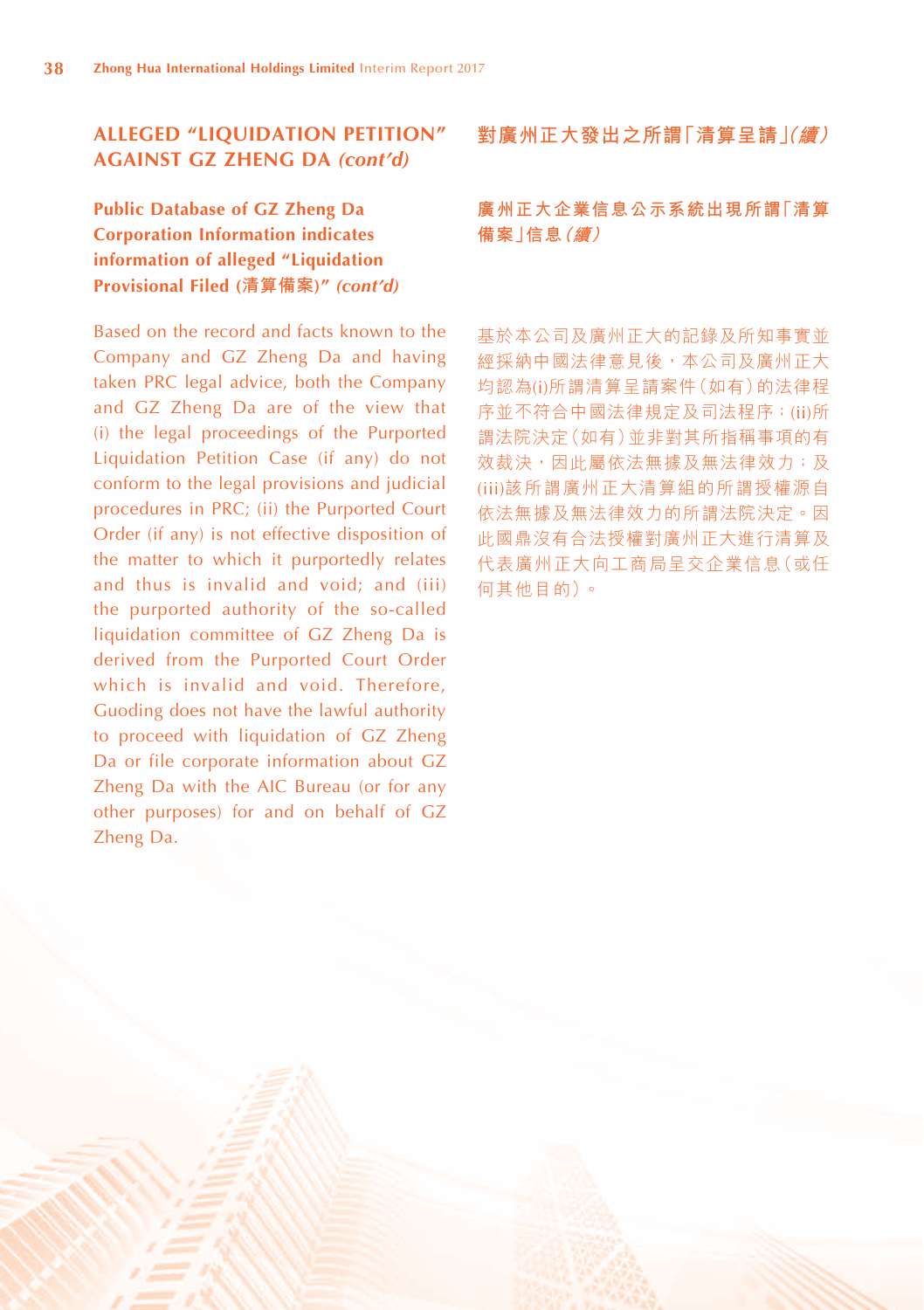**Public Database of GZ Zheng Da Corporation Information indicates information of alleged "Liquidation Provisional Filed (清算備案)"** *(cont'd)*

Based on the record and facts known to the Company and GZ Zheng Da and having taken PRC legal advice, both the Company and GZ Zheng Da are of the view that (i) the legal proceedings of the Purported Liquidation Petition Case (if any) do not conform to the legal provisions and judicial procedures in PRC; (ii) the Purported Court Order (if any) is not effective disposition of the matter to which it purportedly relates and thus is invalid and void; and (iii) the purported authority of the so-called liquidation committee of GZ Zheng Da is derived from the Purported Court Order which is invalid and void. Therefore, Guoding does not have the lawful authority to proceed with liquidation of GZ Zheng Da or file corporate information about GZ Zheng Da with the AIC Bureau (or for any other purposes) for and on behalf of GZ Zheng Da.

#### **對廣州正大發出之所謂「清算呈請(」續)**

# **廣州正大企業信息公示系統出現所謂「清算 備案」信息(續)**

基於本公司及廣州正大的記錄及所知事實並 經採納中國法律意見後,本公司及廣州正大 均認為(i)所謂清算呈請案件(如有)的法律程 序並不符合中國法律規定及司法程序;(ii)所 謂法院決定(如有)並非對其所指稱事項的有 效裁決,因此屬依法無據及無法律效力;及 (iii)該所謂廣州正大清算組的所謂授權源自 依法無據及無法律效力的所謂法院決定。因 此國鼎沒有合法授權對廣州正大進行清算及 代表廣州正大向工商局呈交企業信息(或任 何其他目的)。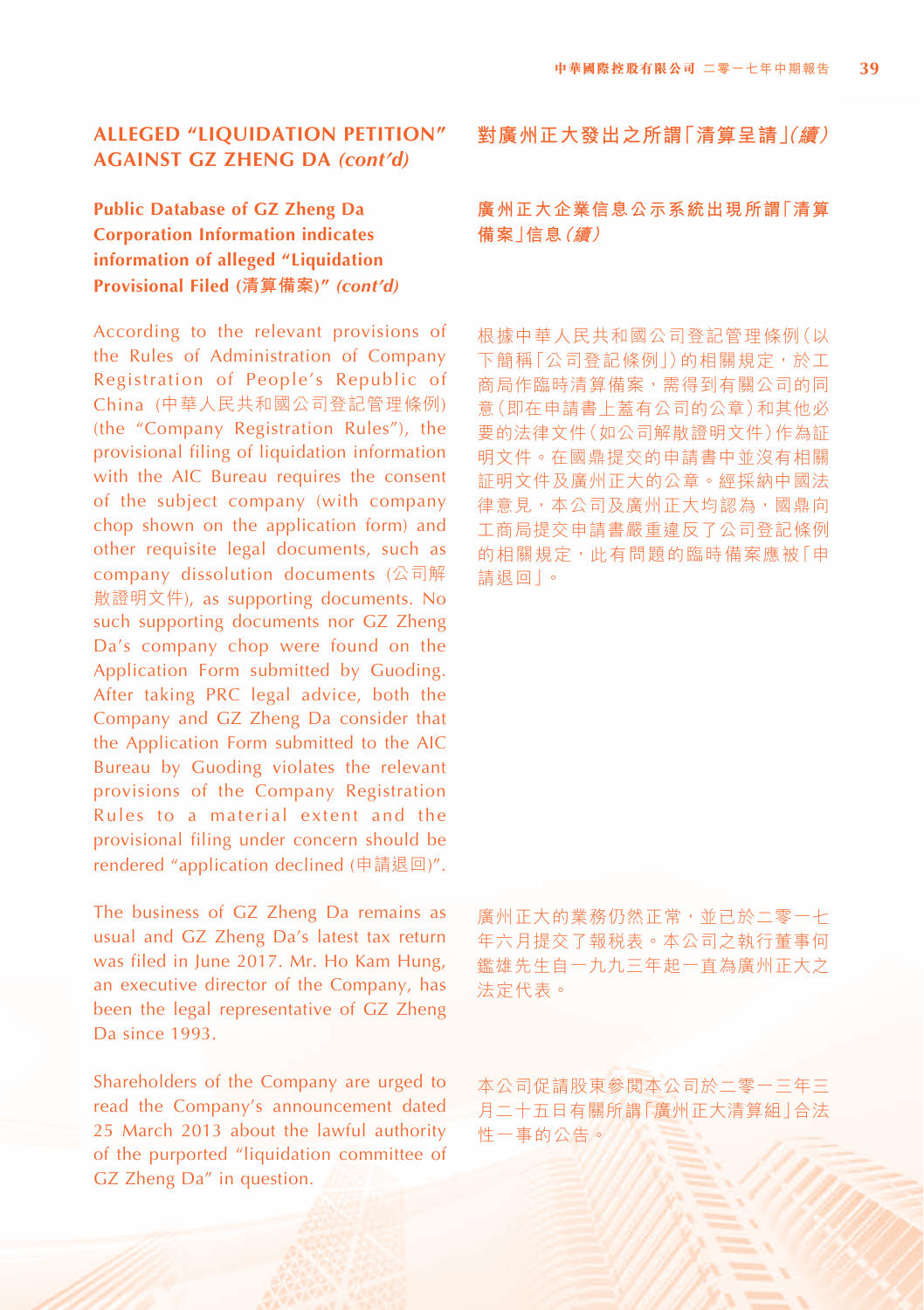# **Public Database of GZ Zheng Da Corporation Information indicates information of alleged "Liquidation Provisional Filed (清算備案)"** *(cont'd)*

According to the relevant provisions of the Rules of Administration of Company Registration of People's Republic of China (中華人民共和國公司登記管理條例) (the "Company Registration Rules"), the provisional filing of liquidation information with the AIC Bureau requires the consent of the subject company (with company chop shown on the application form) and other requisite legal documents, such as company dissolution documents (公司解 散證明文件), as supporting documents. No such supporting documents nor GZ Zheng Da's company chop were found on the Application Form submitted by Guoding. After taking PRC legal advice, both the Company and GZ Zheng Da consider that the Application Form submitted to the AIC Bureau by Guoding violates the relevant provisions of the Company Registration Rules to a material extent and the provisional filing under concern should be rendered "application declined (申請退回)".

The business of GZ Zheng Da remains as usual and GZ Zheng Da's latest tax return was filed in June 2017. Mr. Ho Kam Hung, an executive director of the Company, has been the legal representative of GZ Zheng Da since 1993.

Shareholders of the Company are urged to read the Company's announcement dated 25 March 2013 about the lawful authority of the purported "liquidation committee of GZ Zheng Da" in question.

#### **對廣州正大發出之所謂「清算呈請(」續)**

# **廣州正大企業信息公示系統出現所謂「清算 備案」信息(續)**

根據中華人民共和國公司登記管理條例(以 下簡稱「公司登記條例」)的相關規定,於工 商局作臨時清算備案,需得到有關公司的同 意(即在申請書上蓋有公司的公章)和其他必 要的法律文件(如公司解散證明文件)作為証 明文件。在國鼎提交的申請書中並沒有相關 証明文件及廣州正大的公章。經採納中國法 律意見,本公司及廣州正大均認為,國鼎向 工商局提交申請書嚴重違反了公司登記條例 的相關規定,此有問題的臨時備案應被「申 請退回」。

廣州正大的業務仍然正常,並已於二零一七 年六月提交了報稅表。本公司之執行董事何 鑑雄先生自一九九三年起一直為廣州正大之 法定代表。

本公司促請股東參閱本公司於二零一三年三 月二十五日有關所謂「廣州正大清算組」合法 性一事的公告。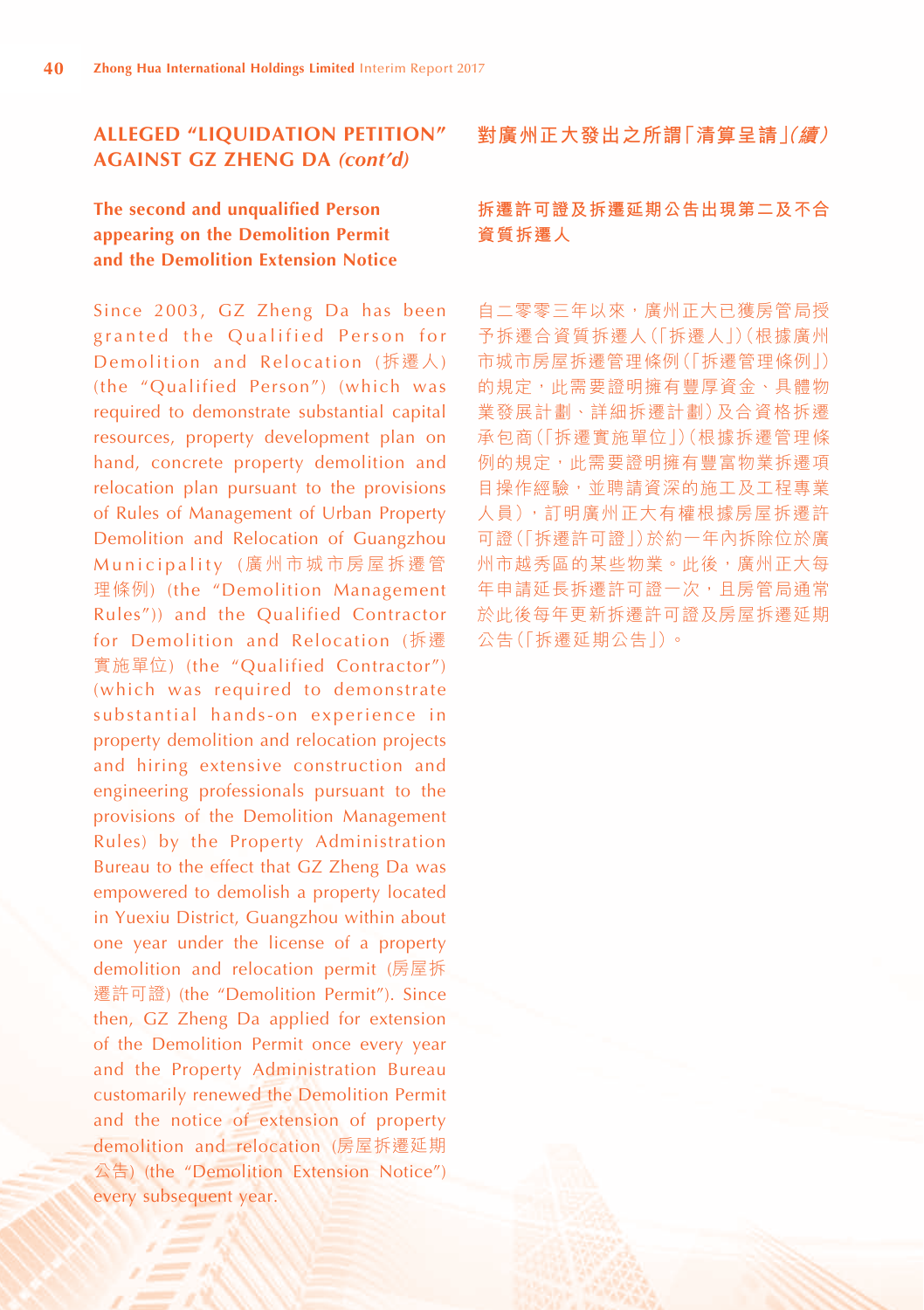**The second and unqualified Person appearing on the Demolition Permit and the Demolition Extension Notice**

Since 2003, GZ Zheng Da has been granted the Qualified Person for Demolition and Relocation (拆遷人) (the "Qualified Person") (which was required to demonstrate substantial capital resources, property development plan on hand, concrete property demolition and relocation plan pursuant to the provisions of Rules of Management of Urban Property Demolition and Relocation of Guangzhou Municipality (廣州市城市房屋拆遷管 理條例) (the "Demolition Management Rules")) and the Qualified Contractor for Demolition and Relocation (拆遷 實施單位) (the "Qualified Contractor") (which was required to demonstrate substantial hands-on experience in property demolition and relocation projects and hiring extensive construction and engineering professionals pursuant to the provisions of the Demolition Management Rules) by the Property Administration Bureau to the effect that GZ Zheng Da was empowered to demolish a property located in Yuexiu District, Guangzhou within about one year under the license of a property demolition and relocation permit (房屋拆 遷許可證) (the "Demolition Permit"). Since then, GZ Zheng Da applied for extension of the Demolition Permit once every year and the Property Administration Bureau customarily renewed the Demolition Permit and the notice of extension of property demolition and relocation (房屋拆遷延期 公告) (the "Demolition Extension Notice") every subsequent year.

**對廣州正大發出之所謂「清算呈請(」續)**

# **拆遷許可證及拆遷延期公告出現第二及不合 資質拆遷人**

自二零零三年以來,廣州正大已獲房管局授 予拆遷合資質拆遷人(「拆遷人」)(根據廣州 市城市房屋拆遷管理條例(「拆遷管理條例」) 的規定,此需要證明擁有豐厚資金、具體物 業發展計劃、詳細拆遷計劃)及合資格拆遷 承包商(「拆遷實施單位」)(根據拆遷管理條 例的規定,此需要證明擁有豐富物業拆遷項 目操作經驗,並聘請資深的施工及工程專業 人員),訂明廣州正大有權根據房屋拆遷許 可證(「拆遷許可證」)於約一年內拆除位於廣 州市越秀區的某些物業。此後,廣州正大每 年申請延長拆遷許可證一次,且房管局通常 於此後每年更新拆遷許可證及房屋拆遷延期 公告(「拆遷延期公告」)。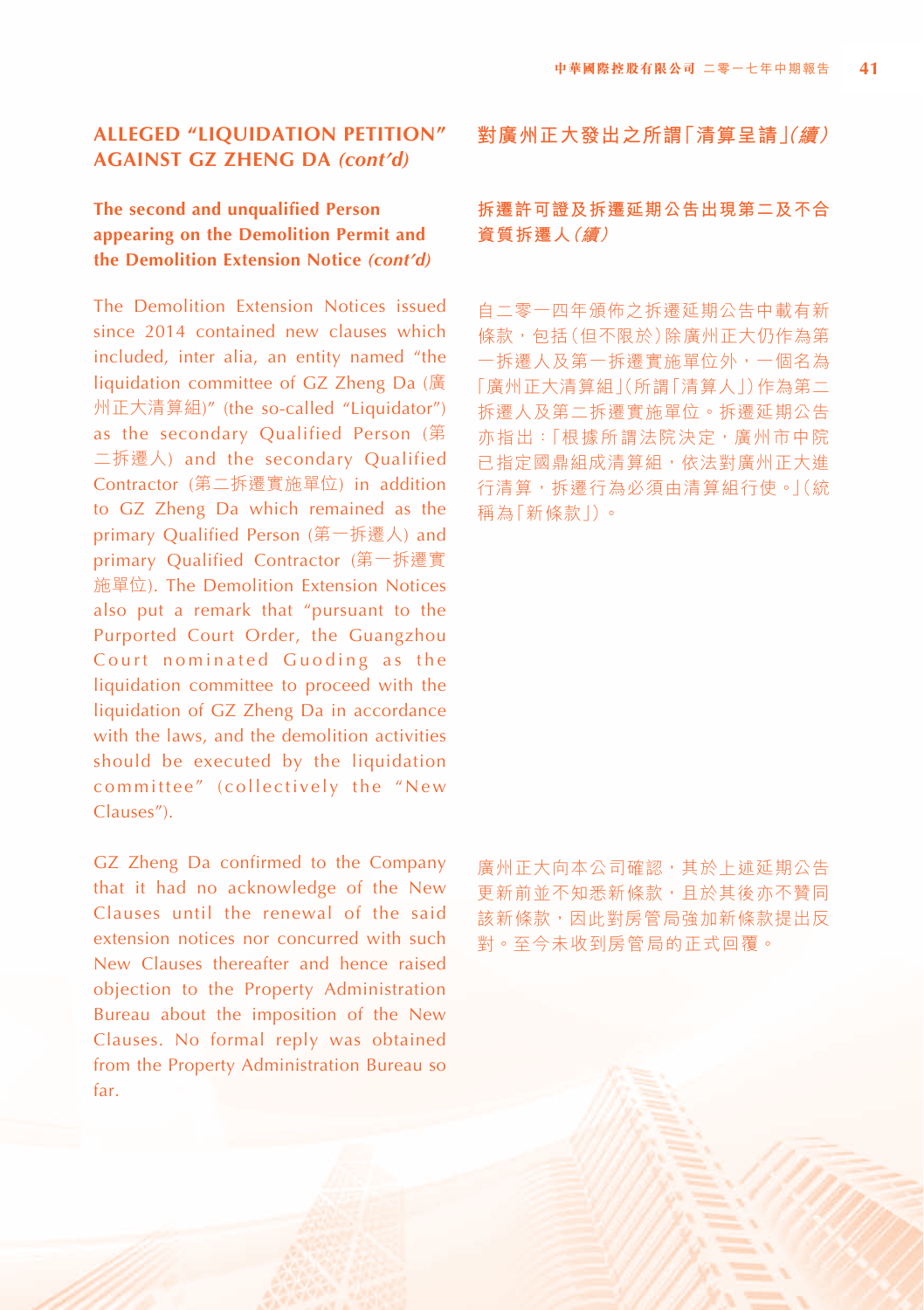# **The second and unqualified Person appearing on the Demolition Permit and the Demolition Extension Notice** *(cont'd)*

The Demolition Extension Notices issued since 2014 contained new clauses which included, inter alia, an entity named "the liquidation committee of GZ Zheng Da (廣 州正大清算組)" (the so-called "Liquidator") as the secondary Qualified Person (第 二拆遷人) and the secondary Qualified Contractor (第二拆遷實施單位) in addition to GZ Zheng Da which remained as the primary Qualified Person (第一拆遷人) and primary Qualified Contractor (第一拆遷實 施單位). The Demolition Extension Notices also put a remark that "pursuant to the Purported Court Order, the Guangzhou Court nominated Guoding as the liquidation committee to proceed with the liquidation of GZ Zheng Da in accordance with the laws, and the demolition activities should be executed by the liquidation committee" (collectively the "New Clauses").

GZ Zheng Da confirmed to the Company that it had no acknowledge of the New Clauses until the renewal of the said extension notices nor concurred with such New Clauses thereafter and hence raised objection to the Property Administration Bureau about the imposition of the New Clauses. No formal reply was obtained from the Property Administration Bureau so far.

**對廣州正大發出之所謂「清算呈請(」續)**

# **拆遷許可證及拆遷延期公告出現第二及不合 資質拆遷人(續)**

自二零一四年頒佈之拆遷延期公告中載有新 條款,包括(但不限於)除廣州正大仍作為第 一拆遷人及第一拆遷實施單位外,一個名為 「廣州正大清算組」(所謂「清算人」)作為第二 拆遷人及第二拆遷實施單位。拆遷延期公告 亦指出:「根據所謂法院決定,廣州市中院 已指定國鼎組成清算組,依法對廣州正大進 行清算,拆遷行為必須由清算組行使。」(統 稱為「新條款」)。

廣州正大向本公司確認,其於上述延期公告 更新前並不知悉新條款,且於其後亦不贊同 該新條款,因此對房管局強加新條款提出反 對。至今未收到房管局的正式回覆。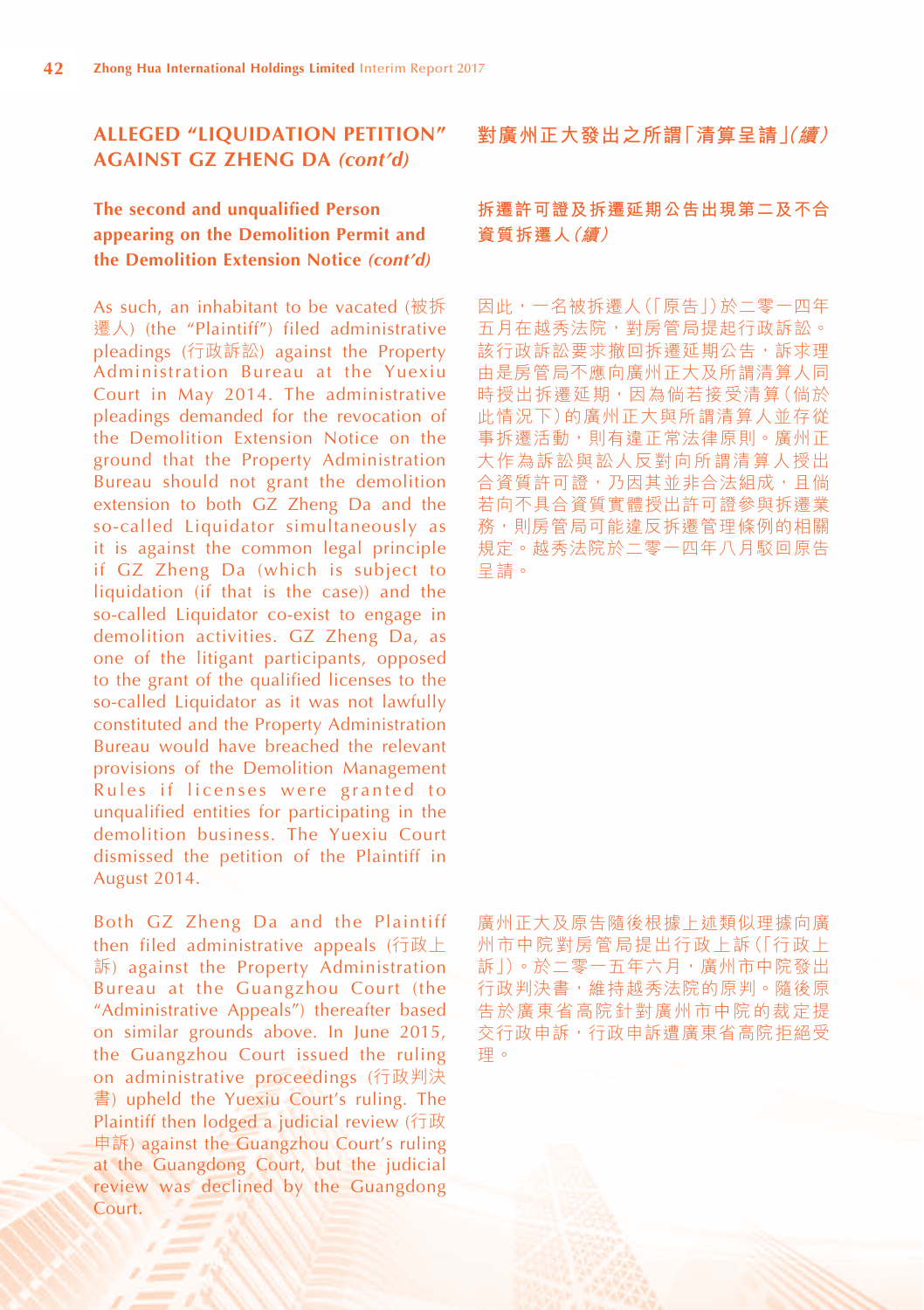# **The second and unqualified Person appearing on the Demolition Permit and the Demolition Extension Notice** *(cont'd)*

As such, an inhabitant to be vacated (被拆 遷人) (the "Plaintiff") filed administrative pleadings (行政訴訟) against the Property Administration Bureau at the Yuexiu Court in May 2014. The administrative pleadings demanded for the revocation of the Demolition Extension Notice on the ground that the Property Administration Bureau should not grant the demolition extension to both GZ Zheng Da and the so-called Liquidator simultaneously as it is against the common legal principle if GZ Zheng Da (which is subject to liquidation (if that is the case)) and the so-called Liquidator co-exist to engage in demolition activities. GZ Zheng Da, as one of the litigant participants, opposed to the grant of the qualified licenses to the so-called Liquidator as it was not lawfully constituted and the Property Administration Bureau would have breached the relevant provisions of the Demolition Management Rules if licenses were granted to unqualified entities for participating in the demolition business. The Yuexiu Court dismissed the petition of the Plaintiff in August 2014.

Both GZ Zheng Da and the Plaintiff then filed administrative appeals (行政上 訴) against the Property Administration Bureau at the Guangzhou Court (the "Administrative Appeals") thereafter based on similar grounds above. In June 2015, the Guangzhou Court issued the ruling on administrative proceedings (行政判決 書) upheld the Yuexiu Court's ruling. The Plaintiff then lodged a judicial review (行政 申訴) against the Guangzhou Court's ruling at the Guangdong Court, but the judicial review was declined by the Guangdong Court.

**對廣州正大發出之所謂「清算呈請(」續)**

# **拆遷許可證及拆遷延期公告出現第二及不合 資質拆遷人(續)**

因此,一名被拆遷人(「原告」)於二零一四年 五月在越秀法院,對房管局提起行政訴訟。 該行政訴訟要求撤回拆遷延期公告,訴求理 由是房管局不應向廣州正大及所謂清算人同 時授出拆遷延期,因為倘若接受清算(倘於 此情況下)的廣州正大與所謂清算人並存從 事拆遷活動,則有違正常法律原則。廣州正 大作為訴訟與訟人反對向所謂清算人授出 合資質許可證,乃因其並非合法組成,且倘 若向不具合資質實體授出許可證參與拆遷業 務,則房管局可能違反拆遷管理條例的相關 規定。越秀法院於二零一四年八月駁回原告 呈請。

廣州正大及原告隨後根據上述類似理據向廣 州市中院對房管局提出行政上訴(「行政上 訴」)。於二零一五年六月,廣州市中院發出 行政判決書,維持越秀法院的原判。隨後原 告於廣東省高院針對廣州市中院的裁定提 交行政申訴,行政申訴遭廣東省高院拒絕受 理。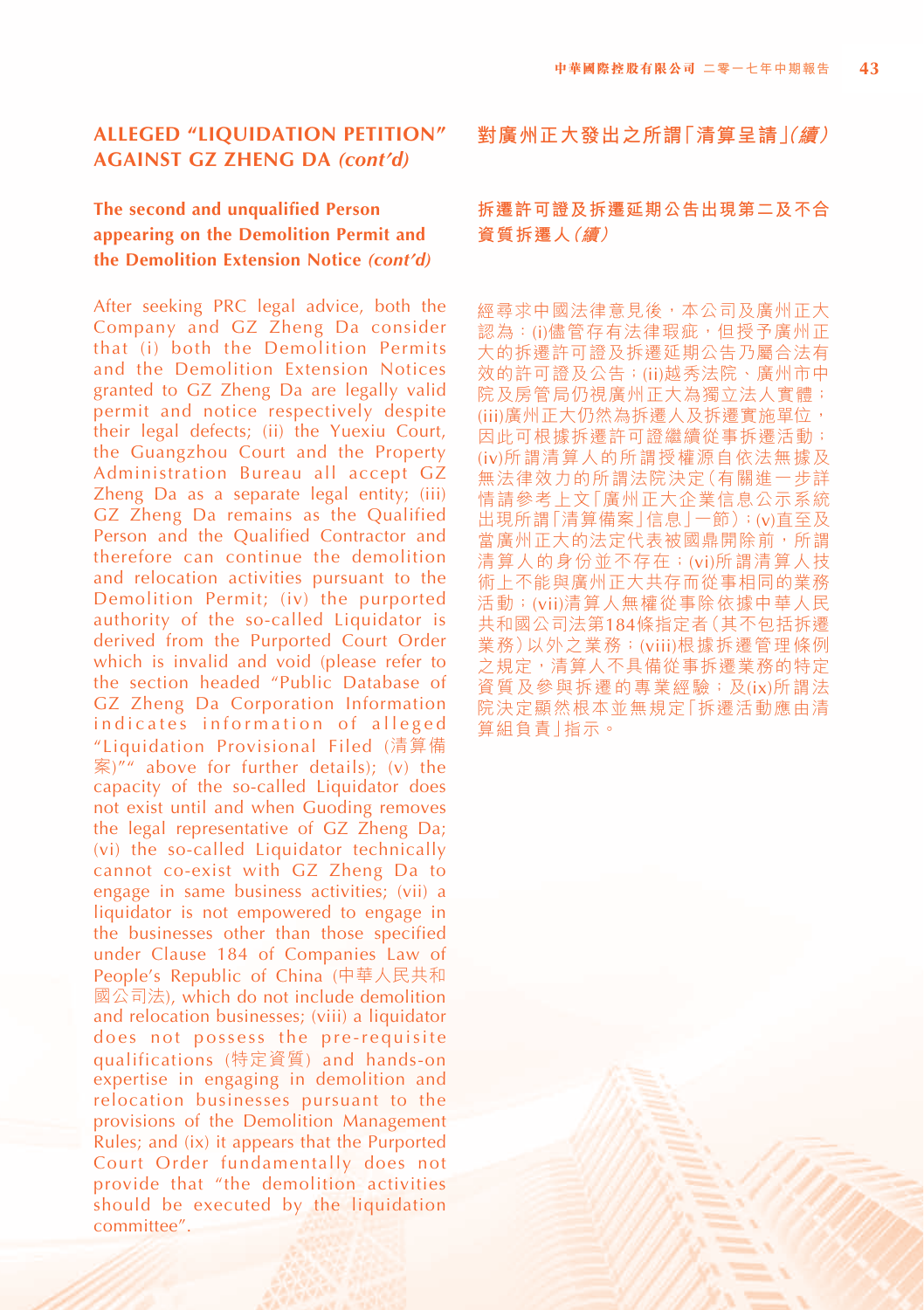# **The second and unqualified Person appearing on the Demolition Permit and the Demolition Extension Notice** *(cont'd)*

After seeking PRC legal advice, both the Company and GZ Zheng Da consider that (i) both the Demolition Permits and the Demolition Extension Notices granted to GZ Zheng Da are legally valid permit and notice respectively despite their legal defects; (ii) the Yuexiu Court, the Guangzhou Court and the Property Administration Bureau all accept GZ Zheng Da as a separate legal entity; (iii) GZ Zheng Da remains as the Qualified Person and the Qualified Contractor and therefore can continue the demolition and relocation activities pursuant to the Demolition Permit; (iv) the purported authority of the so-called Liquidator is derived from the Purported Court Order which is invalid and void (please refer to the section headed "Public Database of GZ Zheng Da Corporation Information indicates information of alleged "Liquidation Provisional Filed (清算備  $\tilde{\mathbb{R}}$ )"" above for further details): (v) the capacity of the so-called Liquidator does not exist until and when Guoding removes the legal representative of GZ Zheng Da; (vi) the so-called Liquidator technically cannot co-exist with GZ Zheng Da to engage in same business activities; (vii) a liquidator is not empowered to engage in the businesses other than those specified under Clause 184 of Companies Law of People's Republic of China (中華人民共和 國公司法), which do not include demolition and relocation businesses; (viii) a liquidator does not possess the pre-requisite qualifications (特定資質) and hands-on expertise in engaging in demolition and relocation businesses pursuant to the provisions of the Demolition Management Rules; and (ix) it appears that the Purported Court Order fundamentally does not provide that "the demolition activities should be executed by the liquidation committee".

**對廣州正大發出之所謂「清算呈請(」續)**

# **拆遷許可證及拆遷延期公告出現第二及不合 資質拆遷人(續)**

經尋求中國法律意見後,本公司及廣州正大 認為:(i)儘管存有法律瑕疵,但授予廣州正 大的拆遷許可證及拆遷延期公告乃屬合法有 效的許可證及公告;(ii)越秀法院、廣州市中 院及房管局仍視廣州正大為獨立法人實體; (iii)廣州正大仍然為拆遷人及拆遷實施單位, 因此可根據拆遷許可證繼續從事拆遷活動; (iv)所謂清算人的所謂授權源自依法無據及 無法律效力的所謂法院決定(有關進一步詳 情請參考上文「廣州正大企業信息公示系統 出現所謂「清算備案」信息」一節);(v)直至及 當廣州正大的法定代表被國鼎開除前,所謂 清算人的身份並不存在;(vi)所謂清算人技 術上不能與廣州正大共存而從事相同的業務 活動;(vii)清算人無權從事除依據中華人民 共和國公司法第184條指定者(其不包括拆遷 業務)以外之業務;(viii)根據拆遷管理條例 之規定,清算人不具備從事拆遷業務的特定 資質及參與拆遷的專業經驗;及(ix)所謂法 院決定顯然根本並無規定「拆遷活動應由清 算組負責」指示。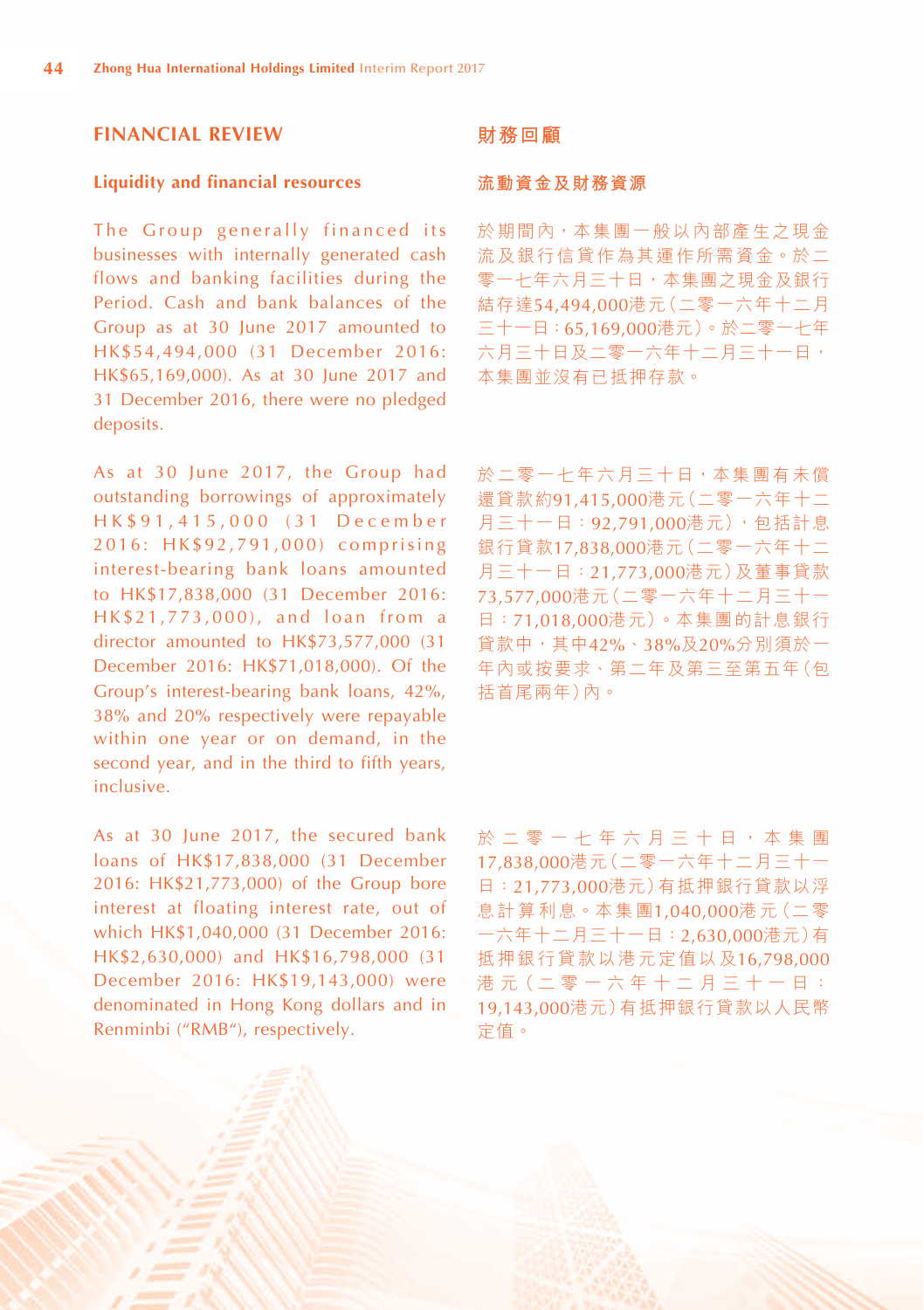## **FINANCIAL REVIEW**

#### **Liquidity and financial resources**

The Group generally financed its businesses with internally generated cash flows and banking facilities during the Period. Cash and bank balances of the Group as at 30 June 2017 amounted to HK\$54,494,000 (31 December 2016: HK\$65,169,000). As at 30 June 2017 and 31 December 2016, there were no pledged deposits.

As at 30 June 2017, the Group had outstanding borrowings of approximately H K \$ 9 1 , 4 1 5 , 0 0 0 ( 3 1 D e c e m b e r 2016: HK\$92,791,000) comprising interest-bearing bank loans amounted to HK\$17,838,000 (31 December 2016: HK\$21,773,000), and loan from a director amounted to HK\$73,577,000 (31 December 2016: HK\$71,018,000). Of the Group's interest-bearing bank loans, 42%, 38% and 20% respectively were repayable within one year or on demand, in the second year, and in the third to fifth years, inclusive.

As at 30 June 2017, the secured bank loans of HK\$17,838,000 (31 December 2016: HK\$21,773,000) of the Group bore interest at floating interest rate, out of which HK\$1,040,000 (31 December 2016: HK\$2,630,000) and HK\$16,798,000 (31 December 2016: HK\$19,143,000) were denominated in Hong Kong dollars and in Renminbi ("RMB"), respectively.

#### **財務回顧**

#### **流動資金及財務資源**

於期間內,本集團一般以內部產生之現金 流及銀行信貸作為其運作所需資金。於二 零一七年六月三十日,本集團之現金及銀行 結存達54,494,000港元(二零一六年十二月 三十一日:65,169,000港元)。於二零一七年 六月三十日及二零一六年十二月三十一日, 本集團並沒有已抵押存款。

於二零一七年六月三十日,本集團有未償 還貸款約91,415,000港元(二零一六年十二 月三十一日:92,791,000港元),包括計息 銀行貸款17,838,000港元(二零一六年十二 月三十一日:21,773,000港元)及董事貸款 73,577,000港元(二零一六年十二月三十一 日:71,018,000港元)。本集團的計息銀行 貸款中,其中42%、38%及20%分別須於一 年內或按要求、第二年及第三至第五年(包 括首尾兩年)內。

於二零一七年六月三十日,本集團 17,838,000港元(二零一六年十二月三十一 日:21,773,000港元)有抵押銀行貸款以浮 息計算利息。本集團1,040,000港元(二零 一六年十二月三十一日:2,630,000港元)有 抵押銀行貸款以港元定值以及16,798,000 港 元( 二 零 一 六 年 十 二 月 三 十 一 日 : 19,143,000港元)有抵押銀行貸款以人民幣 定值。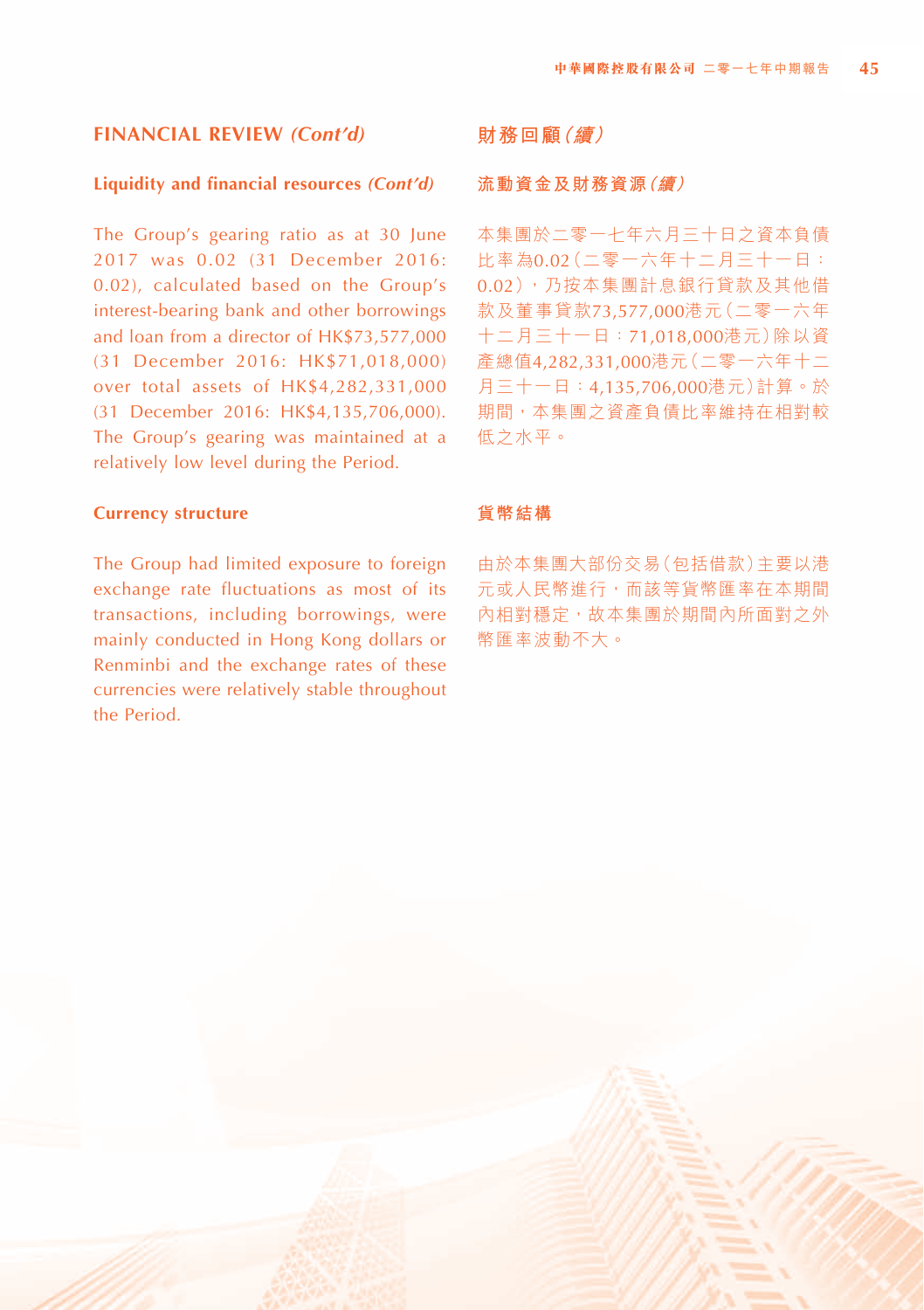#### **Liquidity and financial resources** *(Cont'd)*

The Group's gearing ratio as at 30 June 2017 was 0.02 (31 December 2016: 0.02), calculated based on the Group's interest-bearing bank and other borrowings and loan from a director of HK\$73,577,000 (31 December 2016: HK\$71,018,000) over total assets of HK\$4,282,331,000 (31 December 2016: HK\$4,135,706,000). The Group's gearing was maintained at a relatively low level during the Period.

#### **Currency structure**

The Group had limited exposure to foreign exchange rate fluctuations as most of its transactions, including borrowings, were mainly conducted in Hong Kong dollars or Renminbi and the exchange rates of these currencies were relatively stable throughout the Period.

# **財務回顧(續)**

#### **流動資金及財務資源(續)**

本集團於二零一七年六月三十日之資本負債 比率為0.02(二零一六年十二月三十一日: 0.02),乃按本集團計息銀行貸款及其他借 款及董事貸款73,577,000港元(二零一六年 十二月三十一日:71,018,000港元)除以資 產總值4,282,331,000港元(二零一六年十二 月三十一日:4,135,706,000港元)計算。於 期間,本集團之資產負債比率維持在相對較 低之水平。

#### **貨幣結構**

由於本集團大部份交易(包括借款)主要以港 元或人民幣進行,而該等貨幣匯率在本期間 內相對穩定,故本集團於期間內所面對之外 幣匯率波動不大。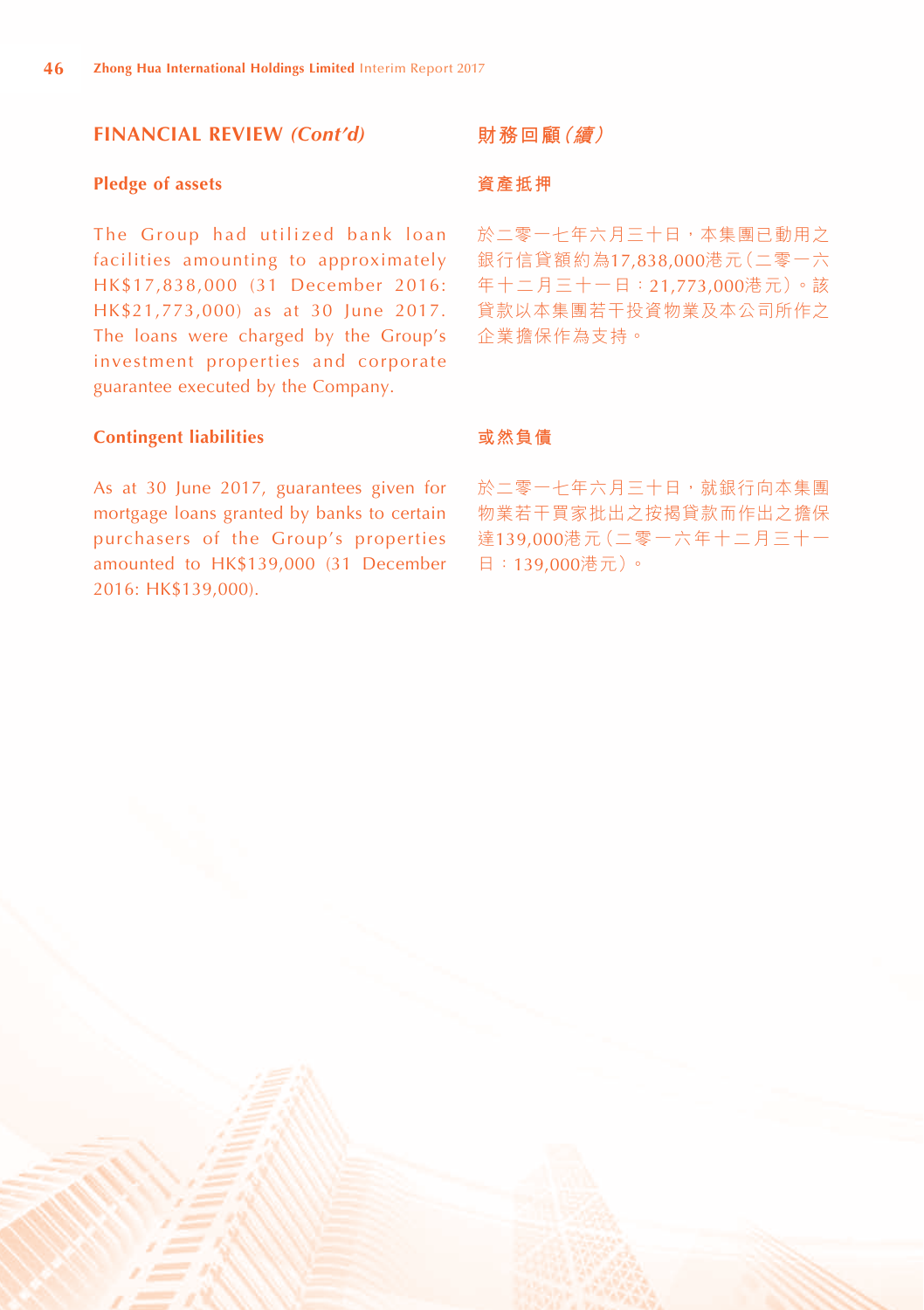#### **Pledge of assets**

The Group had utilized bank loan facilities amounting to approximately HK\$17,838,000 (31 December 2016: HK\$21,773,000) as at 30 June 2017. The loans were charged by the Group's investment properties and corporate guarantee executed by the Company.

#### **財務回顧(續)**

#### **資產抵押**

於二零一七年六月三十日,本集團已動用之 銀行信貸額約為17,838,000港元(二零一六 年十二月三十一日:21,773,000港元)。該 貸款以本集團若干投資物業及本公司所作之 企業擔保作為支持。

#### **Contingent liabilities**

As at 30 June 2017, guarantees given for mortgage loans granted by banks to certain purchasers of the Group's properties amounted to HK\$139,000 (31 December 2016: HK\$139,000).

#### **或然負債**

於二零一七年六月三十日,就銀行向本集團 物業若干買家批出之按揭貸款而作出之擔保 達139,000港元(二零一六年十二月三十一 日:139,000港元)。

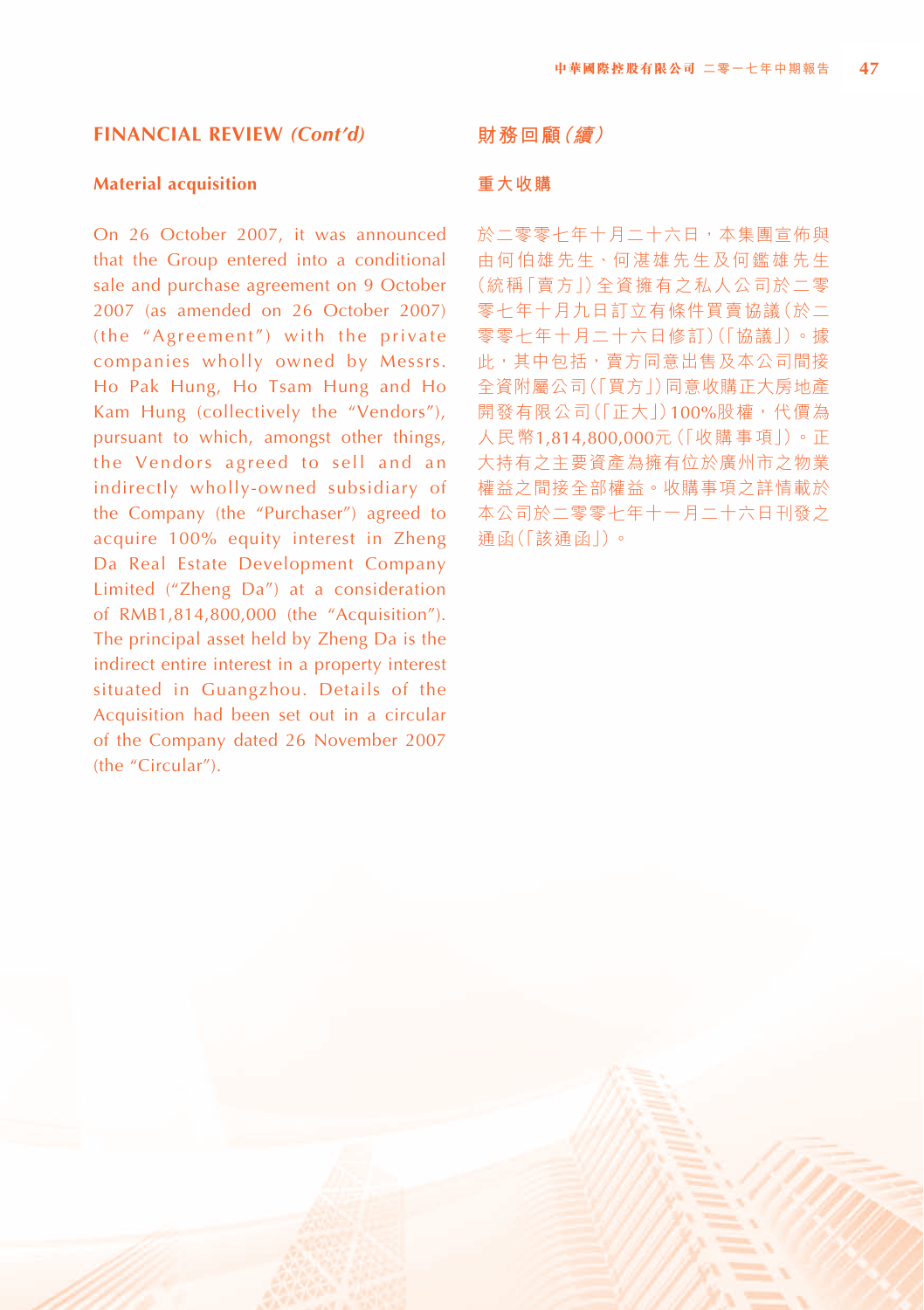#### **Material acquisition**

On 26 October 2007, it was announced that the Group entered into a conditional sale and purchase agreement on 9 October 2007 (as amended on 26 October 2007) (the "Agreement") with the private companies wholly owned by Messrs. Ho Pak Hung, Ho Tsam Hung and Ho Kam Hung (collectively the "Vendors"), pursuant to which, amongst other things, the Vendors agreed to sell and an indirectly wholly-owned subsidiary of the Company (the "Purchaser") agreed to acquire 100% equity interest in Zheng Da Real Estate Development Company Limited ("Zheng Da") at a consideration of RMB1,814,800,000 (the "Acquisition"). The principal asset held by Zheng Da is the indirect entire interest in a property interest situated in Guangzhou. Details of the Acquisition had been set out in a circular of the Company dated 26 November 2007 (the "Circular").

#### **財務回顧(續)**

#### **重大收購**

於二零零十年十月二十六日,本集團宣佈與 由何伯雄先生、何湛雄先生及何鑑雄先生 (統稱「賣方」)全資擁有之私人公司於二零 零七年十月九日訂立有條件買賣協議(於二 零零七年十月二十六日修訂)(「協議」)。據 此,其中包括,賣方同意出售及本公司間接 全資附屬公司(「買方」)同意收購正大房地產 開發有限公司(「正大」)100%股權,代價為 人民幣1,814,800,000元(「收購事項」)。正 大持有之主要資產為擁有位於廣州市之物業 權益之間接全部權益。收購事項之詳情載於 本公司於二零零七年十一月二十六日刊發之 通函(「該通函」)。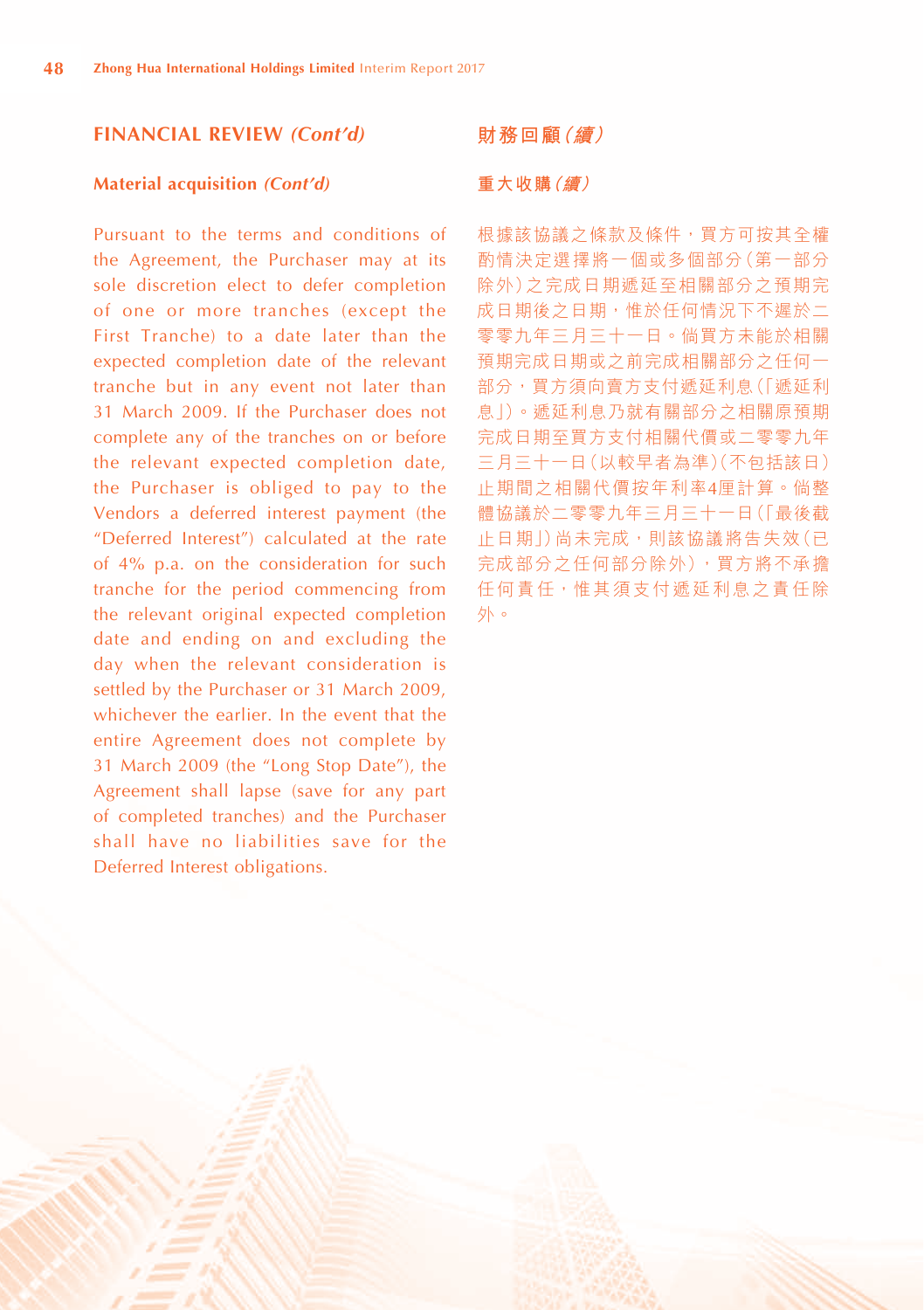#### **Material acquisition** *(Cont'd)*

Pursuant to the terms and conditions of the Agreement, the Purchaser may at its sole discretion elect to defer completion of one or more tranches (except the First Tranche) to a date later than the expected completion date of the relevant tranche but in any event not later than 31 March 2009. If the Purchaser does not complete any of the tranches on or before the relevant expected completion date, the Purchaser is obliged to pay to the Vendors a deferred interest payment (the "Deferred Interest") calculated at the rate of 4% p.a. on the consideration for such tranche for the period commencing from the relevant original expected completion date and ending on and excluding the day when the relevant consideration is settled by the Purchaser or 31 March 2009, whichever the earlier. In the event that the entire Agreement does not complete by 31 March 2009 (the "Long Stop Date"), the Agreement shall lapse (save for any part of completed tranches) and the Purchaser shall have no liabilities save for the Deferred Interest obligations.

#### **財務回顧(續)**

#### **重大收購(續)**

根據該協議之條款及條件,買方可按其全權 酌情決定選擇將一個或多個部分(第一部分 除外)之完成日期遞延至相關部分之預期完 成日期後之日期,惟於任何情況下不遲於二 零零九年三月三十一日。倘買方未能於相關 預期完成日期或之前完成相關部分之任何一 部分,買方須向賣方支付遞延利息(「遞延利 息」)。遞延利息乃就有關部分之相關原預期 完成日期至買方支付相關代價或二零零九年 三月三十一日(以較早者為準)(不包括該日) 止期間之相關代價按年利率4厘計算。倘整 體協議於二零零九年三月三十一日(「最後截 止日期」)尚未完成,則該協議將告失效(已 完成部分之任何部分除外),買方將不承擔 任何責任,惟其須支付遞延利息之責任除 外。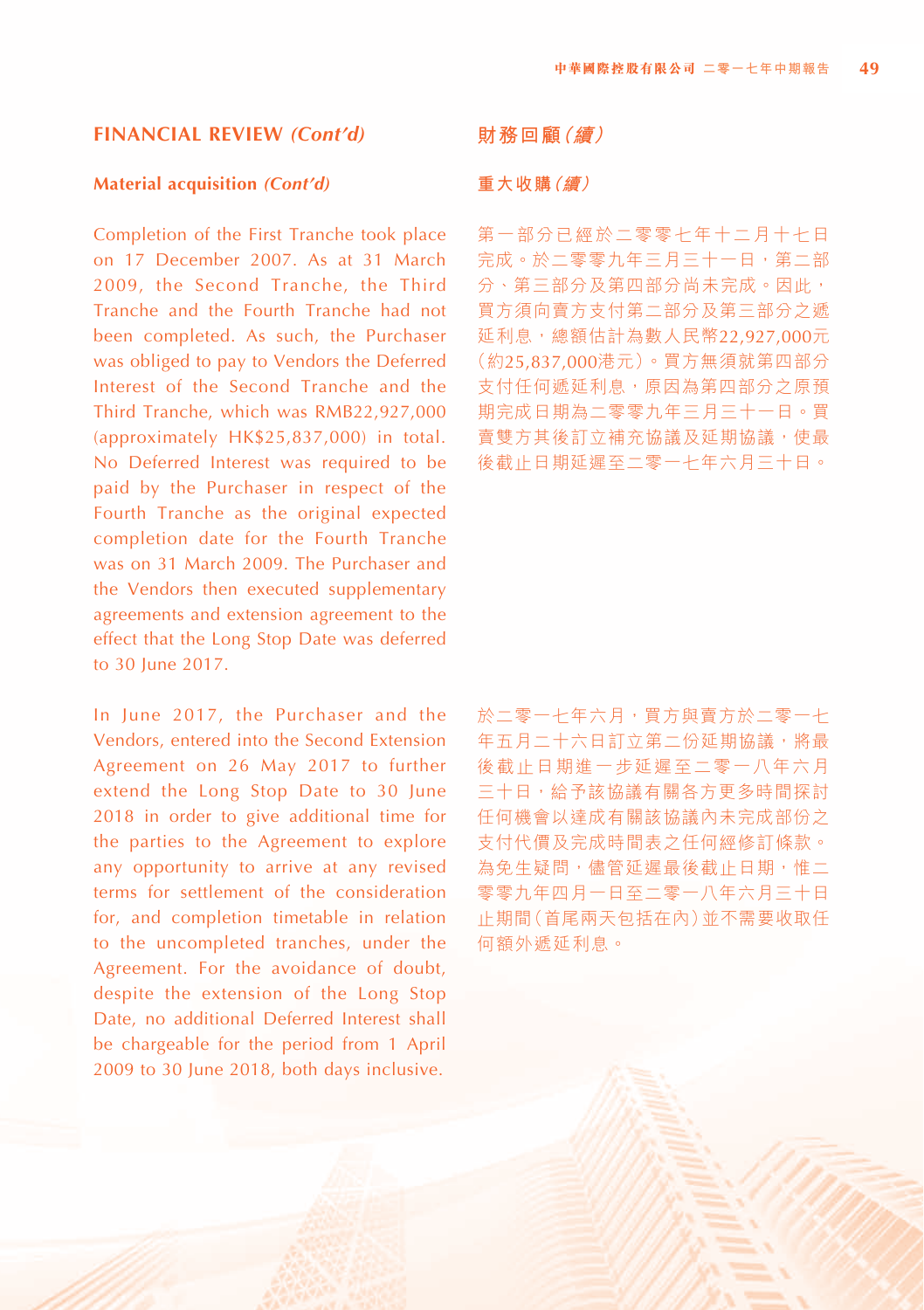#### **Material acquisition** *(Cont'd)*

Completion of the First Tranche took place on 17 December 2007. As at 31 March 2009, the Second Tranche, the Third Tranche and the Fourth Tranche had not been completed. As such, the Purchaser was obliged to pay to Vendors the Deferred Interest of the Second Tranche and the Third Tranche, which was RMB22,927,000 (approximately HK\$25,837,000) in total. No Deferred Interest was required to be paid by the Purchaser in respect of the Fourth Tranche as the original expected completion date for the Fourth Tranche was on 31 March 2009. The Purchaser and the Vendors then executed supplementary agreements and extension agreement to the effect that the Long Stop Date was deferred to 30 June 2017.

In June 2017, the Purchaser and the Vendors, entered into the Second Extension Agreement on 26 May 2017 to further extend the Long Stop Date to 30 June 2018 in order to give additional time for the parties to the Agreement to explore any opportunity to arrive at any revised terms for settlement of the consideration for, and completion timetable in relation to the uncompleted tranches, under the Agreement. For the avoidance of doubt, despite the extension of the Long Stop Date, no additional Deferred Interest shall be chargeable for the period from 1 April 2009 to 30 June 2018, both days inclusive.

#### **財務回顧(續)**

#### **重大收購(續)**

第一部分已經於二零零七年十二月十七日 完成。於二零零九年三月三十一日,第二部 分、第三部分及第四部分尚未完成。因此, 買方須向賣方支付第二部分及第三部分之遞 延利息,總額估計為數人民幣22,927,000元 (約25,837,000港元)。買方無須就第四部分 支付任何遞延利息,原因為第四部分之原預 期完成日期為二零零九年三月三十一日。買 賣雙方其後訂立補充協議及延期協議,使最 後截止日期延遲至二零一七年六月三十日。

於二零一七年六月,買方與賣方於二零一七 年五月二十六日訂立第二份延期協議,將最 後截止日期進一步延遲至二零一八年六月 三十日,給予該協議有關各方更多時間探討 任何機會以達成有關該協議內未完成部份之 支付代價及完成時間表之任何經修訂條款。 為免生疑問,儘管延遲最後截止日期,惟二 零零九年四月一日至二零一八年六月三十日 止期間(首尾兩天包括在內)並不需要收取任 何額外遞延利息。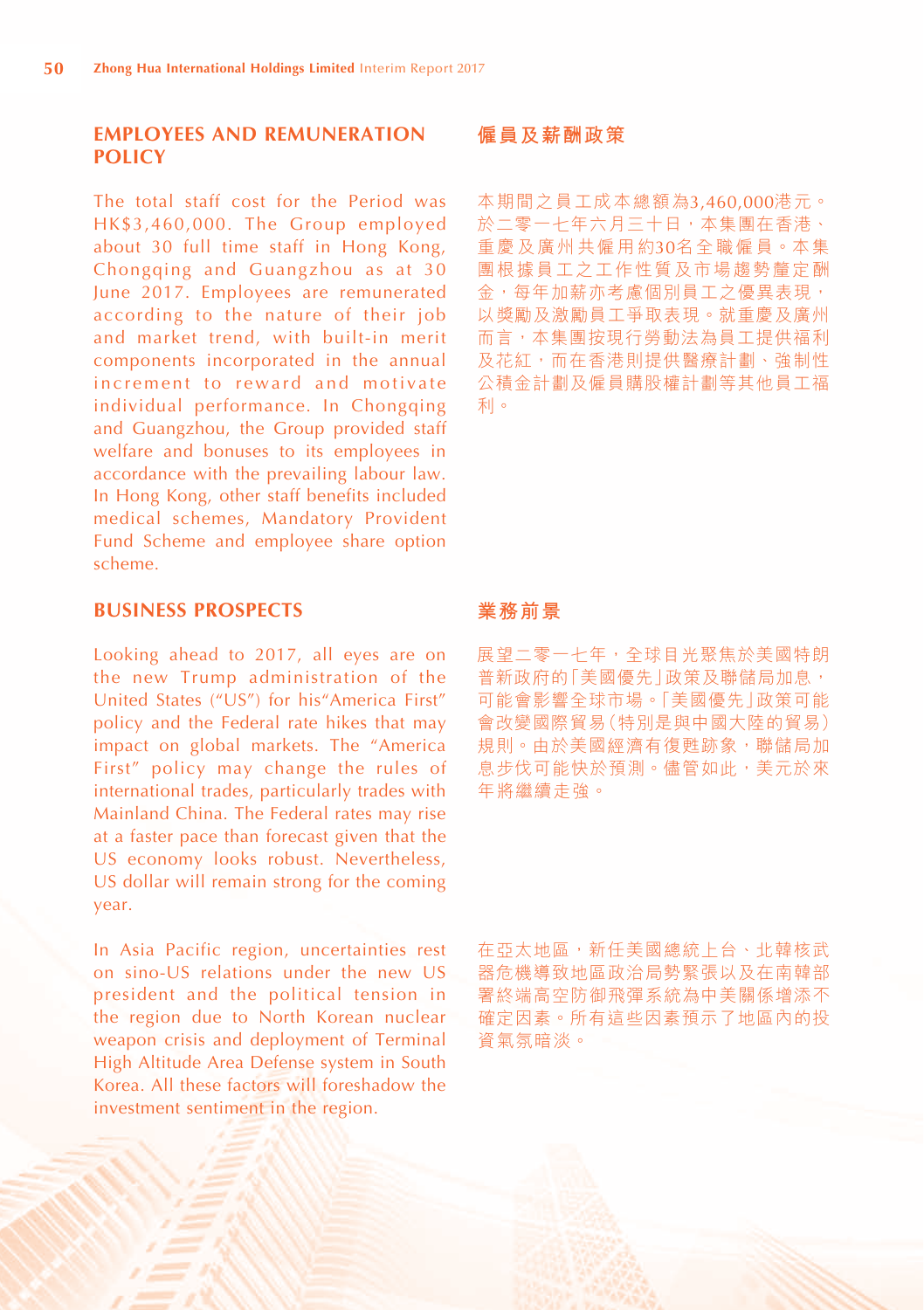#### **EMPLOYEES AND REMUNERATION POLICY**

The total staff cost for the Period was HK\$3,460,000. The Group employed about 30 full time staff in Hong Kong, Chongqing and Guangzhou as at 30 June 2017. Employees are remunerated according to the nature of their job and market trend, with built-in merit components incorporated in the annual increment to reward and motivate individual performance. In Chongqing and Guangzhou, the Group provided staff welfare and bonuses to its employees in accordance with the prevailing labour law. In Hong Kong, other staff benefits included medical schemes, Mandatory Provident Fund Scheme and employee share option scheme.

# **BUSINESS PROSPECTS**

Looking ahead to 2017, all eyes are on the new Trump administration of the United States ("US") for his"America First" policy and the Federal rate hikes that may impact on global markets. The "America First" policy may change the rules of international trades, particularly trades with Mainland China. The Federal rates may rise at a faster pace than forecast given that the US economy looks robust. Nevertheless, US dollar will remain strong for the coming year.

In Asia Pacific region, uncertainties rest on sino-US relations under the new US president and the political tension in the region due to North Korean nuclear weapon crisis and deployment of Terminal High Altitude Area Defense system in South Korea. All these factors will foreshadow the investment sentiment in the region.

#### **僱員及薪酬政策**

本期間之員工成本總額為3,460,000港元。 於二零一七年六月三十日,本集團在香港、 重慶及廣州共僱用約30名全職僱員。本集 團根據員工之工作性質及市場趨勢釐定酬 金,每年加薪亦考慮個別員工之優異表現, 以獎勵及激勵員工爭取表現。就重慶及廣州 而言,本集團按現行勞動法為員工提供福利 及花紅,而在香港則提供醫療計劃、強制性 公積金計劃及僱員購股權計劃等其他員工福 利。

#### **業務前景**

展望二零一七年,全球目光聚焦於美國特朗 普新政府的「美國優先」政策及聯儲局加息, 可能會影響全球市場。「美國優先」政策可能 會改變國際貿易(特別是與中國大陸的貿易) 規則。由於美國經濟有復甦跡象,聯儲局加 息步伐可能快於預測。儘管如此,美元於來 年將繼續走強。

在亞太地區,新任美國總統上台、北韓核武 器危機導致地區政治局勢緊張以及在南韓部 署終端高空防御飛彈系統為中美關係增添不 確定因素。所有這些因素預示了地區內的投 資氣氛暗淡。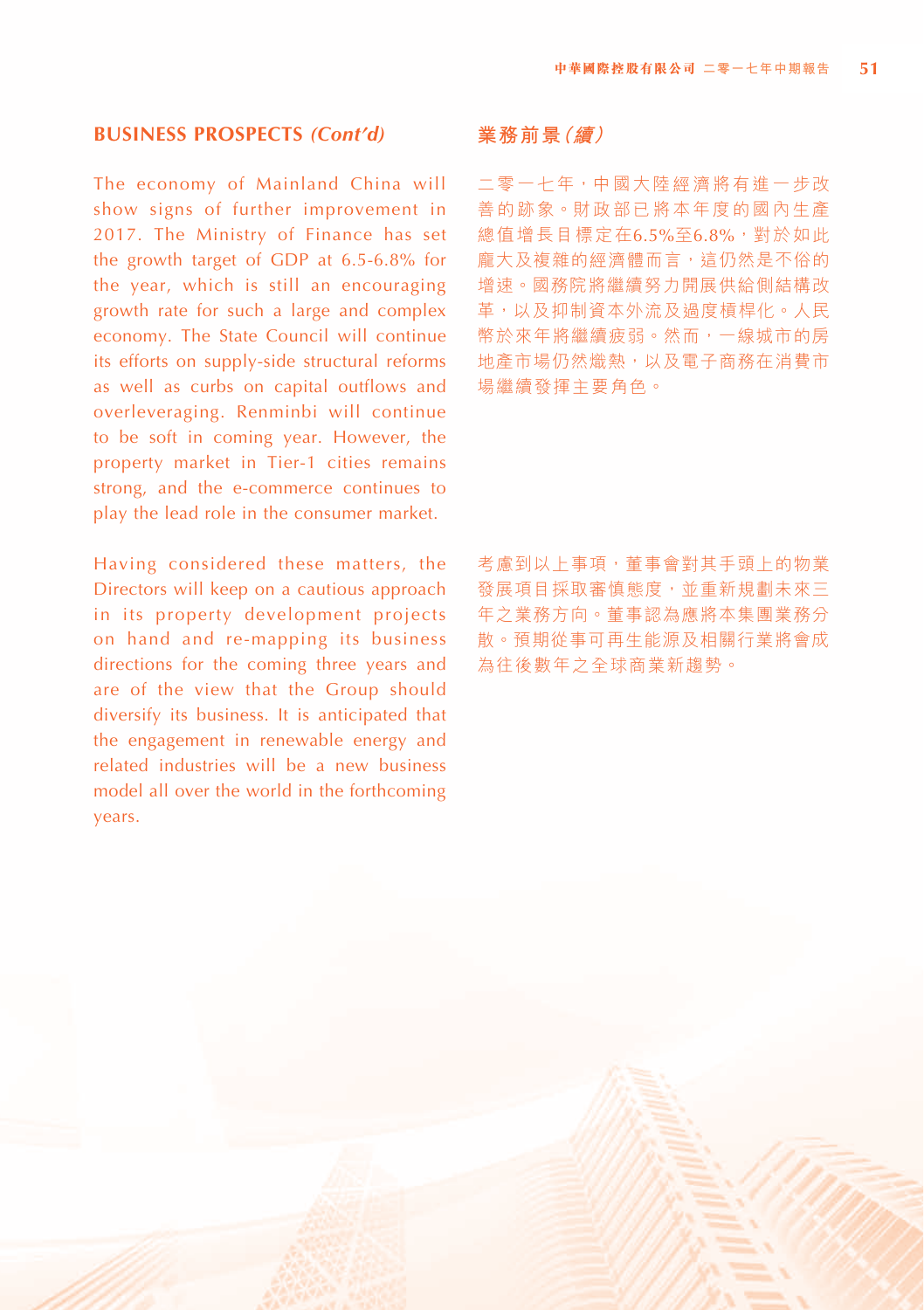#### **BUSINESS PROSPECTS** *(Cont'd)*

The economy of Mainland China will show signs of further improvement in 2017. The Ministry of Finance has set the growth target of GDP at 6.5-6.8% for the year, which is still an encouraging growth rate for such a large and complex economy. The State Council will continue its efforts on supply-side structural reforms as well as curbs on capital outflows and overleveraging. Renminbi will continue to be soft in coming year. However, the property market in Tier-1 cities remains strong, and the e-commerce continues to play the lead role in the consumer market.

Having considered these matters, the Directors will keep on a cautious approach in its property development projects on hand and re-mapping its business directions for the coming three years and are of the view that the Group should diversify its business. It is anticipated that the engagement in renewable energy and related industries will be a new business model all over the world in the forthcoming years.

#### **業務前景(續)**

二零一七年,中國大陸經濟將有進一步改 善的跡象。財政部已將本年度的國內生產 總值增長目標定在6.5%至6.8%,對於如此 龐大及複雜的經濟體而言,這仍然是不俗的 增速。國務院將繼續努力開展供給側結構改 革,以及抑制資本外流及過度槓桿化。人民 幣於來年將繼續疲弱。然而,一線城市的房 地產市場仍然熾熱,以及電子商務在消費市 場繼續發揮主要角色。

考慮到以上事項,董事會對其手頭上的物業 發展項目採取審慎態度,並重新規劃未來三 年之業務方向。董事認為應將本集團業務分 散。預期從事可再生能源及相關行業將會成 為往後數年之全球商業新趨勢。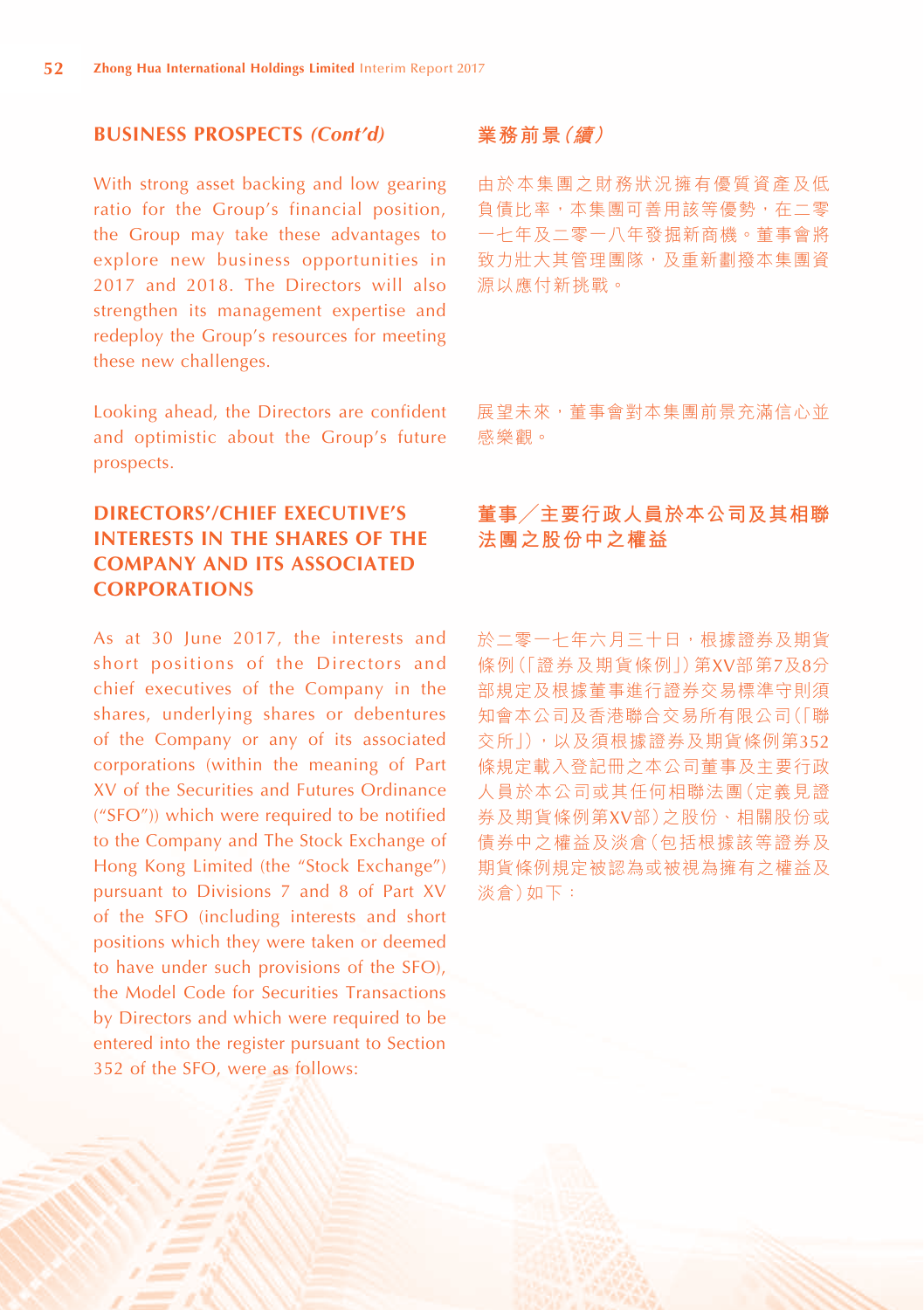## **BUSINESS PROSPECTS** *(Cont'd)*

With strong asset backing and low gearing ratio for the Group's financial position, the Group may take these advantages to explore new business opportunities in 2017 and 2018. The Directors will also strengthen its management expertise and redeploy the Group's resources for meeting these new challenges.

Looking ahead, the Directors are confident and optimistic about the Group's future prospects.

# **DIRECTORS'/CHIEF EXECUTIVE'S INTERESTS IN THE SHARES OF THE COMPANY AND ITS ASSOCIATED CORPORATIONS**

As at 30 June 2017, the interests and short positions of the Directors and chief executives of the Company in the shares, underlying shares or debentures of the Company or any of its associated corporations (within the meaning of Part XV of the Securities and Futures Ordinance ("SFO")) which were required to be notified to the Company and The Stock Exchange of Hong Kong Limited (the "Stock Exchange") pursuant to Divisions 7 and 8 of Part XV of the SFO (including interests and short positions which they were taken or deemed to have under such provisions of the SFO), the Model Code for Securities Transactions by Directors and which were required to be entered into the register pursuant to Section 352 of the SFO, were as follows:

#### **業務前景(續)**

由於本集團之財務狀況擁有優質資產及低 負債比率,本集團可善用該等優勢,在二零 一七年及二零一八年發掘新商機。董事會將 致力壯大其管理團隊,及重新劃撥本集團資 源以應付新挑戰。

展望未來,董事會對本集團前景充滿信心並 感樂觀。

# **董事╱主要行政人員於本公司及其相聯 法團之股份中之權益**

於二零一七年六月三十日,根據證券及期貨 條例(「證券及期貨條例」)第XV部第7及8分 部規定及根據董事進行證券交易標準守則須 知會本公司及香港聯合交易所有限公司(「聯 交所」),以及須根據證券及期貨條例第352 條規定載入登記冊之本公司董事及主要行政 人員於本公司或其任何相聯法團(定義見證 券及期貨條例第XV部)之股份、相關股份或 債券中之權益及淡倉(包括根據該等證券及 期貨條例規定被認為或被視為擁有之權益及 淡倉)如下: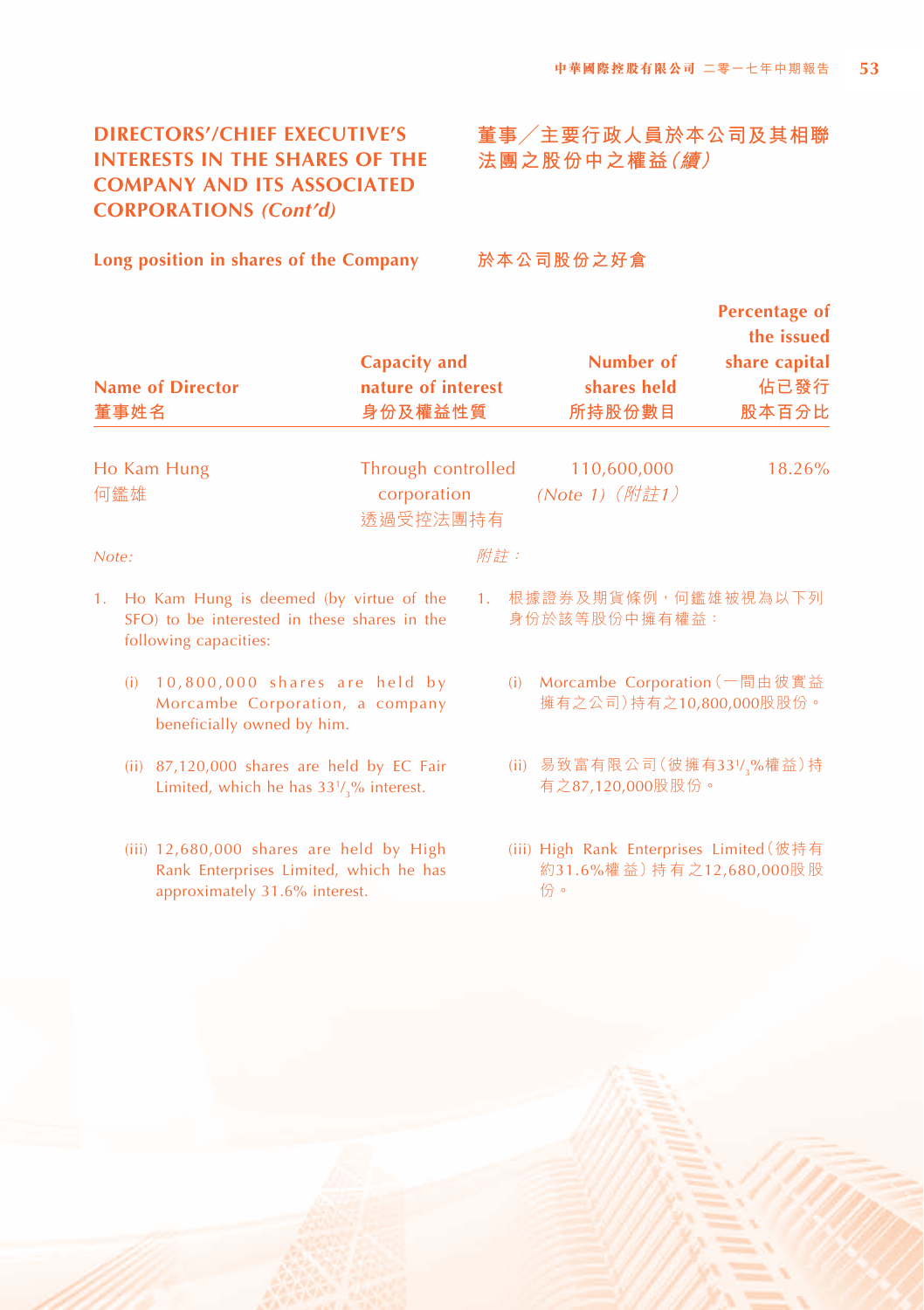# **DIRECTORS'/CHIEF EXECUTIVE'S INTERESTS IN THE SHARES OF THE COMPANY AND ITS ASSOCIATED CORPORATIONS** *(Cont'd)*

# **董事╱主要行政人員於本公司及其相聯 法團之股份中之權益(續)**

**Long position in shares of the Company**

**於本公司股份之好倉**

|       | 董事姓名 | <b>Name of Director</b>                                                                                             | Capacity and<br>nature of interest<br>身份及權益性質 |     | Number of<br>shares held<br>所持股份數目                                         | <b>Percentage of</b><br>the issued<br>share capital<br>佔已發行<br>股本百分比 |
|-------|------|---------------------------------------------------------------------------------------------------------------------|-----------------------------------------------|-----|----------------------------------------------------------------------------|----------------------------------------------------------------------|
|       |      |                                                                                                                     |                                               |     |                                                                            |                                                                      |
|       | 何鑑雄  | Ho Kam Hung                                                                                                         | Through controlled<br>corporation<br>诱過受控法團持有 |     | 110,600,000<br>(Note 1) (附註1)                                              | 18.26%                                                               |
| Note: |      |                                                                                                                     |                                               | 附註: |                                                                            |                                                                      |
| 1.    |      | Ho Kam Hung is deemed (by virtue of the<br>SFO) to be interested in these shares in the<br>following capacities:    |                                               | 1.  | 根據證券及期貨條例,何鑑雄被視為以下列<br>身份於該等股份中擁有權益:                                       |                                                                      |
|       | (i)  | $10,800,000$ shares are held by<br>Morcambe Corporation, a company<br>beneficially owned by him.                    |                                               |     | (i) Morcambe Corporation (一間由彼實益<br>擁有之公司)持有之10,800,000股股份。                |                                                                      |
|       |      | (ii) 87,120,000 shares are held by EC Fair<br>Limited, which he has $33\frac{1}{2}\%$ interest.                     |                                               |     | (ii) 易致富有限公司 (彼擁有331/,%權益)持<br>有之87,120,000股股份。                            |                                                                      |
|       |      | (iii) 12,680,000 shares are held by High<br>Rank Enterprises Limited, which he has<br>approximately 31.6% interest. |                                               |     | (iii) High Rank Enterprises Limited (彼持有<br>約31.6%權益)持有之12,680,000股股<br>份。 |                                                                      |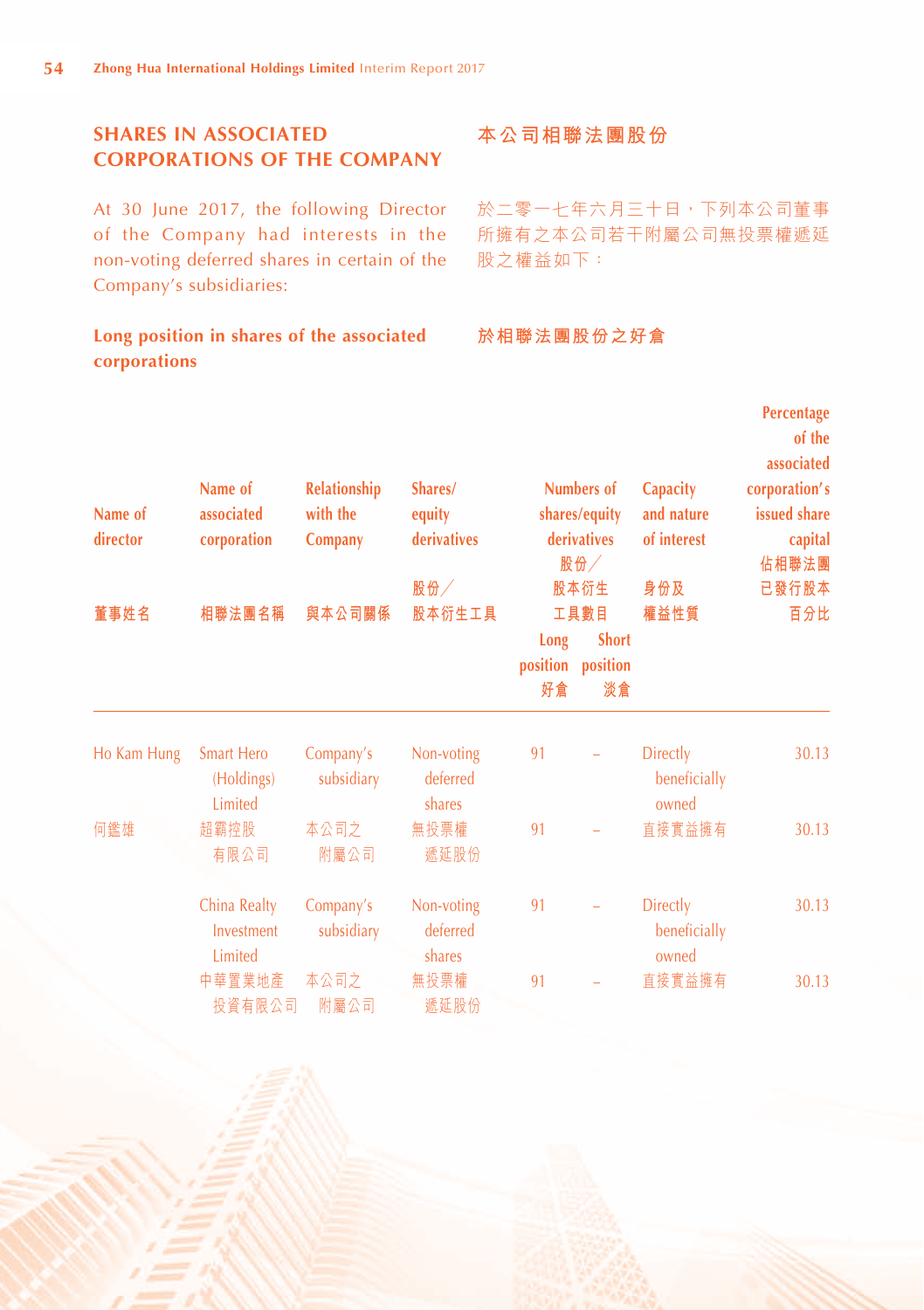# **SHARES IN ASSOCIATED CORPORATIONS OF THE COMPANY**

At 30 June 2017, the following Director of the Company had interests in the non-voting deferred shares in certain of the Company's subsidiaries:

# **Long position in shares of the associated corporations**

# **本公司相聯法團股份**

於二零一七年六月三十日,下列本公司董事 所擁有之本公司若干附屬公司無投票權遞延 股之權益如下:

# **於相聯法團股份之好倉**

| Name of<br>director | Name of<br>associated<br>corporation       | Relationship<br>with the<br>Company | Shares/<br>equity<br>derivatives<br>股份 |                        | <b>Numbers of</b><br>shares/equity<br>derivatives<br>股份<br>股本衍生 | <b>Capacity</b><br>and nature<br>of interest<br>身份及 | Percentage<br>of the<br>associated<br>corporation's<br>issued share<br>capital<br>佔相聯法團<br>已發行股本 |
|---------------------|--------------------------------------------|-------------------------------------|----------------------------------------|------------------------|-----------------------------------------------------------------|-----------------------------------------------------|--------------------------------------------------------------------------------------------------|
| 董事姓名                | 相聯法團名稱                                     | 與本公司關係                              | 股本衍生工具                                 | Long<br>position<br>好倉 | 工具數目<br><b>Short</b><br>position<br>淡倉                          | 權益性質                                                | 百分比                                                                                              |
| Ho Kam Hung         | <b>Smart Hero</b><br>(Holdings)<br>Limited | Company's<br>subsidiary             | Non-voting<br>deferred<br>shares       | 91                     |                                                                 | <b>Directly</b><br>beneficially<br>owned            | 30.13                                                                                            |
| 何鑑雄                 | 超霸控股<br>有限公司                               | 本公司之<br>附屬公司                        | 無投票權<br>遞延股份                           | 91                     |                                                                 | 直接實益擁有                                              | 30.13                                                                                            |
|                     | China Realty<br>Investment<br>Limited      | Company's<br>subsidiary             | Non-voting<br>deferred<br>shares       | 91                     |                                                                 | <b>Directly</b><br>beneficially<br>owned            | 30.13                                                                                            |
|                     | 中華置業地產<br>投資有限公司                           | 本公司之<br>附屬公司                        | 無投票權<br>遞延股份                           | 91                     |                                                                 | 首接實益擁有                                              | 30.13                                                                                            |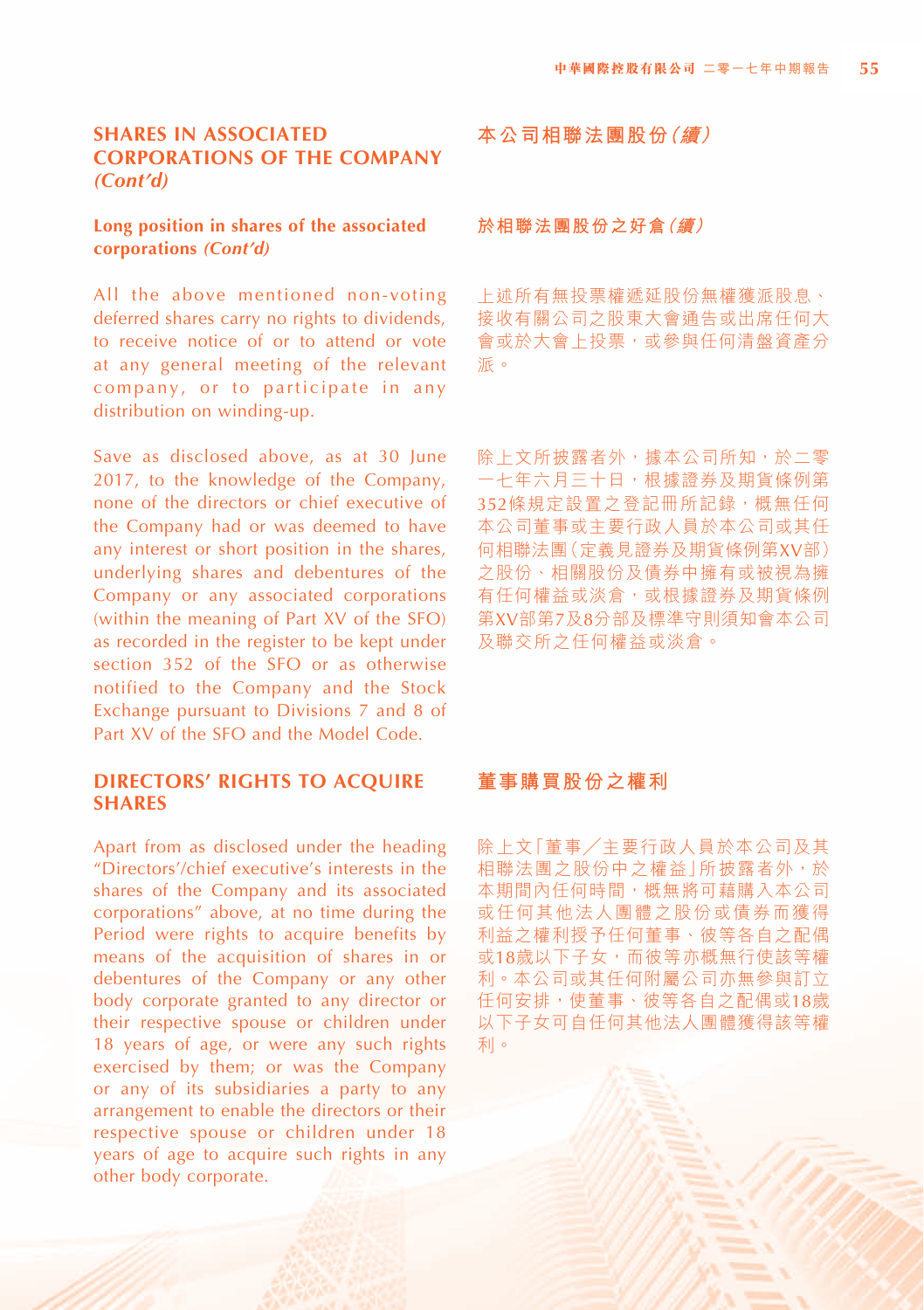# **SHARES IN ASSOCIATED CORPORATIONS OF THE COMPANY** *(Cont'd)*

#### **Long position in shares of the associated corporations** *(Cont'd)*

All the above mentioned non-voting deferred shares carry no rights to dividends, to receive notice of or to attend or vote at any general meeting of the relevant company, or to participate in any distribution on winding-up.

Save as disclosed above, as at 30 June 2017, to the knowledge of the Company, none of the directors or chief executive of the Company had or was deemed to have any interest or short position in the shares, underlying shares and debentures of the Company or any associated corporations (within the meaning of Part XV of the SFO) as recorded in the register to be kept under section 352 of the SFO or as otherwise notified to the Company and the Stock Exchange pursuant to Divisions 7 and 8 of Part XV of the SFO and the Model Code.

#### **DIRECTORS' RIGHTS TO ACQUIRE SHARES**

Apart from as disclosed under the heading "Directors'/chief executive's interests in the shares of the Company and its associated corporations" above, at no time during the Period were rights to acquire benefits by means of the acquisition of shares in or debentures of the Company or any other body corporate granted to any director or their respective spouse or children under 18 years of age, or were any such rights exercised by them; or was the Company or any of its subsidiaries a party to any arrangement to enable the directors or their respective spouse or children under 18 years of age to acquire such rights in any other body corporate.

**本公司相聯法團股份(續)**

#### **於相聯法團股份之好倉(續)**

上述所有無投票權遞延股份無權獲派股息、 接收有關公司之股東大會通告或出席任何大 會或於大會上投票,或參與任何清盤資產分 派。

除上文所披露者外,據本公司所知,於二零 一七年六月三十日,根據證券及期貨條例第 352條規定設置之登記冊所記錄,概無任何 本公司董事或主要行政人員於本公司或其任 何相聯法團(定義見證券及期貨條例第XV部) 之股份、相關股份及債券中擁有或被視為擁 有任何權益或淡倉,或根據證券及期貨條例 第XV部第7及8分部及標準守則須知會本公司 及聯交所之任何權益或淡倉。

# **董事購買股份之權利**

除上文「董事╱主要行政人員於本公司及其 相聯法團之股份中之權益 | 所披露者外, 於 本期間內任何時間,概無將可藉購入本公司 或任何其他法人團體之股份或債券而獲得 利益之權利授予任何董事、彼等各自之配偶 或18歲以下子女,而彼等亦概無行使該等權 利。本公司或其任何附屬公司亦無參與訂立 任何安排,使董事、彼等各自之配偶或18歲 以下子女可自任何其他法人團體獲得該等權 利。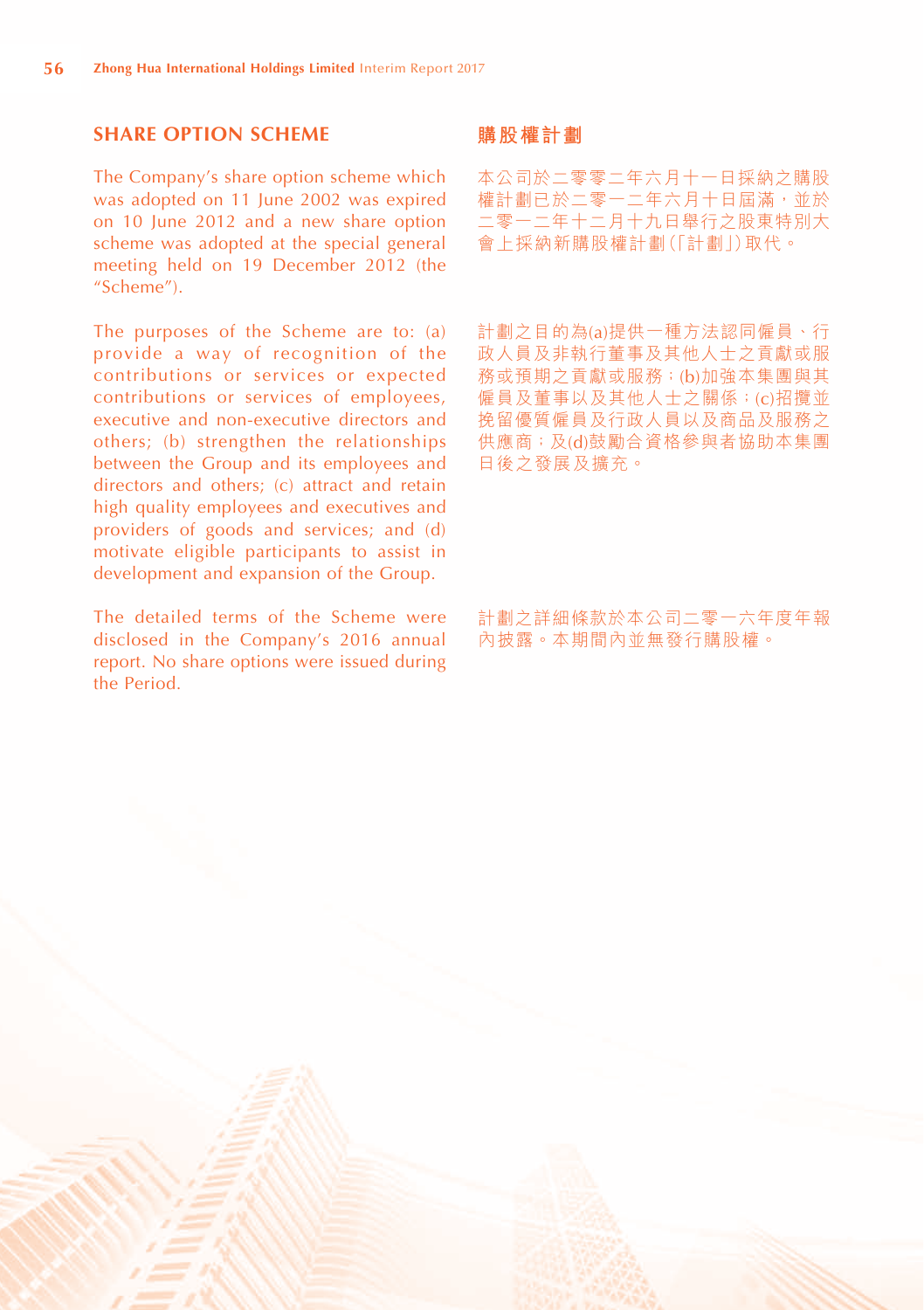# **SHARE OPTION SCHEME**

The Company's share option scheme which was adopted on 11 June 2002 was expired on 10 June 2012 and a new share option scheme was adopted at the special general meeting held on 19 December 2012 (the "Scheme").

The purposes of the Scheme are to: (a) provide a way of recognition of the contributions or services or expected contributions or services of employees, executive and non-executive directors and others; (b) strengthen the relationships between the Group and its employees and directors and others; (c) attract and retain high quality employees and executives and providers of goods and services; and (d) motivate eligible participants to assist in development and expansion of the Group.

The detailed terms of the Scheme were disclosed in the Company's 2016 annual report. No share options were issued during the Period.

#### **購股權計劃**

本公司於二零零二年六月十一日採納之購股 權計劃已於二零一二年六月十日屆滿,並於 二零一二年十二月十九日舉行之股東特別大 會上採納新購股權計劃(「計劃」)取代。

計劃之目的為(a)提供一種方法認同僱員、行 政人員及非執行董事及其他人士之貢獻或服 務或預期之貢獻或服務;(b)加強本集團與其 僱員及董事以及其他人士之關係;(c)招攬並 挽留優質僱員及行政人員以及商品及服務之 供應商;及(d)鼓勵合資格參與者協助本集團 日後之發展及擴充。

計劃之詳細條款於本公司二零一六年度年報 內披露。本期間內並無發行購股權。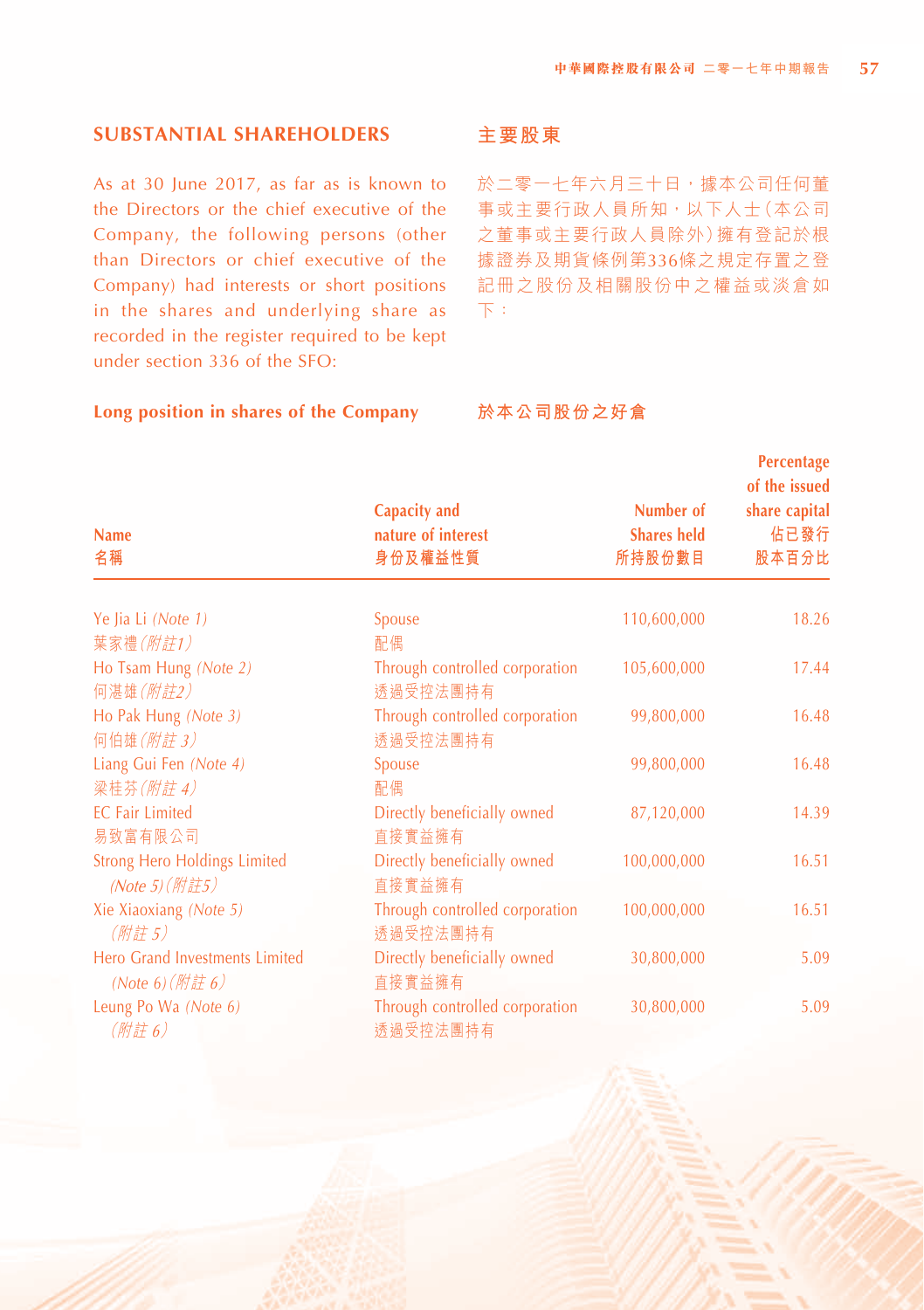**Percentage**

# **SUBSTANTIAL SHAREHOLDERS**

As at 30 June 2017, as far as is known to the Directors or the chief executive of the Company, the following persons (other than Directors or chief executive of the Company) had interests or short positions in the shares and underlying share as recorded in the register required to be kept under section 336 of the SFO:

#### **Long position in shares of the Company**

# **主要股東**

於二零一七年六月三十日,據本公司任何董 事或主要行政人員所知,以下人士(本公司 之董事或主要行政人員除外)擁有登記於根 據證券及期貨條例第336條之規定存置之登 記冊之股份及相關股份中之權益或淡倉如 下:

#### **於本公司股份之好倉**

| <b>Name</b><br>名稱                                                | Capacity and<br>nature of interest<br>身份及權益性質   | Number of<br><b>Shares held</b><br>所持股份數目 | rendmage<br>of the issued<br>share capital<br>佔已發行<br>股本百分比 |
|------------------------------------------------------------------|-------------------------------------------------|-------------------------------------------|-------------------------------------------------------------|
| Ye Jia Li (Note 1)                                               | Spouse                                          | 110,600,000                               | 18.26                                                       |
| 葉家禮(附註1)                                                         | 配偶                                              |                                           |                                                             |
| Ho Tsam Hung (Note 2)<br>何湛雄(附註2)                                | Through controlled corporation<br>透過受控法團持有      | 105,600,000                               | 17.44                                                       |
| Ho Pak Hung (Note 3)<br>何伯雄(附註3)                                 | Through controlled corporation<br>透過受控法團持有      | 99,800,000                                | 16.48                                                       |
| Liang Gui Fen (Note 4)<br>梁桂芬(附註4)                               | Spouse<br>配偶                                    | 99,800,000                                | 16.48                                                       |
| <b>EC Fair Limited</b>                                           | Directly beneficially owned                     | 87,120,000                                | 14.39                                                       |
| 易致富有限公司<br><b>Strong Hero Holdings Limited</b><br>(Note 5) (附註5) | 直接實益擁有<br>Directly beneficially owned<br>直接實益擁有 | 100,000,000                               | 16.51                                                       |
| Xie Xiaoxiang (Note 5)<br>(附註5)                                  | Through controlled corporation<br>诱過受控法團持有      | 100,000,000                               | 16.51                                                       |
| Hero Grand Investments Limited<br>(Note 6) $(\frac{m}{E}$ 6)     | Directly beneficially owned<br>直接實益擁有           | 30,800,000                                | 5.09                                                        |
| Leung Po Wa (Note 6)<br>(附註6)                                    | Through controlled corporation<br>透過受控法團持有      | 30,800,000                                | 5.09                                                        |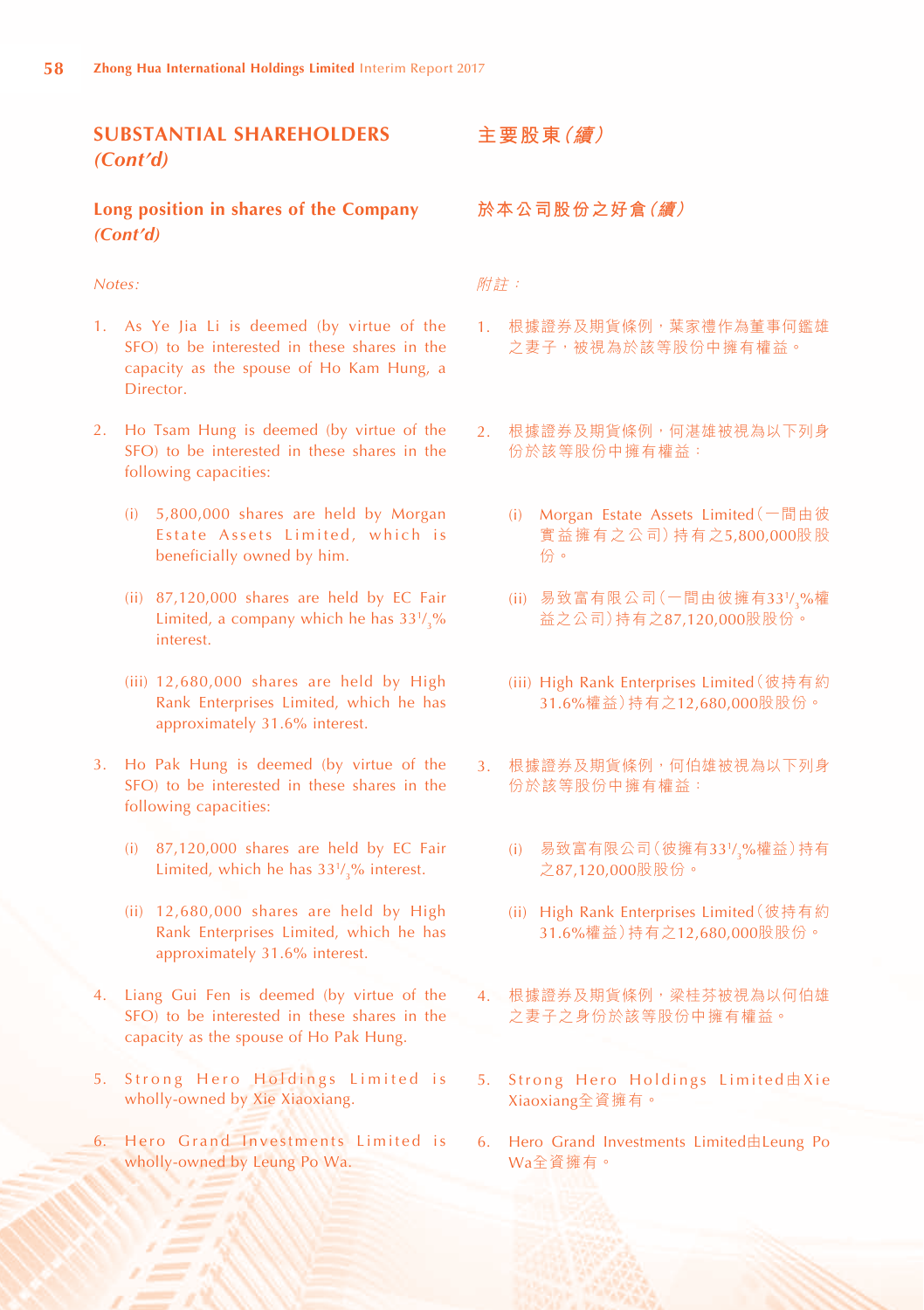# **SUBSTANTIAL SHAREHOLDERS** *(Cont'd)*

#### **Long position in shares of the Company** *(Cont'd)*

#### *Notes:*

- 1. As Ye Jia Li is deemed (by virtue of the SFO) to be interested in these shares in the capacity as the spouse of Ho Kam Hung, a Director.
- 2. Ho Tsam Hung is deemed (by virtue of the SFO) to be interested in these shares in the following capacities:
	- (i) 5,800,000 shares are held by Morgan Estate Assets Limited, which is beneficially owned by him.
	- (ii) 87,120,000 shares are held by EC Fair Limited, a company which he has  $33\frac{1}{3}\%$ interest.
	- (iii) 12,680,000 shares are held by High Rank Enterprises Limited, which he has approximately 31.6% interest.
- 3. Ho Pak Hung is deemed (by virtue of the SFO) to be interested in these shares in the following capacities:
	- (i) 87,120,000 shares are held by EC Fair Limited, which he has  $33\frac{1}{3}$ % interest.
	- (ii) 12,680,000 shares are held by High Rank Enterprises Limited, which he has approximately 31.6% interest.
- 4. Liang Gui Fen is deemed (by virtue of the SFO) to be interested in these shares in the capacity as the spouse of Ho Pak Hung.
- 5. Strong Hero Holdings Limited is wholly-owned by Xie Xiaoxiang.
- 6. Hero Grand Investments Limited is wholly-owned by Leung Po Wa.

**主要股東(續)**

**於本公司股份之好倉(續)**

附註:

- 1. 根據證券及期貨條例,葉家禮作為董事何鑑雄 之妻子,被視為於該等股份中擁有權益。
- 2. 根據證券及期貨條例,何湛雄被視為以下列身 份於該等股份中擁有權益:
	- (i) Morgan Estate Assets Limited(一間由彼 實益擁有之公司)持有之5,800,000股股 份。
	- (ii) 易致富有限公司(一間由彼擁有33½<sub>3</sub>%權 益之公司)持有之87,120,000股股份。
	- (iii) High Rank Enterprises Limited(彼持有約 31.6%權益)持有之12,680,000股股份。
- 3. 根據證券及期貨條例,何伯雄被視為以下列身 份於該等股份中擁有權益:
	- (i) 易致富有限公司(彼擁有331/ <sup>3</sup>%權益)持有 之87,120,000股股份。
	- (ii) High Rank Enterprises Limited(彼持有約 31.6%權益)持有之12,680,000股股份。
- 4. 根據證券及期貨條例,梁桂芬被視為以何伯雄 之妻子之身份於該等股份中擁有權益。
- 5. Strong Hero Holdings Limited由Xie Xiaoxiang全資擁有。
- 6. Hero Grand Investments Limited由Leung Po Wa全資擁有。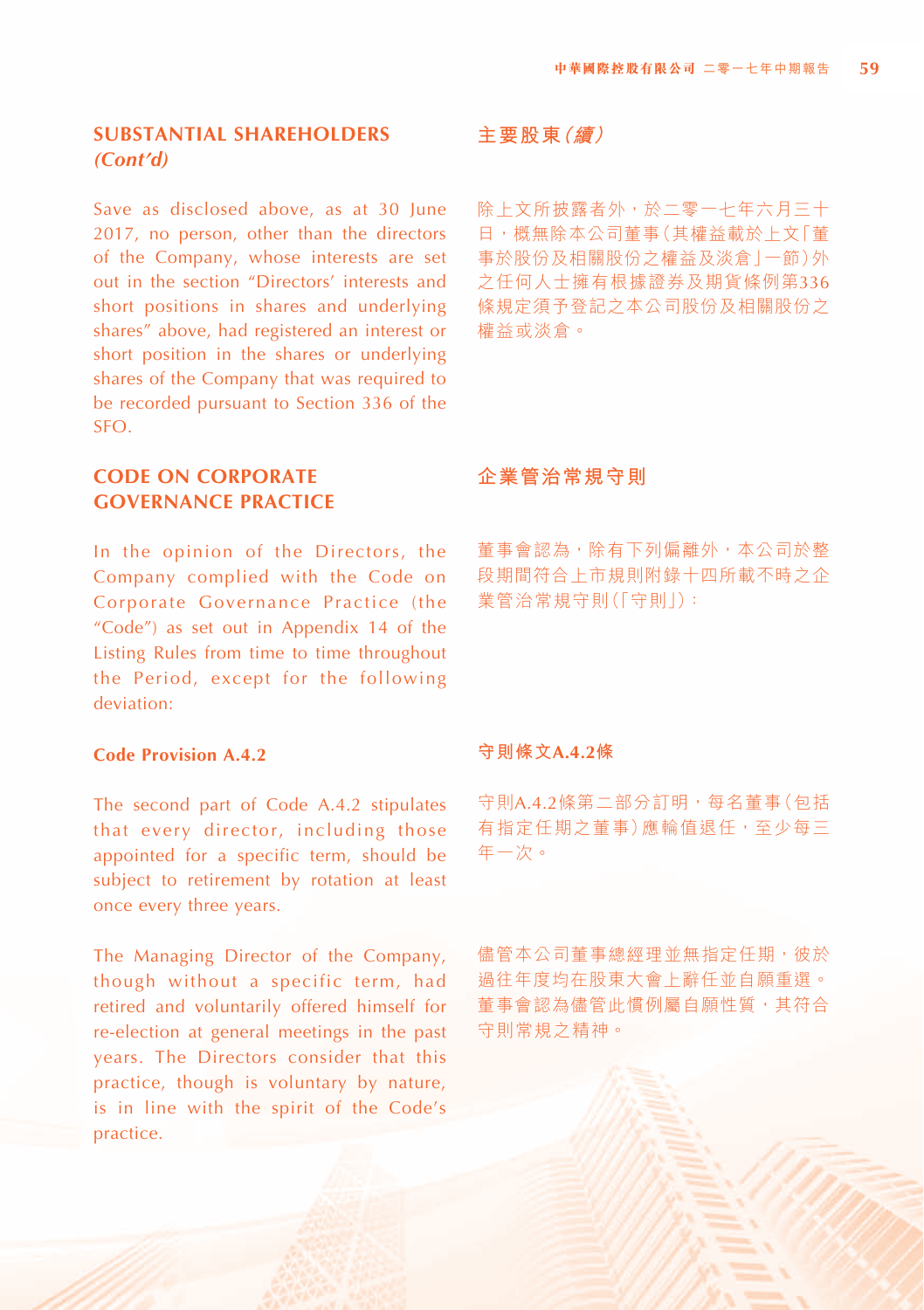# **SUBSTANTIAL SHAREHOLDERS** *(Cont'd)*

Save as disclosed above, as at 30 June 2017, no person, other than the directors of the Company, whose interests are set out in the section "Directors' interests and short positions in shares and underlying shares" above, had registered an interest or short position in the shares or underlying shares of the Company that was required to be recorded pursuant to Section 336 of the SFO.

# **CODE ON CORPORATE GOVERNANCE PRACTICE**

In the opinion of the Directors, the Company complied with the Code on Corporate Governance Practice (the "Code") as set out in Appendix 14 of the Listing Rules from time to time throughout the Period, except for the following deviation:

#### **Code Provision A.4.2**

The second part of Code A.4.2 stipulates that every director, including those appointed for a specific term, should be subject to retirement by rotation at least once every three years.

The Managing Director of the Company, though without a specific term, had retired and voluntarily offered himself for re-election at general meetings in the past years. The Directors consider that this practice, though is voluntary by nature, is in line with the spirit of the Code's practice.

#### **主要股東(續)**

除上文所披露者外,於二零一七年六月三十 日,概無除本公司董事(其權益載於上文「董 事於股份及相關股份之權益及淡倉」一節)外 之任何人士擁有根據證券及期貨條例第336 條規定須予登記之本公司股份及相關股份之 權益或淡倉。

# **企業管治常規守則**

董事會認為,除有下列偏離外,本公司於整 段期間符合上市規則附錄十四所載不時之企 業管治常規守則(「守則」):

#### **守則條文A.4.2條**

守則A.4.2條第二部分訂明,每名董事(包括 有指定任期之董事)應輪值退任,至少每三 年一次。

儘管本公司董事總經理並無指定任期,彼於 過往年度均在股東大會上辭任並自願重選。 董事會認為儘管此慣例屬自願性質,其符合 守則常規之精神。